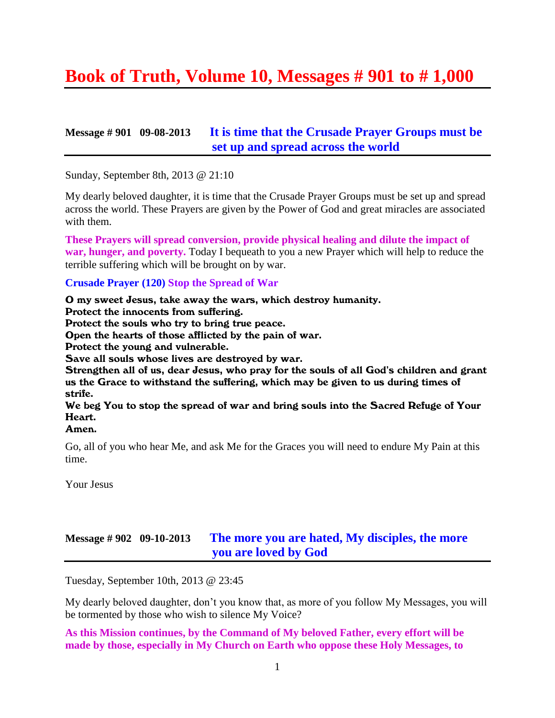# **Book of Truth, Volume 10, Messages # 901 to # 1,000**

#### **Message # 901 09-08-2013 It is time [that the Crusade Prayer Groups must be](http://www.thewarningsecondcoming.com/it-is-time-that-the-crusade-prayer-groups-must-be-set-up-and-spread-across-the-world/)  [set up and spread across the world](http://www.thewarningsecondcoming.com/it-is-time-that-the-crusade-prayer-groups-must-be-set-up-and-spread-across-the-world/)**

Sunday, September 8th, 2013 @ 21:10

My dearly beloved daughter, it is time that the Crusade Prayer Groups must be set up and spread across the world. These Prayers are given by the Power of God and great miracles are associated with them.

**These Prayers will spread conversion, provide physical healing and dilute the impact of war, hunger, and poverty.** Today I bequeath to you a new Prayer which will help to reduce the terrible suffering which will be brought on by war.

#### **Crusade Prayer (120) Stop the Spread of War**

O my sweet Jesus, take away the wars, which destroy humanity. Protect the innocents from suffering. Protect the souls who try to bring true peace. Open the hearts of those afflicted by the pain of war. Protect the young and vulnerable. Save all souls whose lives are destroyed by war. Strengthen all of us, dear Jesus, who pray for the souls of all God's children and grant us the Grace to withstand the suffering, which may be given to us during times of strife. We beg You to stop the spread of war and bring souls into the Sacred Refuge of Your Heart.

#### Amen.

Go, all of you who hear Me, and ask Me for the Graces you will need to endure My Pain at this time.

Your Jesus

#### **Message # 902 09-10-2013 [The more you are hated, My disciples, the more](http://www.thewarningsecondcoming.com/the-more-you-are-hated-my-disciples-the-more-you-are-loved-by-god/)  [you are loved by God](http://www.thewarningsecondcoming.com/the-more-you-are-hated-my-disciples-the-more-you-are-loved-by-god/)**

Tuesday, September 10th, 2013 @ 23:45

My dearly beloved daughter, don't you know that, as more of you follow My Messages, you will be tormented by those who wish to silence My Voice?

**As this Mission continues, by the Command of My beloved Father, every effort will be made by those, especially in My Church on Earth who oppose these Holy Messages, to**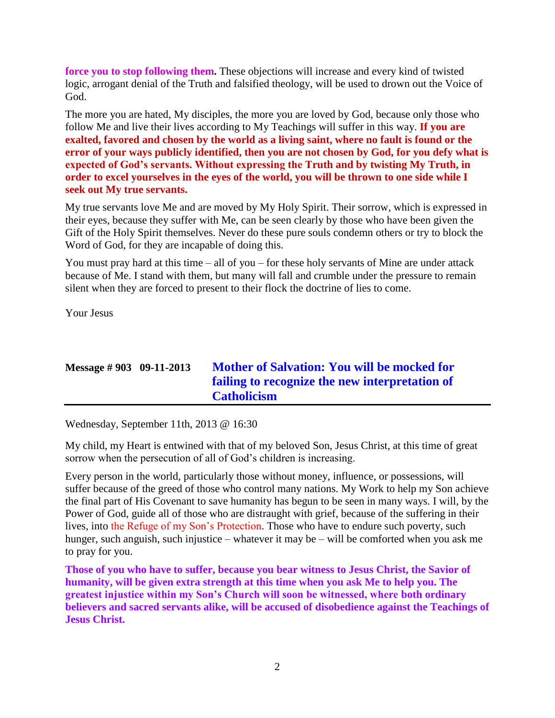**force you to stop following them.** These objections will increase and every kind of twisted logic, arrogant denial of the Truth and falsified theology, will be used to drown out the Voice of God.

The more you are hated, My disciples, the more you are loved by God, because only those who follow Me and live their lives according to My Teachings will suffer in this way. **If you are exalted, favored and chosen by the world as a living saint, where no fault is found or the error of your ways publicly identified, then you are not chosen by God, for you defy what is expected of God's servants. Without expressing the Truth and by twisting My Truth, in order to excel yourselves in the eyes of the world, you will be thrown to one side while I seek out My true servants.**

My true servants love Me and are moved by My Holy Spirit. Their sorrow, which is expressed in their eyes, because they suffer with Me, can be seen clearly by those who have been given the Gift of the Holy Spirit themselves. Never do these pure souls condemn others or try to block the Word of God, for they are incapable of doing this.

You must pray hard at this time  $-$  all of you  $-$  for these holy servants of Mine are under attack because of Me. I stand with them, but many will fall and crumble under the pressure to remain silent when they are forced to present to their flock the doctrine of lies to come.

Your Jesus

# **Message # 903 09-11-2013 [Mother of Salvation: You will be mocked for](http://www.thewarningsecondcoming.com/mother-of-salvation-you-will-be-mocked-for-failing-to-recognise-the-new-interpretation-of-catholicism/)  [failing to recognize the new interpretation of](http://www.thewarningsecondcoming.com/mother-of-salvation-you-will-be-mocked-for-failing-to-recognise-the-new-interpretation-of-catholicism/)  [Catholicism](http://www.thewarningsecondcoming.com/mother-of-salvation-you-will-be-mocked-for-failing-to-recognise-the-new-interpretation-of-catholicism/)**

Wednesday, September 11th, 2013 @ 16:30

My child, my Heart is entwined with that of my beloved Son, Jesus Christ, at this time of great sorrow when the persecution of all of God's children is increasing.

Every person in the world, particularly those without money, influence, or possessions, will suffer because of the greed of those who control many nations. My Work to help my Son achieve the final part of His Covenant to save humanity has begun to be seen in many ways. I will, by the Power of God, guide all of those who are distraught with grief, because of the suffering in their lives, into the Refuge of my Son's Protection. Those who have to endure such poverty, such hunger, such anguish, such injustice – whatever it may be – will be comforted when you ask me to pray for you.

**Those of you who have to suffer, because you bear witness to Jesus Christ, the Savior of humanity, will be given extra strength at this time when you ask Me to help you. The greatest injustice within my Son's Church will soon be witnessed, where both ordinary believers and sacred servants alike, will be accused of disobedience against the Teachings of Jesus Christ.**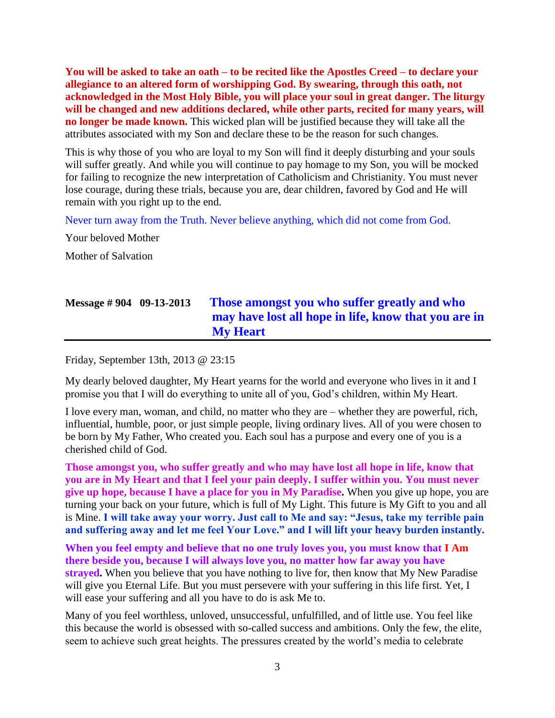**You will be asked to take an oath – to be recited like the Apostles Creed – to declare your allegiance to an altered form of worshipping God. By swearing, through this oath, not acknowledged in the Most Holy Bible, you will place your soul in great danger. The liturgy will be changed and new additions declared, while other parts, recited for many years, will no longer be made known.** This wicked plan will be justified because they will take all the attributes associated with my Son and declare these to be the reason for such changes.

This is why those of you who are loyal to my Son will find it deeply disturbing and your souls will suffer greatly. And while you will continue to pay homage to my Son, you will be mocked for failing to recognize the new interpretation of Catholicism and Christianity. You must never lose courage, during these trials, because you are, dear children, favored by God and He will remain with you right up to the end.

Never turn away from the Truth. Never believe anything, which did not come from God.

Your beloved Mother

Mother of Salvation

# **Message # 904 09-13-2013 [Those amongst you who suffer greatly and who](http://www.thewarningsecondcoming.com/those-amongst-you-who-suffer-greatly-and-who-may-have-lost-all-hope-in-life-know-that-you-are-in-my-heart/)  [may have lost all hope in life, know that you are in](http://www.thewarningsecondcoming.com/those-amongst-you-who-suffer-greatly-and-who-may-have-lost-all-hope-in-life-know-that-you-are-in-my-heart/)  [My Heart](http://www.thewarningsecondcoming.com/those-amongst-you-who-suffer-greatly-and-who-may-have-lost-all-hope-in-life-know-that-you-are-in-my-heart/)**

Friday, September 13th, 2013 @ 23:15

My dearly beloved daughter, My Heart yearns for the world and everyone who lives in it and I promise you that I will do everything to unite all of you, God's children, within My Heart.

I love every man, woman, and child, no matter who they are – whether they are powerful, rich, influential, humble, poor, or just simple people, living ordinary lives. All of you were chosen to be born by My Father, Who created you. Each soul has a purpose and every one of you is a cherished child of God.

**Those amongst you, who suffer greatly and who may have lost all hope in life, know that you are in My Heart and that I feel your pain deeply. I suffer within you. You must never give up hope, because I have a place for you in My Paradise.** When you give up hope, you are turning your back on your future, which is full of My Light. This future is My Gift to you and all is Mine. **I will take away your worry. Just call to Me and say: "Jesus, take my terrible pain and suffering away and let me feel Your Love." and I will lift your heavy burden instantly.**

**When you feel empty and believe that no one truly loves you, you must know that I Am there beside you, because I will always love you, no matter how far away you have strayed.** When you believe that you have nothing to live for, then know that My New Paradise will give you Eternal Life. But you must persevere with your suffering in this life first. Yet, I will ease your suffering and all you have to do is ask Me to.

Many of you feel worthless, unloved, unsuccessful, unfulfilled, and of little use. You feel like this because the world is obsessed with so-called success and ambitions. Only the few, the elite, seem to achieve such great heights. The pressures created by the world's media to celebrate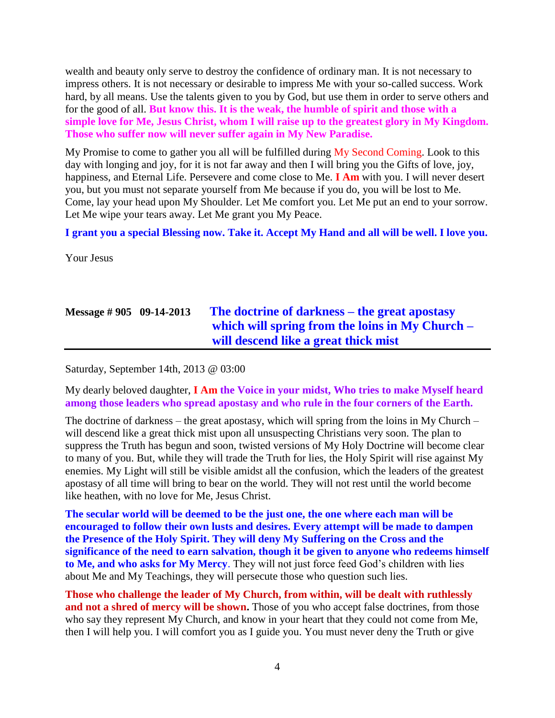wealth and beauty only serve to destroy the confidence of ordinary man. It is not necessary to impress others. It is not necessary or desirable to impress Me with your so-called success. Work hard, by all means. Use the talents given to you by God, but use them in order to serve others and for the good of all. **But know this. It is the weak, the humble of spirit and those with a simple love for Me, Jesus Christ, whom I will raise up to the greatest glory in My Kingdom. Those who suffer now will never suffer again in My New Paradise.**

My Promise to come to gather you all will be fulfilled during My Second Coming. Look to this day with longing and joy, for it is not far away and then I will bring you the Gifts of love, joy, happiness, and Eternal Life. Persevere and come close to Me. **I Am** with you. I will never desert you, but you must not separate yourself from Me because if you do, you will be lost to Me. Come, lay your head upon My Shoulder. Let Me comfort you. Let Me put an end to your sorrow. Let Me wipe your tears away. Let Me grant you My Peace.

**I grant you a special Blessing now. Take it. Accept My Hand and all will be well. I love you.**

Your Jesus

# **Message # 905 09-14-2013 [The doctrine of darkness –](http://www.thewarningsecondcoming.com/the-doctrine-of-darkness-the-great-apostasy-which-will-spring-from-the-loins-in-my-church-will-descend-like-a-great-thick-mist/) the great apostasy [which will spring from the loins in My Church –](http://www.thewarningsecondcoming.com/the-doctrine-of-darkness-the-great-apostasy-which-will-spring-from-the-loins-in-my-church-will-descend-like-a-great-thick-mist/) [will descend like a great thick mist](http://www.thewarningsecondcoming.com/the-doctrine-of-darkness-the-great-apostasy-which-will-spring-from-the-loins-in-my-church-will-descend-like-a-great-thick-mist/)**

Saturday, September 14th, 2013 @ 03:00

My dearly beloved daughter, **I Am the Voice in your midst, Who tries to make Myself heard among those leaders who spread apostasy and who rule in the four corners of the Earth.**

The doctrine of darkness – the great apostasy, which will spring from the loins in My Church – will descend like a great thick mist upon all unsuspecting Christians very soon. The plan to suppress the Truth has begun and soon, twisted versions of My Holy Doctrine will become clear to many of you. But, while they will trade the Truth for lies, the Holy Spirit will rise against My enemies. My Light will still be visible amidst all the confusion, which the leaders of the greatest apostasy of all time will bring to bear on the world. They will not rest until the world become like heathen, with no love for Me, Jesus Christ.

**The secular world will be deemed to be the just one, the one where each man will be encouraged to follow their own lusts and desires. Every attempt will be made to dampen the Presence of the Holy Spirit. They will deny My Suffering on the Cross and the significance of the need to earn salvation, though it be given to anyone who redeems himself to Me, and who asks for My Mercy**. They will not just force feed God's children with lies about Me and My Teachings, they will persecute those who question such lies.

**Those who challenge the leader of My Church, from within, will be dealt with ruthlessly**  and not a shred of mercy will be shown. Those of you who accept false doctrines, from those who say they represent My Church, and know in your heart that they could not come from Me, then I will help you. I will comfort you as I guide you. You must never deny the Truth or give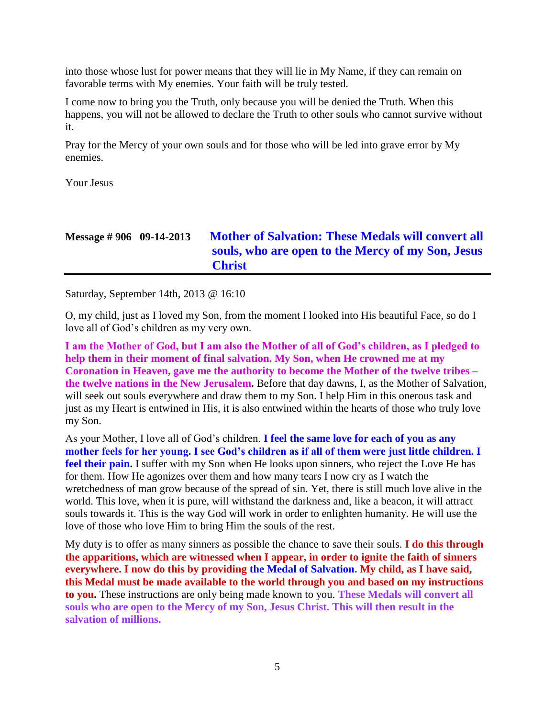into those whose lust for power means that they will lie in My Name, if they can remain on favorable terms with My enemies. Your faith will be truly tested.

I come now to bring you the Truth, only because you will be denied the Truth. When this happens, you will not be allowed to declare the Truth to other souls who cannot survive without it.

Pray for the Mercy of your own souls and for those who will be led into grave error by My enemies.

Your Jesus

| Message $\# 906$ 09-14-2013 | <b>Mother of Salvation: These Medals will convert all</b> |
|-----------------------------|-----------------------------------------------------------|
|                             | souls, who are open to the Mercy of my Son, Jesus         |
|                             | <b>Christ</b>                                             |

Saturday, September 14th, 2013 @ 16:10

O, my child, just as I loved my Son, from the moment I looked into His beautiful Face, so do I love all of God's children as my very own.

**I am the Mother of God, but I am also the Mother of all of God's children, as I pledged to help them in their moment of final salvation. My Son, when He crowned me at my Coronation in Heaven, gave me the authority to become the Mother of the twelve tribes – the twelve nations in the New Jerusalem.** Before that day dawns, I, as the Mother of Salvation, will seek out souls everywhere and draw them to my Son. I help Him in this onerous task and just as my Heart is entwined in His, it is also entwined within the hearts of those who truly love my Son.

As your Mother, I love all of God's children. **I feel the same love for each of you as any mother feels for her young. I see God's children as if all of them were just little children. I**  feel their pain. I suffer with my Son when He looks upon sinners, who reject the Love He has for them. How He agonizes over them and how many tears I now cry as I watch the wretchedness of man grow because of the spread of sin. Yet, there is still much love alive in the world. This love, when it is pure, will withstand the darkness and, like a beacon, it will attract souls towards it. This is the way God will work in order to enlighten humanity. He will use the love of those who love Him to bring Him the souls of the rest.

My duty is to offer as many sinners as possible the chance to save their souls. **I do this through the apparitions, which are witnessed when I appear, in order to ignite the faith of sinners everywhere. I now do this by providing the Medal of Salvation. My child, as I have said, this Medal must be made available to the world through you and based on my instructions to you.** These instructions are only being made known to you. **These Medals will convert all souls who are open to the Mercy of my Son, Jesus Christ. This will then result in the salvation of millions.**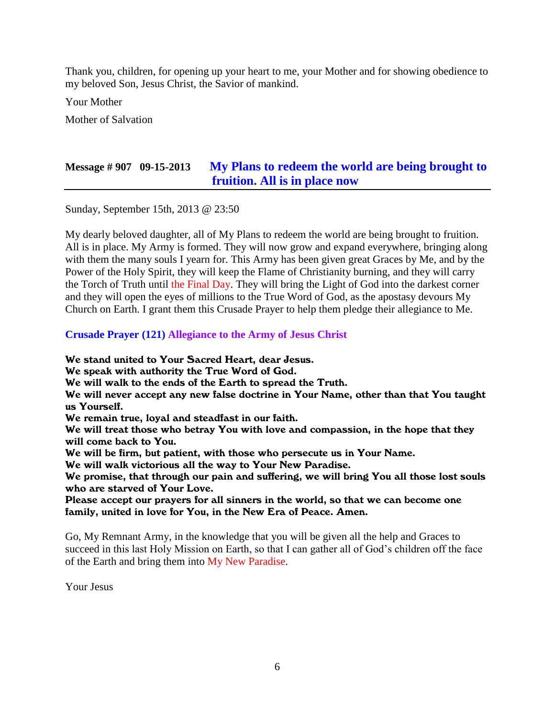Thank you, children, for opening up your heart to me, your Mother and for showing obedience to my beloved Son, Jesus Christ, the Savior of mankind.

Your Mother

Mother of Salvation

### **Message # 907 09-15-2013 [My Plans to redeem the world are being brought to](http://www.thewarningsecondcoming.com/my-plans-to-redeem-the-world-are-being-brought-to-fruition-all-is-in-place-now/)  [fruition. All is in place now](http://www.thewarningsecondcoming.com/my-plans-to-redeem-the-world-are-being-brought-to-fruition-all-is-in-place-now/)**

Sunday, September 15th, 2013 @ 23:50

My dearly beloved daughter, all of My Plans to redeem the world are being brought to fruition. All is in place. My Army is formed. They will now grow and expand everywhere, bringing along with them the many souls I yearn for. This Army has been given great Graces by Me, and by the Power of the Holy Spirit, they will keep the Flame of Christianity burning, and they will carry the Torch of Truth until the Final Day. They will bring the Light of God into the darkest corner and they will open the eyes of millions to the True Word of God, as the apostasy devours My Church on Earth. I grant them this Crusade Prayer to help them pledge their allegiance to Me.

#### **Crusade Prayer (121) Allegiance to the Army of Jesus Christ**

We stand united to Your Sacred Heart, dear Jesus.

We speak with authority the True Word of God.

We will walk to the ends of the Earth to spread the Truth.

We will never accept any new false doctrine in Your Name, other than that You taught us Yourself.

We remain true, loyal and steadfast in our faith.

We will treat those who betray You with love and compassion, in the hope that they will come back to You.

We will be firm, but patient, with those who persecute us in Your Name.

We will walk victorious all the way to Your New Paradise.

We promise, that through our pain and suffering, we will bring You all those lost souls who are starved of Your Love.

Please accept our prayers for all sinners in the world, so that we can become one family, united in love for You, in the New Era of Peace. Amen.

Go, My Remnant Army, in the knowledge that you will be given all the help and Graces to succeed in this last Holy Mission on Earth, so that I can gather all of God's children off the face of the Earth and bring them into My New Paradise.

Your Jesus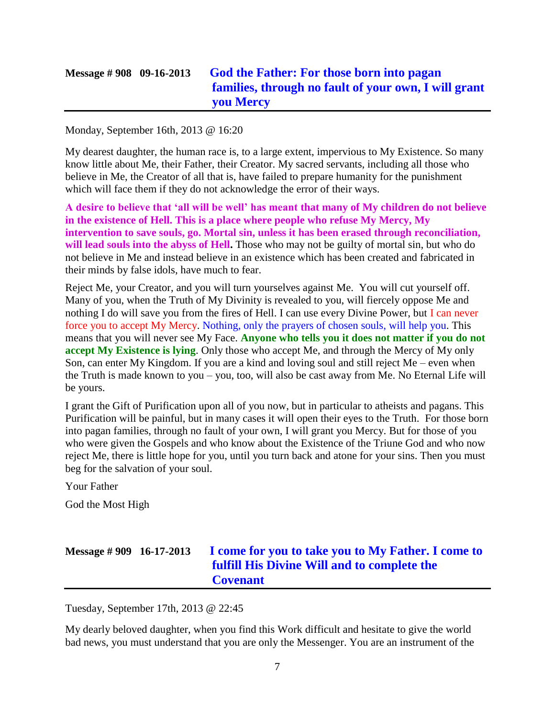# **Message # 908 09-16-2013 [God the Father: For those born into pagan](http://www.thewarningsecondcoming.com/god-the-father-for-those-born-into-pagan-families-and-through-no-fault-of-your-own-i-will-grant-you-mercy/)  [families, through no fault of your own, I will grant](http://www.thewarningsecondcoming.com/god-the-father-for-those-born-into-pagan-families-and-through-no-fault-of-your-own-i-will-grant-you-mercy/)  [you Mercy](http://www.thewarningsecondcoming.com/god-the-father-for-those-born-into-pagan-families-and-through-no-fault-of-your-own-i-will-grant-you-mercy/)**

Monday, September 16th, 2013 @ 16:20

My dearest daughter, the human race is, to a large extent, impervious to My Existence. So many know little about Me, their Father, their Creator. My sacred servants, including all those who believe in Me, the Creator of all that is, have failed to prepare humanity for the punishment which will face them if they do not acknowledge the error of their ways.

**A desire to believe that 'all will be well' has meant that many of My children do not believe in the existence of Hell. This is a place where people who refuse My Mercy, My intervention to save souls, go. Mortal sin, unless it has been erased through reconciliation,**  will lead souls into the abyss of Hell. Those who may not be guilty of mortal sin, but who do not believe in Me and instead believe in an existence which has been created and fabricated in their minds by false idols, have much to fear.

Reject Me, your Creator, and you will turn yourselves against Me. You will cut yourself off. Many of you, when the Truth of My Divinity is revealed to you, will fiercely oppose Me and nothing I do will save you from the fires of Hell. I can use every Divine Power, but I can never force you to accept My Mercy. Nothing, only the prayers of chosen souls, will help you. This means that you will never see My Face. **Anyone who tells you it does not matter if you do not accept My Existence is lying**. Only those who accept Me, and through the Mercy of My only Son, can enter My Kingdom. If you are a kind and loving soul and still reject Me – even when the Truth is made known to you – you, too, will also be cast away from Me. No Eternal Life will be yours.

I grant the Gift of Purification upon all of you now, but in particular to atheists and pagans. This Purification will be painful, but in many cases it will open their eyes to the Truth. For those born into pagan families, through no fault of your own, I will grant you Mercy. But for those of you who were given the Gospels and who know about the Existence of the Triune God and who now reject Me, there is little hope for you, until you turn back and atone for your sins. Then you must beg for the salvation of your soul.

Your Father

God the Most High

# **Message # 909 16-17-2013 [I come for you to take you to My Father. I come to](http://www.thewarningsecondcoming.com/i-come-for-you-to-take-you-to-my-father-i-come-to-fulfill-his-divine-will-and-to-complete-the-covenant/)  [fulfill His Divine Will and to complete the](http://www.thewarningsecondcoming.com/i-come-for-you-to-take-you-to-my-father-i-come-to-fulfill-his-divine-will-and-to-complete-the-covenant/)  [Covenant](http://www.thewarningsecondcoming.com/i-come-for-you-to-take-you-to-my-father-i-come-to-fulfill-his-divine-will-and-to-complete-the-covenant/)**

Tuesday, September 17th, 2013 @ 22:45

My dearly beloved daughter, when you find this Work difficult and hesitate to give the world bad news, you must understand that you are only the Messenger. You are an instrument of the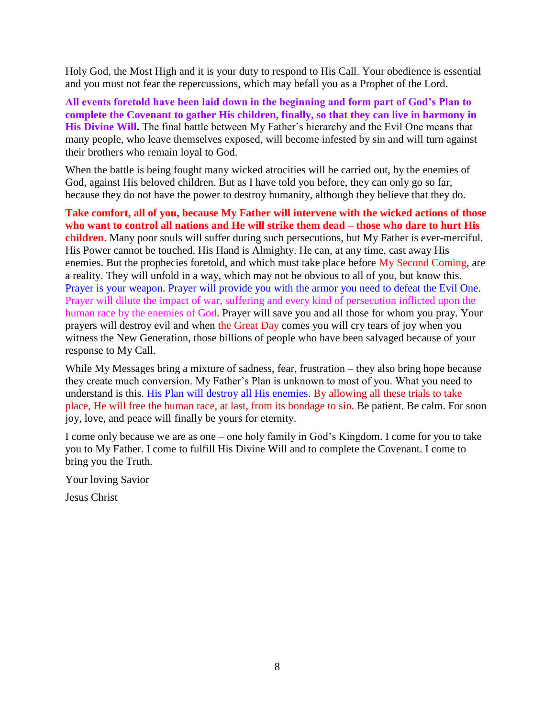Holy God, the Most High and it is your duty to respond to His Call. Your obedience is essential and you must not fear the repercussions, which may befall you as a Prophet of the Lord.

**All events foretold have been laid down in the beginning and form part of God's Plan to complete the Covenant to gather His children, finally, so that they can live in harmony in His Divine Will.** The final battle between My Father's hierarchy and the Evil One means that many people, who leave themselves exposed, will become infested by sin and will turn against their brothers who remain loyal to God.

When the battle is being fought many wicked atrocities will be carried out, by the enemies of God, against His beloved children. But as I have told you before, they can only go so far, because they do not have the power to destroy humanity, although they believe that they do.

**Take comfort, all of you, because My Father will intervene with the wicked actions of those who want to control all nations and He will strike them dead – those who dare to hurt His children**. Many poor souls will suffer during such persecutions, but My Father is ever-merciful. His Power cannot be touched. His Hand is Almighty. He can, at any time, cast away His enemies. But the prophecies foretold, and which must take place before My Second Coming, are a reality. They will unfold in a way, which may not be obvious to all of you, but know this. Prayer is your weapon. Prayer will provide you with the armor you need to defeat the Evil One. Prayer will dilute the impact of war, suffering and every kind of persecution inflicted upon the human race by the enemies of God. Prayer will save you and all those for whom you pray. Your prayers will destroy evil and when the Great Day comes you will cry tears of joy when you witness the New Generation, those billions of people who have been salvaged because of your response to My Call.

While My Messages bring a mixture of sadness, fear, frustration – they also bring hope because they create much conversion. My Father's Plan is unknown to most of you. What you need to understand is this. His Plan will destroy all His enemies. By allowing all these trials to take place, He will free the human race, at last, from its bondage to sin. Be patient. Be calm. For soon joy, love, and peace will finally be yours for eternity.

I come only because we are as one – one holy family in God's Kingdom. I come for you to take you to My Father. I come to fulfill His Divine Will and to complete the Covenant. I come to bring you the Truth.

Your loving Savior

Jesus Christ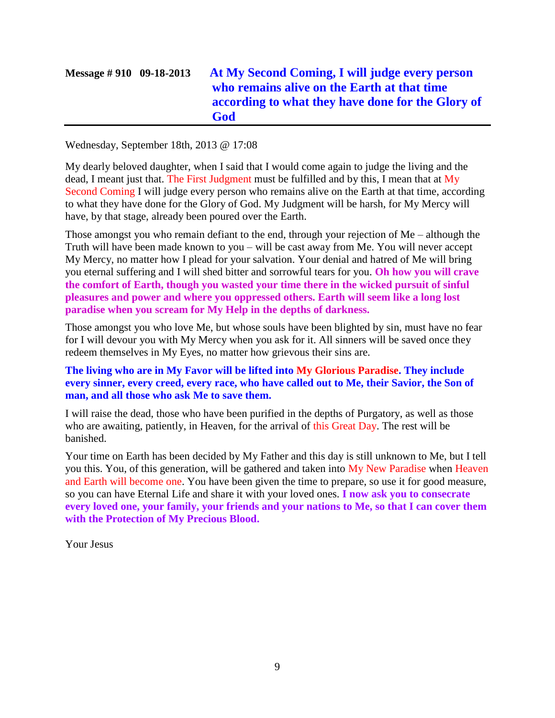# **Message # 910 09-18-2013 [At My Second Coming, I will judge every person](http://www.thewarningsecondcoming.com/at-my-second-coming-i-will-judge-every-person-who-remains-alive-on-the-earth-at-that-time-according-to-what-they-have-done-for-the-glory-of-god/)  [who remains alive on the Earth at that time](http://www.thewarningsecondcoming.com/at-my-second-coming-i-will-judge-every-person-who-remains-alive-on-the-earth-at-that-time-according-to-what-they-have-done-for-the-glory-of-god/)  [according to what they have done for the Glory of](http://www.thewarningsecondcoming.com/at-my-second-coming-i-will-judge-every-person-who-remains-alive-on-the-earth-at-that-time-according-to-what-they-have-done-for-the-glory-of-god/)  [God](http://www.thewarningsecondcoming.com/at-my-second-coming-i-will-judge-every-person-who-remains-alive-on-the-earth-at-that-time-according-to-what-they-have-done-for-the-glory-of-god/)**

Wednesday, September 18th, 2013 @ 17:08

My dearly beloved daughter, when I said that I would come again to judge the living and the dead, I meant just that. The First Judgment must be fulfilled and by this, I mean that at My Second Coming I will judge every person who remains alive on the Earth at that time, according to what they have done for the Glory of God. My Judgment will be harsh, for My Mercy will have, by that stage, already been poured over the Earth.

Those amongst you who remain defiant to the end, through your rejection of Me – although the Truth will have been made known to you – will be cast away from Me. You will never accept My Mercy, no matter how I plead for your salvation. Your denial and hatred of Me will bring you eternal suffering and I will shed bitter and sorrowful tears for you. **Oh how you will crave the comfort of Earth, though you wasted your time there in the wicked pursuit of sinful pleasures and power and where you oppressed others. Earth will seem like a long lost paradise when you scream for My Help in the depths of darkness.**

Those amongst you who love Me, but whose souls have been blighted by sin, must have no fear for I will devour you with My Mercy when you ask for it. All sinners will be saved once they redeem themselves in My Eyes, no matter how grievous their sins are.

**The living who are in My Favor will be lifted into My Glorious Paradise. They include every sinner, every creed, every race, who have called out to Me, their Savior, the Son of man, and all those who ask Me to save them.**

I will raise the dead, those who have been purified in the depths of Purgatory, as well as those who are awaiting, patiently, in Heaven, for the arrival of this Great Day. The rest will be banished.

Your time on Earth has been decided by My Father and this day is still unknown to Me, but I tell you this. You, of this generation, will be gathered and taken into My New Paradise when Heaven and Earth will become one. You have been given the time to prepare, so use it for good measure, so you can have Eternal Life and share it with your loved ones. **I now ask you to consecrate every loved one, your family, your friends and your nations to Me, so that I can cover them with the Protection of My Precious Blood.**

Your Jesus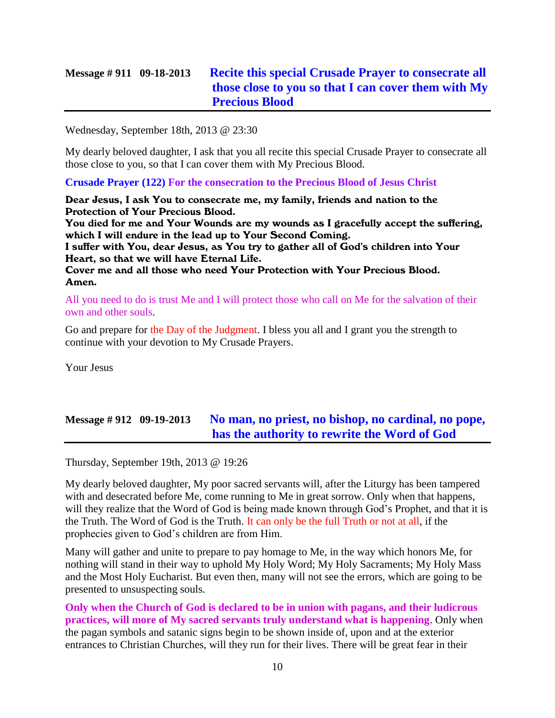### **Message # 911 09-18-2013 [Recite this special Crusade Prayer to consecrate all](http://www.thewarningsecondcoming.com/recite-this-special-crusade-prayer-to-consecrate-all-those-close-to-you-so-that-i-can-cover-them-with-my-precious-blood/)  [those close to you so that I can cover them with My](http://www.thewarningsecondcoming.com/recite-this-special-crusade-prayer-to-consecrate-all-those-close-to-you-so-that-i-can-cover-them-with-my-precious-blood/)  [Precious Blood](http://www.thewarningsecondcoming.com/recite-this-special-crusade-prayer-to-consecrate-all-those-close-to-you-so-that-i-can-cover-them-with-my-precious-blood/)**

Wednesday, September 18th, 2013 @ 23:30

My dearly beloved daughter, I ask that you all recite this special Crusade Prayer to consecrate all those close to you, so that I can cover them with My Precious Blood.

**Crusade Prayer (122) For the consecration to the Precious Blood of Jesus Christ**

Dear Jesus, I ask You to consecrate me, my family, friends and nation to the Protection of Your Precious Blood.

You died for me and Your Wounds are my wounds as I gracefully accept the suffering, which I will endure in the lead up to Your Second Coming.

I suffer with You, dear Jesus, as You try to gather all of God's children into Your Heart, so that we will have Eternal Life.

Cover me and all those who need Your Protection with Your Precious Blood. Amen.

All you need to do is trust Me and I will protect those who call on Me for the salvation of their own and other souls.

Go and prepare for the Day of the Judgment. I bless you all and I grant you the strength to continue with your devotion to My Crusade Prayers.

Your Jesus

### **Message # 912 09-19-2013 [No man, no priest, no bishop, no cardinal, no pope,](http://www.thewarningsecondcoming.com/no-man-no-priest-no-bishop-no-cardinal-no-pope-has-the-authority-to-re-write-the-word-of-god/)  [has the authority to rewrite the Word of God](http://www.thewarningsecondcoming.com/no-man-no-priest-no-bishop-no-cardinal-no-pope-has-the-authority-to-re-write-the-word-of-god/)**

Thursday, September 19th, 2013 @ 19:26

My dearly beloved daughter, My poor sacred servants will, after the Liturgy has been tampered with and desecrated before Me, come running to Me in great sorrow. Only when that happens, will they realize that the Word of God is being made known through God's Prophet, and that it is the Truth. The Word of God is the Truth. It can only be the full Truth or not at all, if the prophecies given to God's children are from Him.

Many will gather and unite to prepare to pay homage to Me, in the way which honors Me, for nothing will stand in their way to uphold My Holy Word; My Holy Sacraments; My Holy Mass and the Most Holy Eucharist. But even then, many will not see the errors, which are going to be presented to unsuspecting souls.

**Only when the Church of God is declared to be in union with pagans, and their ludicrous practices, will more of My sacred servants truly understand what is happening**. Only when the pagan symbols and satanic signs begin to be shown inside of, upon and at the exterior entrances to Christian Churches, will they run for their lives. There will be great fear in their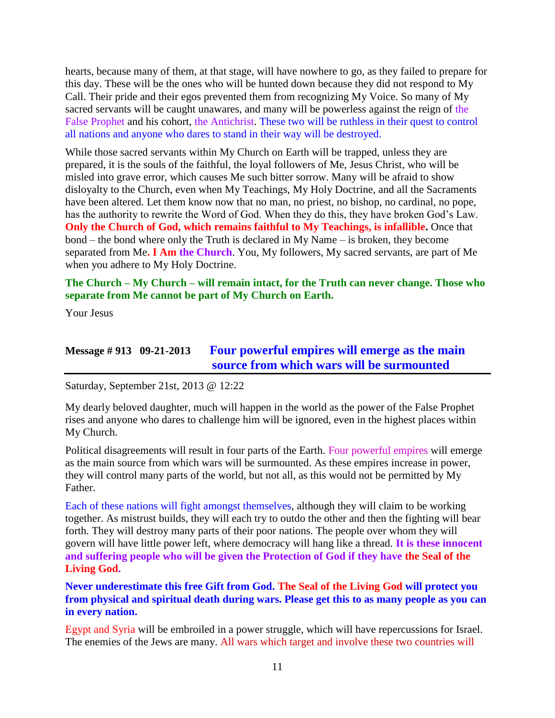hearts, because many of them, at that stage, will have nowhere to go, as they failed to prepare for this day. These will be the ones who will be hunted down because they did not respond to My Call. Their pride and their egos prevented them from recognizing My Voice. So many of My sacred servants will be caught unawares, and many will be powerless against the reign of the False Prophet and his cohort, the Antichrist. These two will be ruthless in their quest to control all nations and anyone who dares to stand in their way will be destroyed.

While those sacred servants within My Church on Earth will be trapped, unless they are prepared, it is the souls of the faithful, the loyal followers of Me, Jesus Christ, who will be misled into grave error, which causes Me such bitter sorrow. Many will be afraid to show disloyalty to the Church, even when My Teachings, My Holy Doctrine, and all the Sacraments have been altered. Let them know now that no man, no priest, no bishop, no cardinal, no pope, has the authority to rewrite the Word of God. When they do this, they have broken God's Law. **Only the Church of God, which remains faithful to My Teachings, is infallible.** Once that bond – the bond where only the Truth is declared in My Name – is broken, they become separated from Me**. I Am the Church**. You, My followers, My sacred servants, are part of Me when you adhere to My Holy Doctrine.

#### **The Church – My Church – will remain intact, for the Truth can never change. Those who separate from Me cannot be part of My Church on Earth.**

Your Jesus

#### **Message # 913 09-21-2013 Four [powerful empires will emerge as the main](http://www.thewarningsecondcoming.com/four-powerful-empires-will-emerge-as-the-main-source-from-which-wars-will-be-surmounted/)  [source from which wars will be surmounted](http://www.thewarningsecondcoming.com/four-powerful-empires-will-emerge-as-the-main-source-from-which-wars-will-be-surmounted/)**

Saturday, September 21st, 2013 @ 12:22

My dearly beloved daughter, much will happen in the world as the power of the False Prophet rises and anyone who dares to challenge him will be ignored, even in the highest places within My Church.

Political disagreements will result in four parts of the Earth. Four powerful empires will emerge as the main source from which wars will be surmounted. As these empires increase in power, they will control many parts of the world, but not all, as this would not be permitted by My Father.

Each of these nations will fight amongst themselves, although they will claim to be working together. As mistrust builds, they will each try to outdo the other and then the fighting will bear forth. They will destroy many parts of their poor nations. The people over whom they will govern will have little power left, where democracy will hang like a thread. **It is these innocent and suffering people who will be given the Protection of God if they have the Seal of the Living God.**

**Never underestimate this free Gift from God. The Seal of the Living God will protect you from physical and spiritual death during wars. Please get this to as many people as you can in every nation.**

Egypt and Syria will be embroiled in a power struggle, which will have repercussions for Israel. The enemies of the Jews are many. All wars which target and involve these two countries will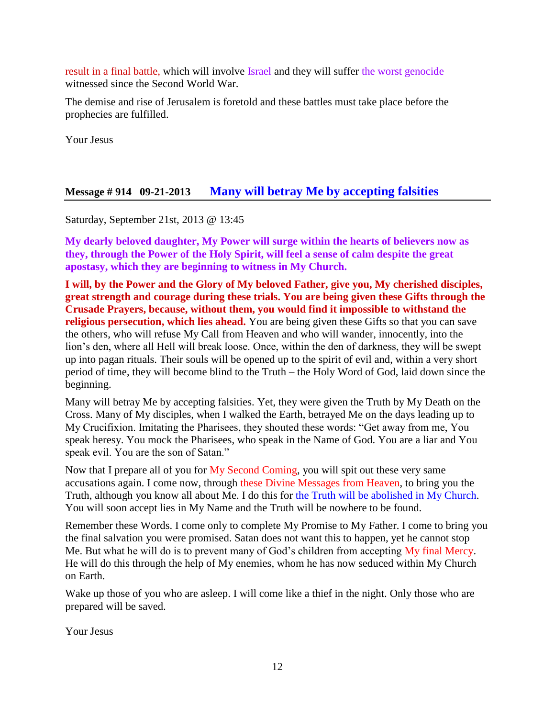result in a final battle, which will involve Israel and they will suffer the worst genocide witnessed since the Second World War.

The demise and rise of Jerusalem is foretold and these battles must take place before the prophecies are fulfilled.

Your Jesus

#### **Message # 914 09-21-2013 [Many will betray Me by accepting falsities](http://www.thewarningsecondcoming.com/many-will-betray-me-by-accepting-falsities/)**

Saturday, September 21st, 2013 @ 13:45

**My dearly beloved daughter, My Power will surge within the hearts of believers now as they, through the Power of the Holy Spirit, will feel a sense of calm despite the great apostasy, which they are beginning to witness in My Church.**

**I will, by the Power and the Glory of My beloved Father, give you, My cherished disciples, great strength and courage during these trials. You are being given these Gifts through the Crusade Prayers, because, without them, you would find it impossible to withstand the religious persecution, which lies ahead.** You are being given these Gifts so that you can save the others, who will refuse My Call from Heaven and who will wander, innocently, into the lion's den, where all Hell will break loose. Once, within the den of darkness, they will be swept up into pagan rituals. Their souls will be opened up to the spirit of evil and, within a very short period of time, they will become blind to the Truth – the Holy Word of God, laid down since the beginning.

Many will betray Me by accepting falsities. Yet, they were given the Truth by My Death on the Cross. Many of My disciples, when I walked the Earth, betrayed Me on the days leading up to My Crucifixion. Imitating the Pharisees, they shouted these words: "Get away from me, You speak heresy. You mock the Pharisees, who speak in the Name of God. You are a liar and You speak evil. You are the son of Satan."

Now that I prepare all of you for My Second Coming, you will spit out these very same accusations again. I come now, through these Divine Messages from Heaven, to bring you the Truth, although you know all about Me. I do this for the Truth will be abolished in My Church. You will soon accept lies in My Name and the Truth will be nowhere to be found.

Remember these Words. I come only to complete My Promise to My Father. I come to bring you the final salvation you were promised. Satan does not want this to happen, yet he cannot stop Me. But what he will do is to prevent many of God's children from accepting My final Mercy. He will do this through the help of My enemies, whom he has now seduced within My Church on Earth.

Wake up those of you who are asleep. I will come like a thief in the night. Only those who are prepared will be saved.

Your Jesus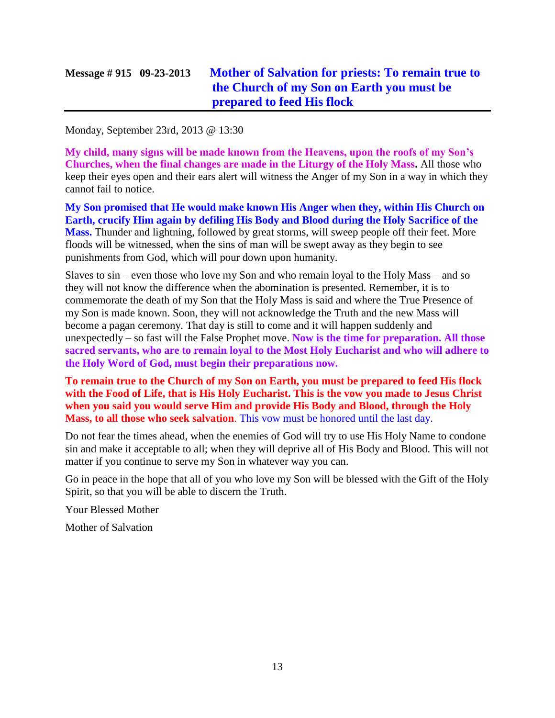# **Message # 915 09-23-2013 [Mother of Salvation for priests: To remain true to](http://www.thewarningsecondcoming.com/mother-of-salvation-for-priests-to-remain-true-to-the-church-of-my-son-on-earth-you-must-be-prepared-to-feed-his-flock/)  [the Church of my Son on Earth you must be](http://www.thewarningsecondcoming.com/mother-of-salvation-for-priests-to-remain-true-to-the-church-of-my-son-on-earth-you-must-be-prepared-to-feed-his-flock/)  [prepared to feed His flock](http://www.thewarningsecondcoming.com/mother-of-salvation-for-priests-to-remain-true-to-the-church-of-my-son-on-earth-you-must-be-prepared-to-feed-his-flock/)**

Monday, September 23rd, 2013 @ 13:30

**My child, many signs will be made known from the Heavens, upon the roofs of my Son's Churches, when the final changes are made in the Liturgy of the Holy Mass.** All those who keep their eyes open and their ears alert will witness the Anger of my Son in a way in which they cannot fail to notice.

**My Son promised that He would make known His Anger when they, within His Church on Earth, crucify Him again by defiling His Body and Blood during the Holy Sacrifice of the Mass.** Thunder and lightning, followed by great storms, will sweep people off their feet. More floods will be witnessed, when the sins of man will be swept away as they begin to see punishments from God, which will pour down upon humanity.

Slaves to sin – even those who love my Son and who remain loyal to the Holy Mass – and so they will not know the difference when the abomination is presented. Remember, it is to commemorate the death of my Son that the Holy Mass is said and where the True Presence of my Son is made known. Soon, they will not acknowledge the Truth and the new Mass will become a pagan ceremony. That day is still to come and it will happen suddenly and unexpectedly – so fast will the False Prophet move. **Now is the time for preparation. All those sacred servants, who are to remain loyal to the Most Holy Eucharist and who will adhere to the Holy Word of God, must begin their preparations now.**

#### **To remain true to the Church of my Son on Earth, you must be prepared to feed His flock with the Food of Life, that is His Holy Eucharist. This is the vow you made to Jesus Christ when you said you would serve Him and provide His Body and Blood, through the Holy Mass, to all those who seek salvation**. This vow must be honored until the last day.

Do not fear the times ahead, when the enemies of God will try to use His Holy Name to condone sin and make it acceptable to all; when they will deprive all of His Body and Blood. This will not matter if you continue to serve my Son in whatever way you can.

Go in peace in the hope that all of you who love my Son will be blessed with the Gift of the Holy Spirit, so that you will be able to discern the Truth.

Your Blessed Mother

Mother of Salvation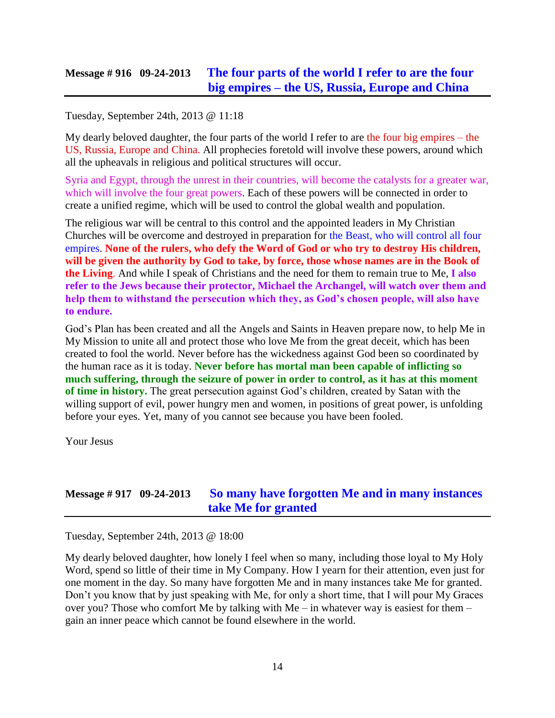### **Message # 916 09-24-2013 [The four parts of the world I refer to are the four](http://www.thewarningsecondcoming.com/the-four-parts-of-the-world-i-refer-to-are-the-four-biggest-empires-the-us-russia-europe-and-china/)  big empires – [the US, Russia, Europe and China](http://www.thewarningsecondcoming.com/the-four-parts-of-the-world-i-refer-to-are-the-four-biggest-empires-the-us-russia-europe-and-china/)**

Tuesday, September 24th, 2013 @ 11:18

My dearly beloved daughter, the four parts of the world I refer to are the four big empires – the US, Russia, Europe and China. All prophecies foretold will involve these powers, around which all the upheavals in religious and political structures will occur.

Syria and Egypt, through the unrest in their countries, will become the catalysts for a greater war, which will involve the four great powers. Each of these powers will be connected in order to create a unified regime, which will be used to control the global wealth and population.

The religious war will be central to this control and the appointed leaders in My Christian Churches will be overcome and destroyed in preparation for the Beast, who will control all four empires. **None of the rulers, who defy the Word of God or who try to destroy His children, will be given the authority by God to take, by force, those whose names are in the Book of the Living**. And while I speak of Christians and the need for them to remain true to Me, **I also refer to the Jews because their protector, Michael the Archangel, will watch over them and help them to withstand the persecution which they, as God's chosen people, will also have to endure.**

God's Plan has been created and all the Angels and Saints in Heaven prepare now, to help Me in My Mission to unite all and protect those who love Me from the great deceit, which has been created to fool the world. Never before has the wickedness against God been so coordinated by the human race as it is today. **Never before has mortal man been capable of inflicting so much suffering, through the seizure of power in order to control, as it has at this moment of time in history.** The great persecution against God's children, created by Satan with the willing support of evil, power hungry men and women, in positions of great power, is unfolding before your eyes. Yet, many of you cannot see because you have been fooled.

Your Jesus

### **Message # 917 09-24-2013 [So many have forgotten Me and in many instances](http://www.thewarningsecondcoming.com/so-many-have-forgotten-me-and-in-many-instances-take-me-for-granted/)  [take Me for granted](http://www.thewarningsecondcoming.com/so-many-have-forgotten-me-and-in-many-instances-take-me-for-granted/)**

Tuesday, September 24th, 2013 @ 18:00

My dearly beloved daughter, how lonely I feel when so many, including those loyal to My Holy Word, spend so little of their time in My Company. How I yearn for their attention, even just for one moment in the day. So many have forgotten Me and in many instances take Me for granted. Don't you know that by just speaking with Me, for only a short time, that I will pour My Graces over you? Those who comfort Me by talking with Me – in whatever way is easiest for them – gain an inner peace which cannot be found elsewhere in the world.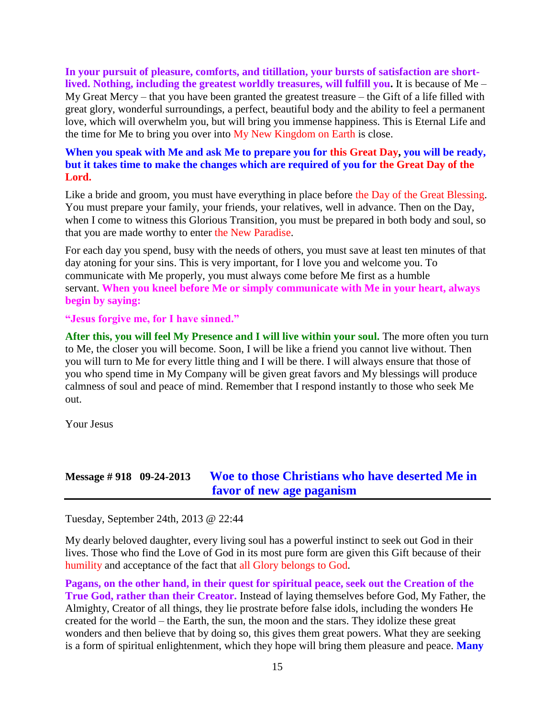**In your pursuit of pleasure, comforts, and titillation, your bursts of satisfaction are shortlived. Nothing, including the greatest worldly treasures, will fulfill you.** It is because of Me – My Great Mercy – that you have been granted the greatest treasure – the Gift of a life filled with great glory, wonderful surroundings, a perfect, beautiful body and the ability to feel a permanent love, which will overwhelm you, but will bring you immense happiness. This is Eternal Life and the time for Me to bring you over into My New Kingdom on Earth is close.

#### **When you speak with Me and ask Me to prepare you for this Great Day, you will be ready, but it takes time to make the changes which are required of you for the Great Day of the Lord.**

Like a bride and groom, you must have everything in place before the Day of the Great Blessing. You must prepare your family, your friends, your relatives, well in advance. Then on the Day, when I come to witness this Glorious Transition, you must be prepared in both body and soul, so that you are made worthy to enter the New Paradise.

For each day you spend, busy with the needs of others, you must save at least ten minutes of that day atoning for your sins. This is very important, for I love you and welcome you. To communicate with Me properly, you must always come before Me first as a humble servant. **When you kneel before Me or simply communicate with Me in your heart, always begin by saying:**

#### **"Jesus forgive me, for I have sinned."**

**After this, you will feel My Presence and I will live within your soul.** The more often you turn to Me, the closer you will become. Soon, I will be like a friend you cannot live without. Then you will turn to Me for every little thing and I will be there. I will always ensure that those of you who spend time in My Company will be given great favors and My blessings will produce calmness of soul and peace of mind. Remember that I respond instantly to those who seek Me out.

Your Jesus

### **Message # 918 09-24-2013 [Woe to those Christians who have deserted Me in](http://www.thewarningsecondcoming.com/woe-to-those-christians-who-have-deserted-me-in-favour-of-new-age-paganism/)  [favor of new age paganism](http://www.thewarningsecondcoming.com/woe-to-those-christians-who-have-deserted-me-in-favour-of-new-age-paganism/)**

Tuesday, September 24th, 2013 @ 22:44

My dearly beloved daughter, every living soul has a powerful instinct to seek out God in their lives. Those who find the Love of God in its most pure form are given this Gift because of their humility and acceptance of the fact that all Glory belongs to God.

**Pagans, on the other hand, in their quest for spiritual peace, seek out the Creation of the True God, rather than their Creator.** Instead of laying themselves before God, My Father, the Almighty, Creator of all things, they lie prostrate before false idols, including the wonders He created for the world – the Earth, the sun, the moon and the stars. They idolize these great wonders and then believe that by doing so, this gives them great powers. What they are seeking is a form of spiritual enlightenment, which they hope will bring them pleasure and peace. **Many**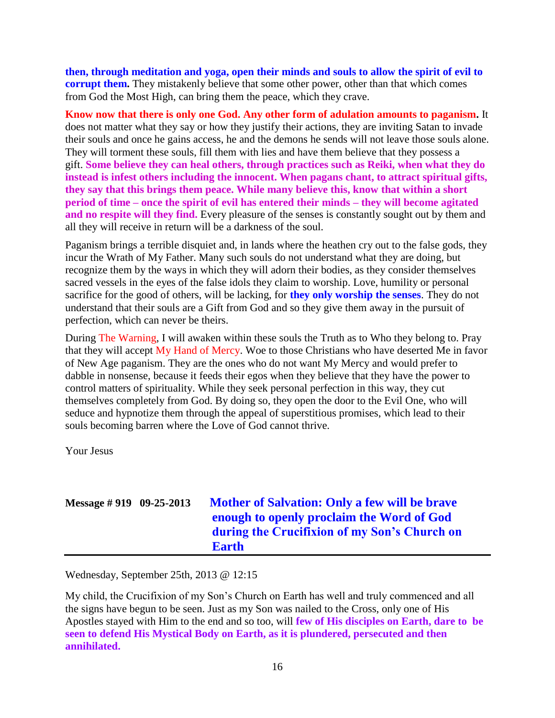**then, through meditation and yoga, open their minds and souls to allow the spirit of evil to corrupt them.** They mistakenly believe that some other power, other than that which comes from God the Most High, can bring them the peace, which they crave.

**Know now that there is only one God. Any other form of adulation amounts to paganism.** It does not matter what they say or how they justify their actions, they are inviting Satan to invade their souls and once he gains access, he and the demons he sends will not leave those souls alone. They will torment these souls, fill them with lies and have them believe that they possess a gift. **Some believe they can heal others, through practices such as Reiki, when what they do instead is infest others including the innocent. When pagans chant, to attract spiritual gifts, they say that this brings them peace. While many believe this, know that within a short period of time – once the spirit of evil has entered their minds – they will become agitated and no respite will they find.** Every pleasure of the senses is constantly sought out by them and all they will receive in return will be a darkness of the soul.

Paganism brings a terrible disquiet and, in lands where the heathen cry out to the false gods, they incur the Wrath of My Father. Many such souls do not understand what they are doing, but recognize them by the ways in which they will adorn their bodies, as they consider themselves sacred vessels in the eyes of the false idols they claim to worship. Love, humility or personal sacrifice for the good of others, will be lacking, for **they only worship the senses**. They do not understand that their souls are a Gift from God and so they give them away in the pursuit of perfection, which can never be theirs.

During The Warning, I will awaken within these souls the Truth as to Who they belong to. Pray that they will accept My Hand of Mercy. Woe to those Christians who have deserted Me in favor of New Age paganism. They are the ones who do not want My Mercy and would prefer to dabble in nonsense, because it feeds their egos when they believe that they have the power to control matters of spirituality. While they seek personal perfection in this way, they cut themselves completely from God. By doing so, they open the door to the Evil One, who will seduce and hypnotize them through the appeal of superstitious promises, which lead to their souls becoming barren where the Love of God cannot thrive.

Your Jesus

### **Message # 919 09-25-2013 [Mother of Salvation: Only a few will be brave](http://www.thewarningsecondcoming.com/only-a-few-will-be-brave-enough-to-openly-proclaim-the-word-of-god-during-the-crucifixion-of-my-sons-church-on-earth-oo/)  [enough to openly proclaim the Word of God](http://www.thewarningsecondcoming.com/only-a-few-will-be-brave-enough-to-openly-proclaim-the-word-of-god-during-the-crucifixion-of-my-sons-church-on-earth-oo/)  [during the Crucifixion of my Son's Church on](http://www.thewarningsecondcoming.com/only-a-few-will-be-brave-enough-to-openly-proclaim-the-word-of-god-during-the-crucifixion-of-my-sons-church-on-earth-oo/)  [Earth](http://www.thewarningsecondcoming.com/only-a-few-will-be-brave-enough-to-openly-proclaim-the-word-of-god-during-the-crucifixion-of-my-sons-church-on-earth-oo/)**

Wednesday, September 25th, 2013 @ 12:15

My child, the Crucifixion of my Son's Church on Earth has well and truly commenced and all the signs have begun to be seen. Just as my Son was nailed to the Cross, only one of His Apostles stayed with Him to the end and so too, will **few of His disciples on Earth, dare to be seen to defend His Mystical Body on Earth, as it is plundered, persecuted and then annihilated.**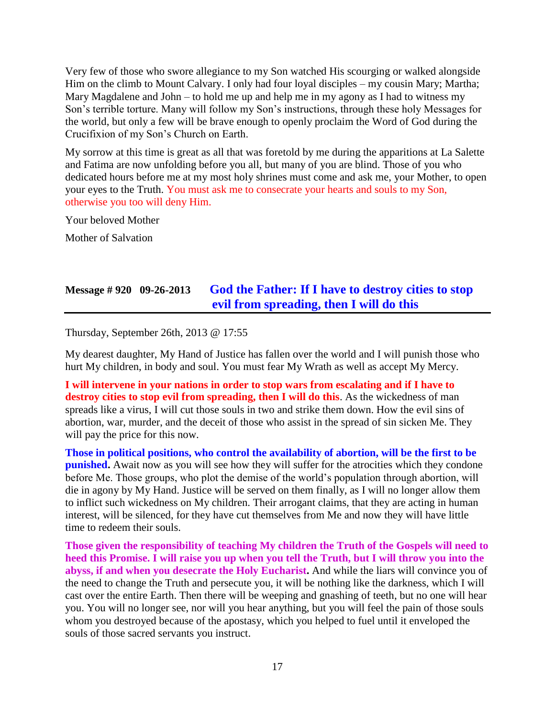Very few of those who swore allegiance to my Son watched His scourging or walked alongside Him on the climb to Mount Calvary. I only had four loyal disciples – my cousin Mary; Martha; Mary Magdalene and John – to hold me up and help me in my agony as I had to witness my Son's terrible torture. Many will follow my Son's instructions, through these holy Messages for the world, but only a few will be brave enough to openly proclaim the Word of God during the Crucifixion of my Son's Church on Earth.

My sorrow at this time is great as all that was foretold by me during the apparitions at La Salette and Fatima are now unfolding before you all, but many of you are blind. Those of you who dedicated hours before me at my most holy shrines must come and ask me, your Mother, to open your eyes to the Truth. You must ask me to consecrate your hearts and souls to my Son, otherwise you too will deny Him.

Your beloved Mother

Mother of Salvation

### **Message # 920 09-26-2013 [God the Father: If I have to destroy cities to stop](http://www.thewarningsecondcoming.com/god-the-father-if-i-have-to-destroy-cities-to-stop-evil-from-spreading-then-i-will-do-this/)  [evil from spreading, then I will do this](http://www.thewarningsecondcoming.com/god-the-father-if-i-have-to-destroy-cities-to-stop-evil-from-spreading-then-i-will-do-this/)**

Thursday, September 26th, 2013 @ 17:55

My dearest daughter, My Hand of Justice has fallen over the world and I will punish those who hurt My children, in body and soul. You must fear My Wrath as well as accept My Mercy.

**I will intervene in your nations in order to stop wars from escalating and if I have to destroy cities to stop evil from spreading, then I will do this**. As the wickedness of man spreads like a virus, I will cut those souls in two and strike them down. How the evil sins of abortion, war, murder, and the deceit of those who assist in the spread of sin sicken Me. They will pay the price for this now.

**Those in political positions, who control the availability of abortion, will be the first to be punished.** Await now as you will see how they will suffer for the atrocities which they condone before Me. Those groups, who plot the demise of the world's population through abortion, will die in agony by My Hand. Justice will be served on them finally, as I will no longer allow them to inflict such wickedness on My children. Their arrogant claims, that they are acting in human interest, will be silenced, for they have cut themselves from Me and now they will have little time to redeem their souls.

**Those given the responsibility of teaching My children the Truth of the Gospels will need to heed this Promise. I will raise you up when you tell the Truth, but I will throw you into the abyss, if and when you desecrate the Holy Eucharist.** And while the liars will convince you of the need to change the Truth and persecute you, it will be nothing like the darkness, which I will cast over the entire Earth. Then there will be weeping and gnashing of teeth, but no one will hear you. You will no longer see, nor will you hear anything, but you will feel the pain of those souls whom you destroyed because of the apostasy, which you helped to fuel until it enveloped the souls of those sacred servants you instruct.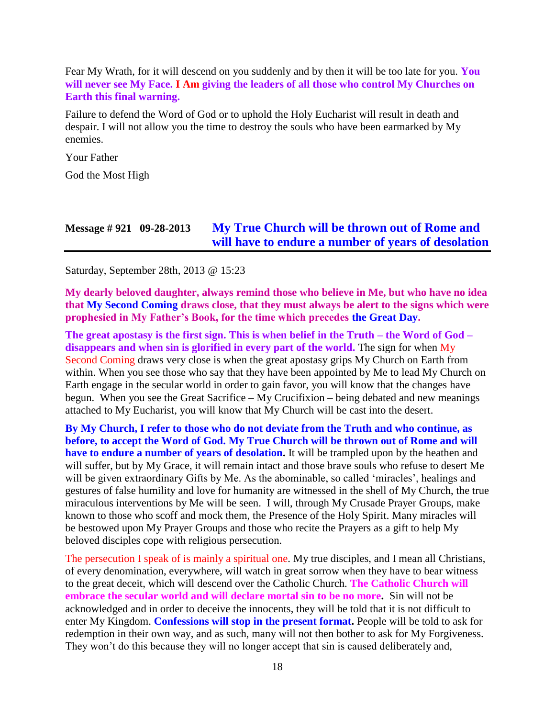Fear My Wrath, for it will descend on you suddenly and by then it will be too late for you. **You will never see My Face. I Am giving the leaders of all those who control My Churches on Earth this final warning.**

Failure to defend the Word of God or to uphold the Holy Eucharist will result in death and despair. I will not allow you the time to destroy the souls who have been earmarked by My enemies.

Your Father

God the Most High

# **Message # 921 09-28-2013 [My True Church will be thrown out of Rome and](http://www.thewarningsecondcoming.com/my-true-church-will-be-thrown-out-of-rome-and-will-have-to-endure-a-number-of-years-of-desolation/)  [will have to endure a number of years of desolation](http://www.thewarningsecondcoming.com/my-true-church-will-be-thrown-out-of-rome-and-will-have-to-endure-a-number-of-years-of-desolation/)**

Saturday, September 28th, 2013 @ 15:23

**My dearly beloved daughter, always remind those who believe in Me, but who have no idea that My Second Coming draws close, that they must always be alert to the signs which were prophesied in My Father's Book, for the time which precedes the Great Day.**

**The great apostasy is the first sign. This is when belief in the Truth – the Word of God – disappears and when sin is glorified in every part of the world.** The sign for when My Second Coming draws very close is when the great apostasy grips My Church on Earth from within. When you see those who say that they have been appointed by Me to lead My Church on Earth engage in the secular world in order to gain favor, you will know that the changes have begun. When you see the Great Sacrifice – My Crucifixion – being debated and new meanings attached to My Eucharist, you will know that My Church will be cast into the desert.

**By My Church, I refer to those who do not deviate from the Truth and who continue, as before, to accept the Word of God. My True Church will be thrown out of Rome and will have to endure a number of years of desolation.** It will be trampled upon by the heathen and will suffer, but by My Grace, it will remain intact and those brave souls who refuse to desert Me will be given extraordinary Gifts by Me. As the abominable, so called 'miracles', healings and gestures of false humility and love for humanity are witnessed in the shell of My Church, the true miraculous interventions by Me will be seen. I will, through My Crusade Prayer Groups, make known to those who scoff and mock them, the Presence of the Holy Spirit. Many miracles will be bestowed upon My Prayer Groups and those who recite the Prayers as a gift to help My beloved disciples cope with religious persecution.

The persecution I speak of is mainly a spiritual one. My true disciples, and I mean all Christians, of every denomination, everywhere, will watch in great sorrow when they have to bear witness to the great deceit, which will descend over the Catholic Church. **The Catholic Church will embrace the secular world and will declare mortal sin to be no more.** Sin will not be acknowledged and in order to deceive the innocents, they will be told that it is not difficult to enter My Kingdom. **Confessions will stop in the present format.** People will be told to ask for redemption in their own way, and as such, many will not then bother to ask for My Forgiveness. They won't do this because they will no longer accept that sin is caused deliberately and,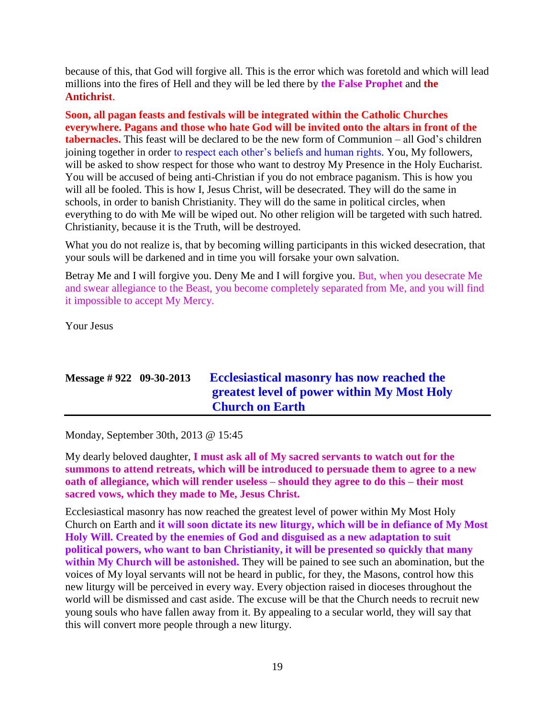because of this, that God will forgive all. This is the error which was foretold and which will lead millions into the fires of Hell and they will be led there by **the False Prophet** and **the Antichrist**.

**Soon, all pagan feasts and festivals will be integrated within the Catholic Churches everywhere. Pagans and those who hate God will be invited onto the altars in front of the tabernacles.** This feast will be declared to be the new form of Communion – all God's children joining together in order to respect each other's beliefs and human rights. You, My followers, will be asked to show respect for those who want to destroy My Presence in the Holy Eucharist. You will be accused of being anti-Christian if you do not embrace paganism. This is how you will all be fooled. This is how I, Jesus Christ, will be desecrated. They will do the same in schools, in order to banish Christianity. They will do the same in political circles, when everything to do with Me will be wiped out. No other religion will be targeted with such hatred. Christianity, because it is the Truth, will be destroyed.

What you do not realize is, that by becoming willing participants in this wicked desecration, that your souls will be darkened and in time you will forsake your own salvation.

Betray Me and I will forgive you. Deny Me and I will forgive you. But, when you desecrate Me and swear allegiance to the Beast, you become completely separated from Me, and you will find it impossible to accept My Mercy.

Your Jesus

# **Message # 922 09-30-2013 [Ecclesiastical masonry has now reached the](http://www.thewarningsecondcoming.com/ecclesiastical-masonry-has-now-reached-the-greatest-level-of-power-within-my-most-holy-church-on-earth/)  [greatest level of power within My Most Holy](http://www.thewarningsecondcoming.com/ecclesiastical-masonry-has-now-reached-the-greatest-level-of-power-within-my-most-holy-church-on-earth/)  [Church on Earth](http://www.thewarningsecondcoming.com/ecclesiastical-masonry-has-now-reached-the-greatest-level-of-power-within-my-most-holy-church-on-earth/)**

Monday, September 30th, 2013 @ 15:45

My dearly beloved daughter, **I must ask all of My sacred servants to watch out for the summons to attend retreats, which will be introduced to persuade them to agree to a new oath of allegiance, which will render useless – should they agree to do this – their most sacred vows, which they made to Me, Jesus Christ.**

Ecclesiastical masonry has now reached the greatest level of power within My Most Holy Church on Earth and **it will soon dictate its new liturgy, which will be in defiance of My Most Holy Will. Created by the enemies of God and disguised as a new adaptation to suit political powers, who want to ban Christianity, it will be presented so quickly that many within My Church will be astonished.** They will be pained to see such an abomination, but the voices of My loyal servants will not be heard in public, for they, the Masons, control how this new liturgy will be perceived in every way. Every objection raised in dioceses throughout the world will be dismissed and cast aside. The excuse will be that the Church needs to recruit new young souls who have fallen away from it. By appealing to a secular world, they will say that this will convert more people through a new liturgy.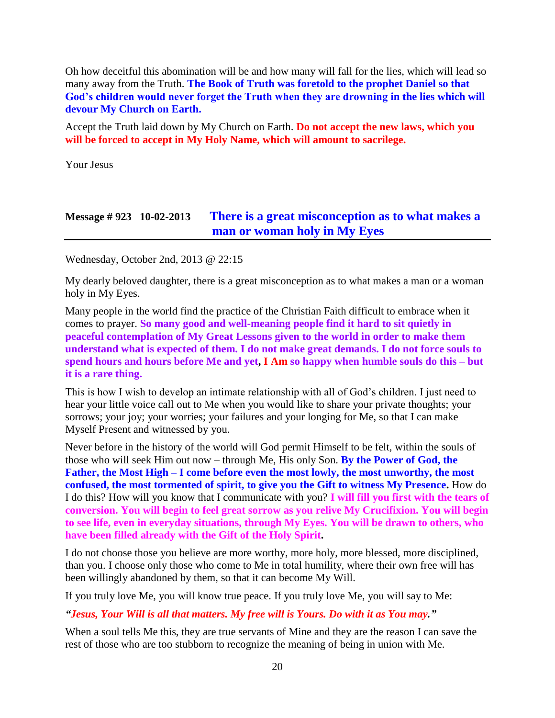Oh how deceitful this abomination will be and how many will fall for the lies, which will lead so many away from the Truth. **The Book of Truth was foretold to the prophet Daniel so that God's children would never forget the Truth when they are drowning in the lies which will devour My Church on Earth.**

Accept the Truth laid down by My Church on Earth. **Do not accept the new laws, which you will be forced to accept in My Holy Name, which will amount to sacrilege.**

Your Jesus

#### **Message # 923 10-02-2013 [There is a great misconception as to what makes a](http://www.thewarningsecondcoming.com/there-is-a-great-misconception-as-to-what-makes-a-man-or-woman-holy-in-my-eyes/)  [man or woman holy in My Eyes](http://www.thewarningsecondcoming.com/there-is-a-great-misconception-as-to-what-makes-a-man-or-woman-holy-in-my-eyes/)**

Wednesday, October 2nd, 2013 @ 22:15

My dearly beloved daughter, there is a great misconception as to what makes a man or a woman holy in My Eyes.

Many people in the world find the practice of the Christian Faith difficult to embrace when it comes to prayer. **So many good and well-meaning people find it hard to sit quietly in peaceful contemplation of My Great Lessons given to the world in order to make them understand what is expected of them. I do not make great demands. I do not force souls to spend hours and hours before Me and yet, I Am so happy when humble souls do this – but it is a rare thing.**

This is how I wish to develop an intimate relationship with all of God's children. I just need to hear your little voice call out to Me when you would like to share your private thoughts; your sorrows; your joy; your worries; your failures and your longing for Me, so that I can make Myself Present and witnessed by you.

Never before in the history of the world will God permit Himself to be felt, within the souls of those who will seek Him out now – through Me, His only Son. **By the Power of God, the Father, the Most High – I come before even the most lowly, the most unworthy, the most confused, the most tormented of spirit, to give you the Gift to witness My Presence.** How do I do this? How will you know that I communicate with you? **I will fill you first with the tears of conversion. You will begin to feel great sorrow as you relive My Crucifixion. You will begin to see life, even in everyday situations, through My Eyes. You will be drawn to others, who have been filled already with the Gift of the Holy Spirit.**

I do not choose those you believe are more worthy, more holy, more blessed, more disciplined, than you. I choose only those who come to Me in total humility, where their own free will has been willingly abandoned by them, so that it can become My Will.

If you truly love Me, you will know true peace. If you truly love Me, you will say to Me:

#### *"Jesus, Your Will is all that matters. My free will is Yours. Do with it as You may."*

When a soul tells Me this, they are true servants of Mine and they are the reason I can save the rest of those who are too stubborn to recognize the meaning of being in union with Me.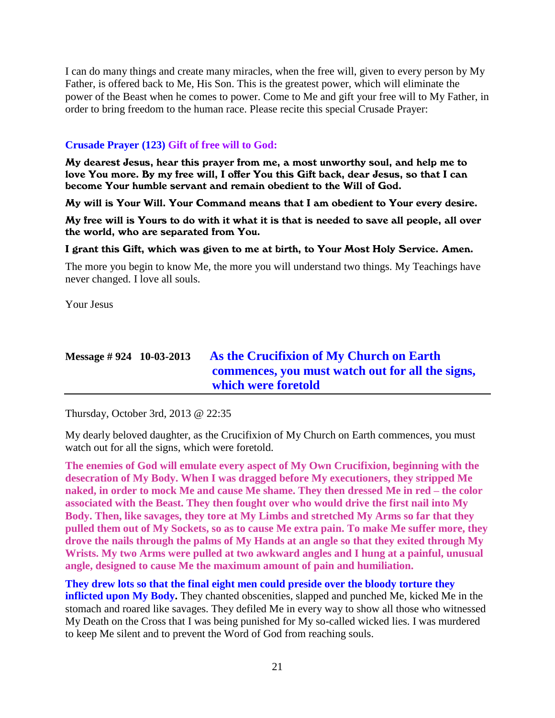I can do many things and create many miracles, when the free will, given to every person by My Father, is offered back to Me, His Son. This is the greatest power, which will eliminate the power of the Beast when he comes to power. Come to Me and gift your free will to My Father, in order to bring freedom to the human race. Please recite this special Crusade Prayer:

#### **Crusade Prayer (123) Gift of free will to God:**

My dearest Jesus, hear this prayer from me, a most unworthy soul, and help me to love You more. By my free will, I offer You this Gift back, dear Jesus, so that I can become Your humble servant and remain obedient to the Will of God.

My will is Your Will. Your Command means that I am obedient to Your every desire.

My free will is Yours to do with it what it is that is needed to save all people, all over the world, who are separated from You.

#### I grant this Gift, which was given to me at birth, to Your Most Holy Service. Amen.

The more you begin to know Me, the more you will understand two things. My Teachings have never changed. I love all souls.

Your Jesus

### **Message # 924 10-03-2013 [As the Crucifixion of My Church on Earth](http://www.thewarningsecondcoming.com/as-the-crucifixion-of-my-church-on-earth-commences-you-must-watch-out-for-all-the-signs-which-were-foretold/)  [commences, you must watch out for all the signs,](http://www.thewarningsecondcoming.com/as-the-crucifixion-of-my-church-on-earth-commences-you-must-watch-out-for-all-the-signs-which-were-foretold/)  [which were foretold](http://www.thewarningsecondcoming.com/as-the-crucifixion-of-my-church-on-earth-commences-you-must-watch-out-for-all-the-signs-which-were-foretold/)**

Thursday, October 3rd, 2013 @ 22:35

My dearly beloved daughter, as the Crucifixion of My Church on Earth commences, you must watch out for all the signs, which were foretold.

**The enemies of God will emulate every aspect of My Own Crucifixion, beginning with the desecration of My Body. When I was dragged before My executioners, they stripped Me naked, in order to mock Me and cause Me shame. They then dressed Me in red – the color associated with the Beast. They then fought over who would drive the first nail into My Body. Then, like savages, they tore at My Limbs and stretched My Arms so far that they pulled them out of My Sockets, so as to cause Me extra pain. To make Me suffer more, they drove the nails through the palms of My Hands at an angle so that they exited through My Wrists. My two Arms were pulled at two awkward angles and I hung at a painful, unusual angle, designed to cause Me the maximum amount of pain and humiliation.**

**They drew lots so that the final eight men could preside over the bloody torture they inflicted upon My Body.** They chanted obscenities, slapped and punched Me, kicked Me in the stomach and roared like savages. They defiled Me in every way to show all those who witnessed My Death on the Cross that I was being punished for My so-called wicked lies. I was murdered to keep Me silent and to prevent the Word of God from reaching souls.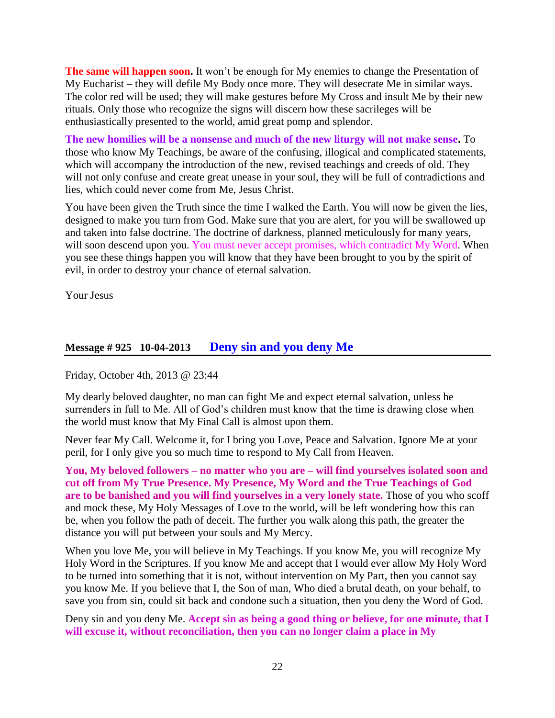**The same will happen soon.** It won't be enough for My enemies to change the Presentation of My Eucharist – they will defile My Body once more. They will desecrate Me in similar ways. The color red will be used; they will make gestures before My Cross and insult Me by their new rituals. Only those who recognize the signs will discern how these sacrileges will be enthusiastically presented to the world, amid great pomp and splendor.

**The new homilies will be a nonsense and much of the new liturgy will not make sense.** To those who know My Teachings, be aware of the confusing, illogical and complicated statements, which will accompany the introduction of the new, revised teachings and creeds of old. They will not only confuse and create great unease in your soul, they will be full of contradictions and lies, which could never come from Me, Jesus Christ.

You have been given the Truth since the time I walked the Earth. You will now be given the lies, designed to make you turn from God. Make sure that you are alert, for you will be swallowed up and taken into false doctrine. The doctrine of darkness, planned meticulously for many years, will soon descend upon you. You must never accept promises, which contradict My Word. When you see these things happen you will know that they have been brought to you by the spirit of evil, in order to destroy your chance of eternal salvation.

Your Jesus

#### **Message # 925 10-04-2013 [Deny sin and you deny Me](http://www.thewarningsecondcoming.com/deny-sin-and-you-deny-me/)**

Friday, October 4th, 2013 @ 23:44

My dearly beloved daughter, no man can fight Me and expect eternal salvation, unless he surrenders in full to Me. All of God's children must know that the time is drawing close when the world must know that My Final Call is almost upon them.

Never fear My Call. Welcome it, for I bring you Love, Peace and Salvation. Ignore Me at your peril, for I only give you so much time to respond to My Call from Heaven.

**You, My beloved followers – no matter who you are – will find yourselves isolated soon and cut off from My True Presence. My Presence, My Word and the True Teachings of God are to be banished and you will find yourselves in a very lonely state.** Those of you who scoff and mock these, My Holy Messages of Love to the world, will be left wondering how this can be, when you follow the path of deceit. The further you walk along this path, the greater the distance you will put between your souls and My Mercy.

When you love Me, you will believe in My Teachings. If you know Me, you will recognize My Holy Word in the Scriptures. If you know Me and accept that I would ever allow My Holy Word to be turned into something that it is not, without intervention on My Part, then you cannot say you know Me. If you believe that I, the Son of man, Who died a brutal death, on your behalf, to save you from sin, could sit back and condone such a situation, then you deny the Word of God.

Deny sin and you deny Me. **Accept sin as being a good thing or believe, for one minute, that I will excuse it, without reconciliation, then you can no longer claim a place in My**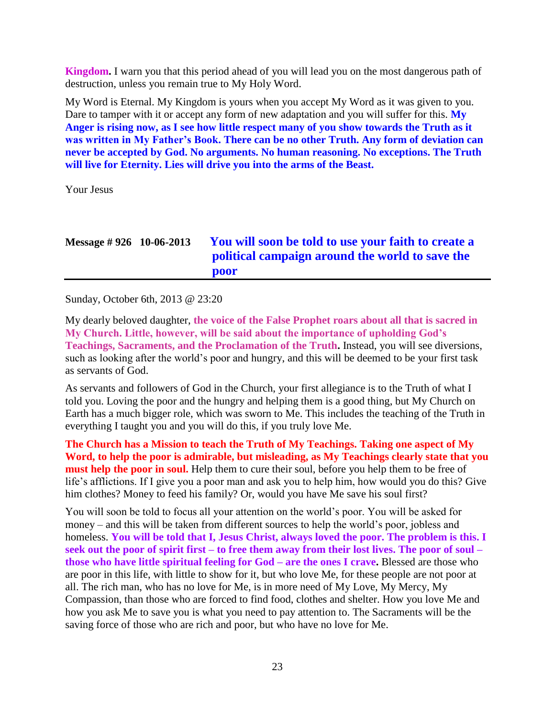**Kingdom.** I warn you that this period ahead of you will lead you on the most dangerous path of destruction, unless you remain true to My Holy Word.

My Word is Eternal. My Kingdom is yours when you accept My Word as it was given to you. Dare to tamper with it or accept any form of new adaptation and you will suffer for this. **My Anger is rising now, as I see how little respect many of you show towards the Truth as it was written in My Father's Book. There can be no other Truth. Any form of deviation can never be accepted by God. No arguments. No human reasoning. No exceptions. The Truth will live for Eternity. Lies will drive you into the arms of the Beast.**

Your Jesus

| Message $\#$ 926 10-06-2013 | You will soon be told to use your faith to create a |
|-----------------------------|-----------------------------------------------------|
|                             | political campaign around the world to save the     |
|                             | poor                                                |

Sunday, October 6th, 2013 @ 23:20

My dearly beloved daughter, **the voice of the False Prophet roars about all that is sacred in My Church. Little, however, will be said about the importance of upholding God's Teachings, Sacraments, and the Proclamation of the Truth.** Instead, you will see diversions, such as looking after the world's poor and hungry, and this will be deemed to be your first task as servants of God.

As servants and followers of God in the Church, your first allegiance is to the Truth of what I told you. Loving the poor and the hungry and helping them is a good thing, but My Church on Earth has a much bigger role, which was sworn to Me. This includes the teaching of the Truth in everything I taught you and you will do this, if you truly love Me.

**The Church has a Mission to teach the Truth of My Teachings. Taking one aspect of My Word, to help the poor is admirable, but misleading, as My Teachings clearly state that you must help the poor in soul.** Help them to cure their soul, before you help them to be free of life's afflictions. If I give you a poor man and ask you to help him, how would you do this? Give him clothes? Money to feed his family? Or, would you have Me save his soul first?

You will soon be told to focus all your attention on the world's poor. You will be asked for money – and this will be taken from different sources to help the world's poor, jobless and homeless. **You will be told that I, Jesus Christ, always loved the poor. The problem is this. I seek out the poor of spirit first – to free them away from their lost lives. The poor of soul – those who have little spiritual feeling for God – are the ones I crave.** Blessed are those who are poor in this life, with little to show for it, but who love Me, for these people are not poor at all. The rich man, who has no love for Me, is in more need of My Love, My Mercy, My Compassion, than those who are forced to find food, clothes and shelter. How you love Me and how you ask Me to save you is what you need to pay attention to. The Sacraments will be the saving force of those who are rich and poor, but who have no love for Me.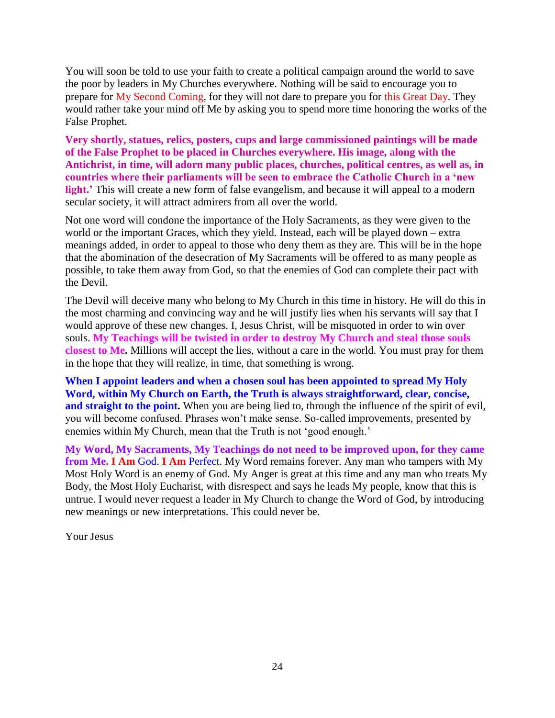You will soon be told to use your faith to create a political campaign around the world to save the poor by leaders in My Churches everywhere. Nothing will be said to encourage you to prepare for My Second Coming, for they will not dare to prepare you for this Great Day. They would rather take your mind off Me by asking you to spend more time honoring the works of the False Prophet.

**Very shortly, statues, relics, posters, cups and large commissioned paintings will be made of the False Prophet to be placed in Churches everywhere. His image, along with the Antichrist, in time, will adorn many public places, churches, political centres, as well as, in countries where their parliaments will be seen to embrace the Catholic Church in a 'new light.'** This will create a new form of false evangelism, and because it will appeal to a modern secular society, it will attract admirers from all over the world.

Not one word will condone the importance of the Holy Sacraments, as they were given to the world or the important Graces, which they yield. Instead, each will be played down – extra meanings added, in order to appeal to those who deny them as they are. This will be in the hope that the abomination of the desecration of My Sacraments will be offered to as many people as possible, to take them away from God, so that the enemies of God can complete their pact with the Devil.

The Devil will deceive many who belong to My Church in this time in history. He will do this in the most charming and convincing way and he will justify lies when his servants will say that I would approve of these new changes. I, Jesus Christ, will be misquoted in order to win over souls. **My Teachings will be twisted in order to destroy My Church and steal those souls closest to Me.** Millions will accept the lies, without a care in the world. You must pray for them in the hope that they will realize, in time, that something is wrong.

**When I appoint leaders and when a chosen soul has been appointed to spread My Holy Word, within My Church on Earth, the Truth is always straightforward, clear, concise, and straight to the point.** When you are being lied to, through the influence of the spirit of evil, you will become confused. Phrases won't make sense. So-called improvements, presented by enemies within My Church, mean that the Truth is not 'good enough.'

**My Word, My Sacraments, My Teachings do not need to be improved upon, for they came from Me. I Am** God. **I Am** Perfect. My Word remains forever. Any man who tampers with My Most Holy Word is an enemy of God. My Anger is great at this time and any man who treats My Body, the Most Holy Eucharist, with disrespect and says he leads My people, know that this is untrue. I would never request a leader in My Church to change the Word of God, by introducing new meanings or new interpretations. This could never be.

Your Jesus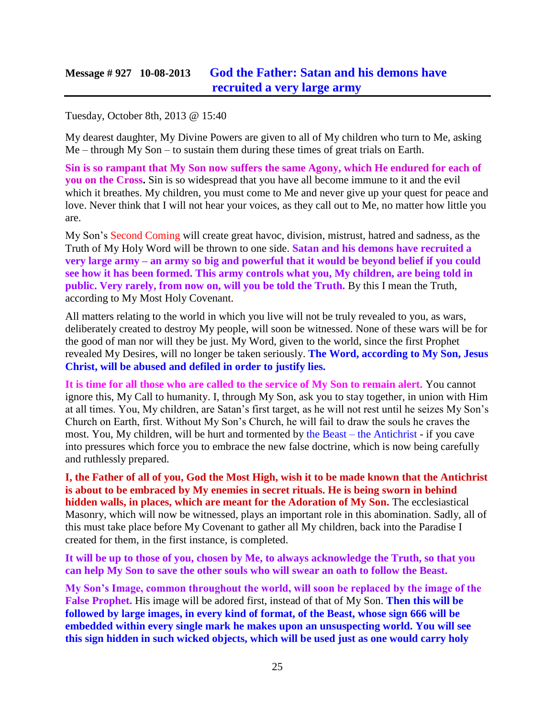#### **Message # 927 10-08-2013 [God the Father: Satan and his demons have](http://www.thewarningsecondcoming.com/god-the-father-satan-and-his-demons-have-recruited-a-very-large-army/)  [recruited a very large army](http://www.thewarningsecondcoming.com/god-the-father-satan-and-his-demons-have-recruited-a-very-large-army/)**

Tuesday, October 8th, 2013 @ 15:40

My dearest daughter, My Divine Powers are given to all of My children who turn to Me, asking Me – through My Son – to sustain them during these times of great trials on Earth.

**Sin is so rampant that My Son now suffers the same Agony, which He endured for each of you on the Cross.** Sin is so widespread that you have all become immune to it and the evil which it breathes. My children, you must come to Me and never give up your quest for peace and love. Never think that I will not hear your voices, as they call out to Me, no matter how little you are.

My Son's Second Coming will create great havoc, division, mistrust, hatred and sadness, as the Truth of My Holy Word will be thrown to one side. **Satan and his demons have recruited a very large army – an army so big and powerful that it would be beyond belief if you could see how it has been formed. This army controls what you, My children, are being told in public. Very rarely, from now on, will you be told the Truth.** By this I mean the Truth, according to My Most Holy Covenant.

All matters relating to the world in which you live will not be truly revealed to you, as wars, deliberately created to destroy My people, will soon be witnessed. None of these wars will be for the good of man nor will they be just. My Word, given to the world, since the first Prophet revealed My Desires, will no longer be taken seriously. **The Word, according to My Son, Jesus Christ, will be abused and defiled in order to justify lies.**

**It is time for all those who are called to the service of My Son to remain alert.** You cannot ignore this, My Call to humanity. I, through My Son, ask you to stay together, in union with Him at all times. You, My children, are Satan's first target, as he will not rest until he seizes My Son's Church on Earth, first. Without My Son's Church, he will fail to draw the souls he craves the most. You, My children, will be hurt and tormented by the Beast – the Antichrist - if you cave into pressures which force you to embrace the new false doctrine, which is now being carefully and ruthlessly prepared.

**I, the Father of all of you, God the Most High, wish it to be made known that the Antichrist is about to be embraced by My enemies in secret rituals. He is being sworn in behind hidden walls, in places, which are meant for the Adoration of My Son.** The ecclesiastical Masonry, which will now be witnessed, plays an important role in this abomination. Sadly, all of this must take place before My Covenant to gather all My children, back into the Paradise I created for them, in the first instance, is completed.

**It will be up to those of you, chosen by Me, to always acknowledge the Truth, so that you can help My Son to save the other souls who will swear an oath to follow the Beast.**

**My Son's Image, common throughout the world, will soon be replaced by the image of the False Prophet.** His image will be adored first, instead of that of My Son. **Then this will be followed by large images, in every kind of format, of the Beast, whose sign 666 will be embedded within every single mark he makes upon an unsuspecting world. You will see this sign hidden in such wicked objects, which will be used just as one would carry holy**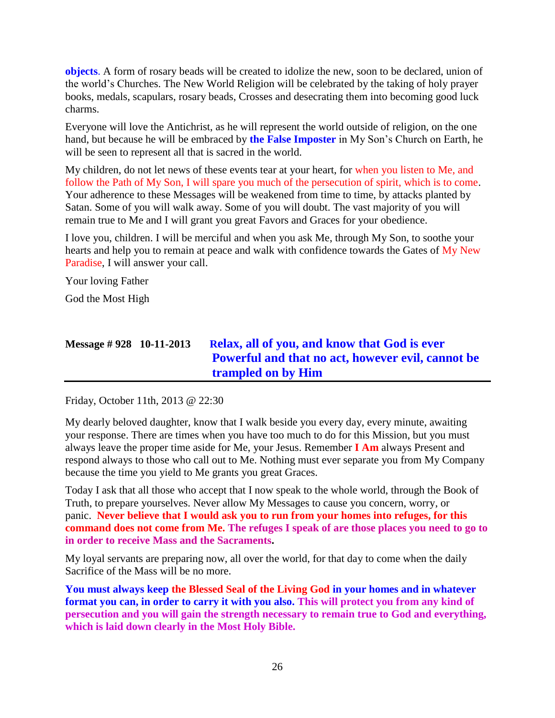**objects**. A form of rosary beads will be created to idolize the new, soon to be declared, union of the world's Churches. The New World Religion will be celebrated by the taking of holy prayer books, medals, scapulars, rosary beads, Crosses and desecrating them into becoming good luck charms.

Everyone will love the Antichrist, as he will represent the world outside of religion, on the one hand, but because he will be embraced by **the False Imposter** in My Son's Church on Earth, he will be seen to represent all that is sacred in the world.

My children, do not let news of these events tear at your heart, for when you listen to Me, and follow the Path of My Son, I will spare you much of the persecution of spirit, which is to come. Your adherence to these Messages will be weakened from time to time, by attacks planted by Satan. Some of you will walk away. Some of you will doubt. The vast majority of you will remain true to Me and I will grant you great Favors and Graces for your obedience.

I love you, children. I will be merciful and when you ask Me, through My Son, to soothe your hearts and help you to remain at peace and walk with confidence towards the Gates of My New Paradise, I will answer your call.

Your loving Father

God the Most High

# **Message # 928 10-11-2013 R[elax, all of you, and know that God is ever](http://www.thewarningsecondcoming.com/relax-all-of-you-and-know-that-god-is-ever-powerful-and-that-no-act-however-evil-cannot-be-trampled-on-by-him/)  [Powerful and that no act, however evil, cannot be](http://www.thewarningsecondcoming.com/relax-all-of-you-and-know-that-god-is-ever-powerful-and-that-no-act-however-evil-cannot-be-trampled-on-by-him/)  [trampled on by Him](http://www.thewarningsecondcoming.com/relax-all-of-you-and-know-that-god-is-ever-powerful-and-that-no-act-however-evil-cannot-be-trampled-on-by-him/)**

Friday, October 11th, 2013 @ 22:30

My dearly beloved daughter, know that I walk beside you every day, every minute, awaiting your response. There are times when you have too much to do for this Mission, but you must always leave the proper time aside for Me, your Jesus. Remember **I Am** always Present and respond always to those who call out to Me. Nothing must ever separate you from My Company because the time you yield to Me grants you great Graces.

Today I ask that all those who accept that I now speak to the whole world, through the Book of Truth, to prepare yourselves. Never allow My Messages to cause you concern, worry, or panic. **Never believe that I would ask you to run from your homes into refuges, for this command does not come from Me. The refuges I speak of are those places you need to go to in order to receive Mass and the Sacraments.**

My loyal servants are preparing now, all over the world, for that day to come when the daily Sacrifice of the Mass will be no more.

**You must always keep the Blessed Seal of the Living God in your homes and in whatever format you can, in order to carry it with you also. This will protect you from any kind of persecution and you will gain the strength necessary to remain true to God and everything, which is laid down clearly in the Most Holy Bible.**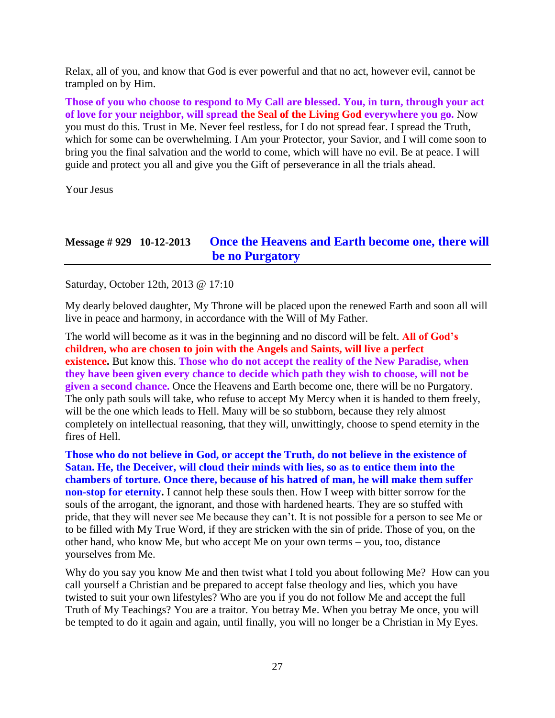Relax, all of you, and know that God is ever powerful and that no act, however evil, cannot be trampled on by Him.

**Those of you who choose to respond to My Call are blessed. You, in turn, through your act of love for your neighbor, will spread the Seal of the Living God everywhere you go.** Now you must do this. Trust in Me. Never feel restless, for I do not spread fear. I spread the Truth, which for some can be overwhelming. I Am your Protector, your Savior, and I will come soon to bring you the final salvation and the world to come, which will have no evil. Be at peace. I will guide and protect you all and give you the Gift of perseverance in all the trials ahead.

Your Jesus

#### **Message # 929 10-12-2013 [Once the Heavens and Earth become one, there will](http://www.thewarningsecondcoming.com/once-the-heavens-and-earth-become-one-there-will-be-no-purgatory/) [be no Purgatory](http://www.thewarningsecondcoming.com/once-the-heavens-and-earth-become-one-there-will-be-no-purgatory/)**

Saturday, October 12th, 2013 @ 17:10

My dearly beloved daughter, My Throne will be placed upon the renewed Earth and soon all will live in peace and harmony, in accordance with the Will of My Father.

The world will become as it was in the beginning and no discord will be felt. **All of God's children, who are chosen to join with the Angels and Saints, will live a perfect existence.** But know this. **Those who do not accept the reality of the New Paradise, when they have been given every chance to decide which path they wish to choose, will not be given a second chance.** Once the Heavens and Earth become one, there will be no Purgatory. The only path souls will take, who refuse to accept My Mercy when it is handed to them freely, will be the one which leads to Hell. Many will be so stubborn, because they rely almost completely on intellectual reasoning, that they will, unwittingly, choose to spend eternity in the fires of Hell.

**Those who do not believe in God, or accept the Truth, do not believe in the existence of Satan. He, the Deceiver, will cloud their minds with lies, so as to entice them into the chambers of torture. Once there, because of his hatred of man, he will make them suffer non-stop for eternity.** I cannot help these souls then. How I weep with bitter sorrow for the souls of the arrogant, the ignorant, and those with hardened hearts. They are so stuffed with pride, that they will never see Me because they can't. It is not possible for a person to see Me or to be filled with My True Word, if they are stricken with the sin of pride. Those of you, on the other hand, who know Me, but who accept Me on your own terms – you, too, distance yourselves from Me.

Why do you say you know Me and then twist what I told you about following Me? How can you call yourself a Christian and be prepared to accept false theology and lies, which you have twisted to suit your own lifestyles? Who are you if you do not follow Me and accept the full Truth of My Teachings? You are a traitor. You betray Me. When you betray Me once, you will be tempted to do it again and again, until finally, you will no longer be a Christian in My Eyes.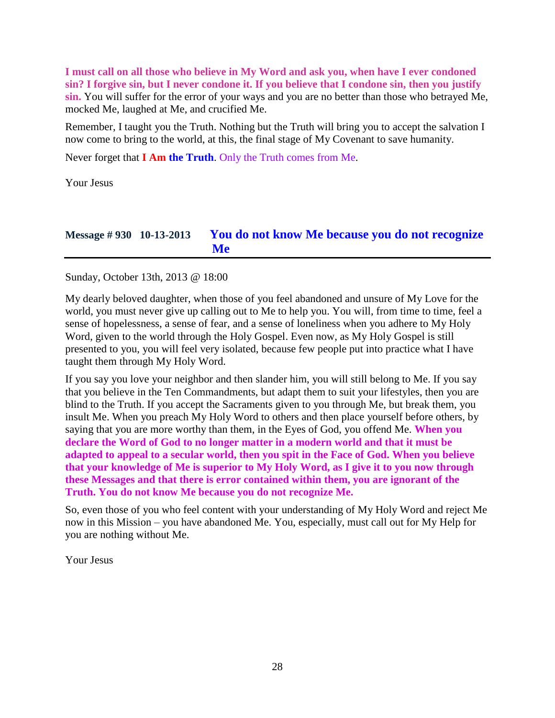**I must call on all those who believe in My Word and ask you, when have I ever condoned sin? I forgive sin, but I never condone it. If you believe that I condone sin, then you justify sin.** You will suffer for the error of your ways and you are no better than those who betrayed Me, mocked Me, laughed at Me, and crucified Me.

Remember, I taught you the Truth. Nothing but the Truth will bring you to accept the salvation I now come to bring to the world, at this, the final stage of My Covenant to save humanity.

Never forget that **I Am the Truth**. Only the Truth comes from Me.

Your Jesus

### **Message # 930 10-13-2013 [You do not know Me because you do not recognize](http://www.thewarningsecondcoming.com/you-do-not-know-me-because-you-do-not-recognise-me/)  [Me](http://www.thewarningsecondcoming.com/you-do-not-know-me-because-you-do-not-recognise-me/)**

Sunday, October 13th, 2013 @ 18:00

My dearly beloved daughter, when those of you feel abandoned and unsure of My Love for the world, you must never give up calling out to Me to help you. You will, from time to time, feel a sense of hopelessness, a sense of fear, and a sense of loneliness when you adhere to My Holy Word, given to the world through the Holy Gospel. Even now, as My Holy Gospel is still presented to you, you will feel very isolated, because few people put into practice what I have taught them through My Holy Word.

If you say you love your neighbor and then slander him, you will still belong to Me. If you say that you believe in the Ten Commandments, but adapt them to suit your lifestyles, then you are blind to the Truth. If you accept the Sacraments given to you through Me, but break them, you insult Me. When you preach My Holy Word to others and then place yourself before others, by saying that you are more worthy than them, in the Eyes of God, you offend Me. **When you declare the Word of God to no longer matter in a modern world and that it must be adapted to appeal to a secular world, then you spit in the Face of God. When you believe that your knowledge of Me is superior to My Holy Word, as I give it to you now through these Messages and that there is error contained within them, you are ignorant of the Truth. You do not know Me because you do not recognize Me.**

So, even those of you who feel content with your understanding of My Holy Word and reject Me now in this Mission – you have abandoned Me. You, especially, must call out for My Help for you are nothing without Me.

Your Jesus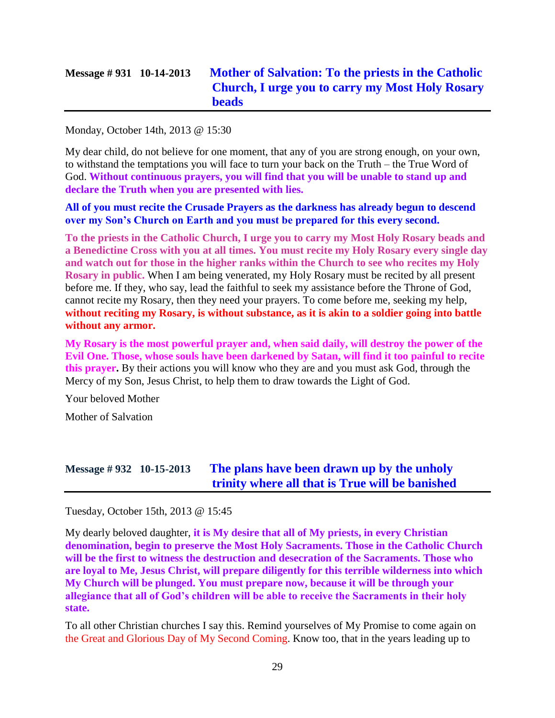### **Message # 931 10-14-2013 [Mother of Salvation: To the priests in the Catholic](http://www.thewarningsecondcoming.com/mother-of-salvation-to-the-priests-in-the-catholic-church-i-urge-you-to-carry-my-most-holy-rosary-beads/)  [Church, I urge you to carry my Most Holy Rosary](http://www.thewarningsecondcoming.com/mother-of-salvation-to-the-priests-in-the-catholic-church-i-urge-you-to-carry-my-most-holy-rosary-beads/)  [beads](http://www.thewarningsecondcoming.com/mother-of-salvation-to-the-priests-in-the-catholic-church-i-urge-you-to-carry-my-most-holy-rosary-beads/)**

Monday, October 14th, 2013 @ 15:30

My dear child, do not believe for one moment, that any of you are strong enough, on your own, to withstand the temptations you will face to turn your back on the Truth – the True Word of God. **Without continuous prayers, you will find that you will be unable to stand up and declare the Truth when you are presented with lies.**

**All of you must recite the Crusade Prayers as the darkness has already begun to descend over my Son's Church on Earth and you must be prepared for this every second.**

**To the priests in the Catholic Church, I urge you to carry my Most Holy Rosary beads and a Benedictine Cross with you at all times. You must recite my Holy Rosary every single day and watch out for those in the higher ranks within the Church to see who recites my Holy Rosary in public.** When I am being venerated, my Holy Rosary must be recited by all present before me. If they, who say, lead the faithful to seek my assistance before the Throne of God, cannot recite my Rosary, then they need your prayers. To come before me, seeking my help, **without reciting my Rosary, is without substance, as it is akin to a soldier going into battle without any armor.**

**My Rosary is the most powerful prayer and, when said daily, will destroy the power of the Evil One. Those, whose souls have been darkened by Satan, will find it too painful to recite this prayer.** By their actions you will know who they are and you must ask God, through the Mercy of my Son, Jesus Christ, to help them to draw towards the Light of God.

Your beloved Mother

Mother of Salvation

# **Message # 932 10-15-2013 [The plans have been drawn up by the unholy](http://www.thewarningsecondcoming.com/the-plans-have-been-drawn-up-by-the-unholy-trinity-where-all-that-is-true-will-be-banished/)  [trinity where all that is True will be banished](http://www.thewarningsecondcoming.com/the-plans-have-been-drawn-up-by-the-unholy-trinity-where-all-that-is-true-will-be-banished/)**

Tuesday, October 15th, 2013 @ 15:45

My dearly beloved daughter, **it is My desire that all of My priests, in every Christian denomination, begin to preserve the Most Holy Sacraments. Those in the Catholic Church will be the first to witness the destruction and desecration of the Sacraments. Those who are loyal to Me, Jesus Christ, will prepare diligently for this terrible wilderness into which My Church will be plunged. You must prepare now, because it will be through your allegiance that all of God's children will be able to receive the Sacraments in their holy state.**

To all other Christian churches I say this. Remind yourselves of My Promise to come again on the Great and Glorious Day of My Second Coming. Know too, that in the years leading up to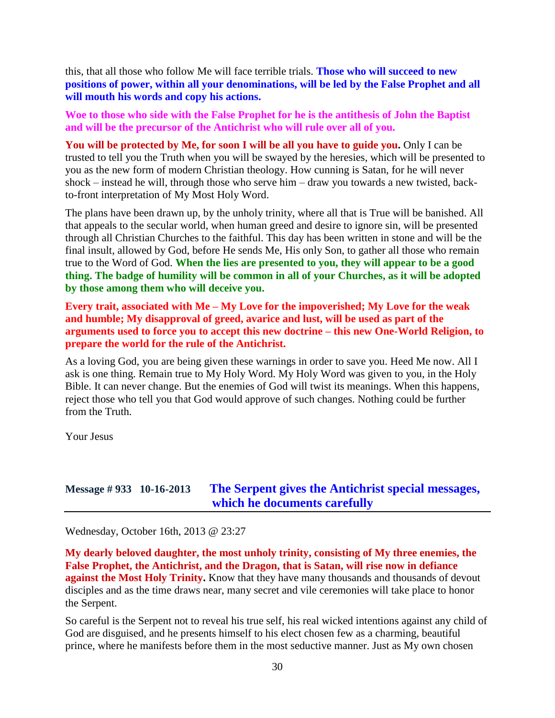this, that all those who follow Me will face terrible trials. **Those who will succeed to new positions of power, within all your denominations, will be led by the False Prophet and all will mouth his words and copy his actions.**

**Woe to those who side with the False Prophet for he is the antithesis of John the Baptist and will be the precursor of the Antichrist who will rule over all of you.**

**You will be protected by Me, for soon I will be all you have to guide you.** Only I can be trusted to tell you the Truth when you will be swayed by the heresies, which will be presented to you as the new form of modern Christian theology. How cunning is Satan, for he will never shock – instead he will, through those who serve him – draw you towards a new twisted, backto-front interpretation of My Most Holy Word.

The plans have been drawn up, by the unholy trinity, where all that is True will be banished. All that appeals to the secular world, when human greed and desire to ignore sin, will be presented through all Christian Churches to the faithful. This day has been written in stone and will be the final insult, allowed by God, before He sends Me, His only Son, to gather all those who remain true to the Word of God. **When the lies are presented to you, they will appear to be a good thing. The badge of humility will be common in all of your Churches, as it will be adopted by those among them who will deceive you.**

**Every trait, associated with Me – My Love for the impoverished; My Love for the weak and humble; My disapproval of greed, avarice and lust, will be used as part of the arguments used to force you to accept this new doctrine – this new One-World Religion, to prepare the world for the rule of the Antichrist.**

As a loving God, you are being given these warnings in order to save you. Heed Me now. All I ask is one thing. Remain true to My Holy Word. My Holy Word was given to you, in the Holy Bible. It can never change. But the enemies of God will twist its meanings. When this happens, reject those who tell you that God would approve of such changes. Nothing could be further from the Truth.

Your Jesus

#### **Message # 933 10-16-2013 [The Serpent gives the Antichrist special messages,](http://www.thewarningsecondcoming.com/the-serpent-gives-the-antichrist-special-messages-which-he-documents-carefully/)  [which he documents carefully](http://www.thewarningsecondcoming.com/the-serpent-gives-the-antichrist-special-messages-which-he-documents-carefully/)**

Wednesday, October 16th, 2013 @ 23:27

**My dearly beloved daughter, the most unholy trinity, consisting of My three enemies, the False Prophet, the Antichrist, and the Dragon, that is Satan, will rise now in defiance against the Most Holy Trinity.** Know that they have many thousands and thousands of devout disciples and as the time draws near, many secret and vile ceremonies will take place to honor the Serpent.

So careful is the Serpent not to reveal his true self, his real wicked intentions against any child of God are disguised, and he presents himself to his elect chosen few as a charming, beautiful prince, where he manifests before them in the most seductive manner. Just as My own chosen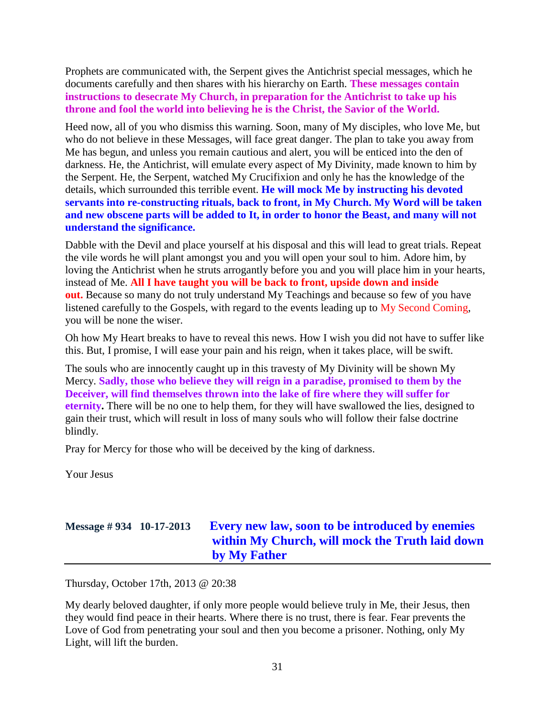Prophets are communicated with, the Serpent gives the Antichrist special messages, which he documents carefully and then shares with his hierarchy on Earth. **These messages contain instructions to desecrate My Church, in preparation for the Antichrist to take up his throne and fool the world into believing he is the Christ, the Savior of the World.**

Heed now, all of you who dismiss this warning. Soon, many of My disciples, who love Me, but who do not believe in these Messages, will face great danger. The plan to take you away from Me has begun, and unless you remain cautious and alert, you will be enticed into the den of darkness. He, the Antichrist, will emulate every aspect of My Divinity, made known to him by the Serpent. He, the Serpent, watched My Crucifixion and only he has the knowledge of the details, which surrounded this terrible event. **He will mock Me by instructing his devoted servants into re-constructing rituals, back to front, in My Church. My Word will be taken and new obscene parts will be added to It, in order to honor the Beast, and many will not understand the significance.**

Dabble with the Devil and place yourself at his disposal and this will lead to great trials. Repeat the vile words he will plant amongst you and you will open your soul to him. Adore him, by loving the Antichrist when he struts arrogantly before you and you will place him in your hearts, instead of Me. **All I have taught you will be back to front, upside down and inside out.** Because so many do not truly understand My Teachings and because so few of you have listened carefully to the Gospels, with regard to the events leading up to My Second Coming, you will be none the wiser.

Oh how My Heart breaks to have to reveal this news. How I wish you did not have to suffer like this. But, I promise, I will ease your pain and his reign, when it takes place, will be swift.

The souls who are innocently caught up in this travesty of My Divinity will be shown My Mercy. **Sadly, those who believe they will reign in a paradise, promised to them by the Deceiver, will find themselves thrown into the lake of fire where they will suffer for eternity.** There will be no one to help them, for they will have swallowed the lies, designed to gain their trust, which will result in loss of many souls who will follow their false doctrine blindly.

Pray for Mercy for those who will be deceived by the king of darkness.

Your Jesus

# **Message # 934 10-17-2013 [Every new law, soon to be introduced by enemies](http://www.thewarningsecondcoming.com/every-new-law-soon-to-be-introduced-by-enemies-within-my-church-will-mock-the-truth-laid-down-by-my-father/)  [within My Church, will mock the Truth laid down](http://www.thewarningsecondcoming.com/every-new-law-soon-to-be-introduced-by-enemies-within-my-church-will-mock-the-truth-laid-down-by-my-father/)  [by My Father](http://www.thewarningsecondcoming.com/every-new-law-soon-to-be-introduced-by-enemies-within-my-church-will-mock-the-truth-laid-down-by-my-father/)**

Thursday, October 17th, 2013 @ 20:38

My dearly beloved daughter, if only more people would believe truly in Me, their Jesus, then they would find peace in their hearts. Where there is no trust, there is fear. Fear prevents the Love of God from penetrating your soul and then you become a prisoner. Nothing, only My Light, will lift the burden.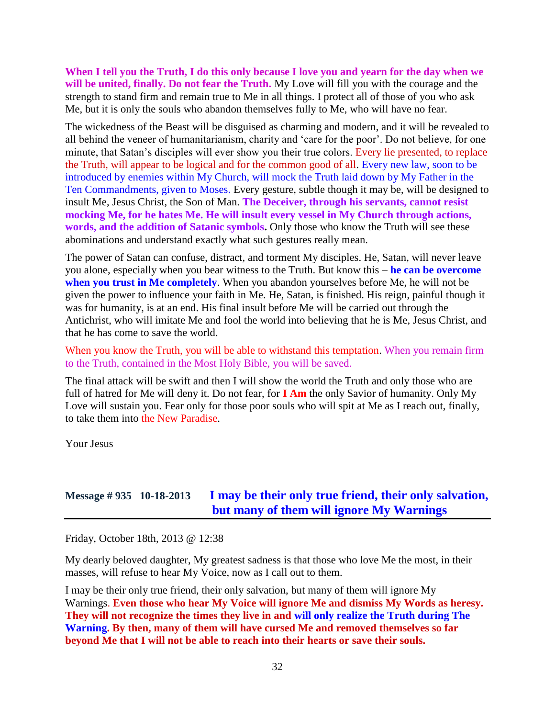**When I tell you the Truth, I do this only because I love you and yearn for the day when we will be united, finally. Do not fear the Truth.** My Love will fill you with the courage and the strength to stand firm and remain true to Me in all things. I protect all of those of you who ask Me, but it is only the souls who abandon themselves fully to Me, who will have no fear.

The wickedness of the Beast will be disguised as charming and modern, and it will be revealed to all behind the veneer of humanitarianism, charity and 'care for the poor'. Do not believe, for one minute, that Satan's disciples will ever show you their true colors. Every lie presented, to replace the Truth, will appear to be logical and for the common good of all. Every new law, soon to be introduced by enemies within My Church, will mock the Truth laid down by My Father in the Ten Commandments, given to Moses. Every gesture, subtle though it may be, will be designed to insult Me, Jesus Christ, the Son of Man. **The Deceiver, through his servants, cannot resist mocking Me, for he hates Me. He will insult every vessel in My Church through actions, words, and the addition of Satanic symbols.** Only those who know the Truth will see these abominations and understand exactly what such gestures really mean.

The power of Satan can confuse, distract, and torment My disciples. He, Satan, will never leave you alone, especially when you bear witness to the Truth. But know this – **he can be overcome when you trust in Me completely**. When you abandon yourselves before Me, he will not be given the power to influence your faith in Me. He, Satan, is finished. His reign, painful though it was for humanity, is at an end. His final insult before Me will be carried out through the Antichrist, who will imitate Me and fool the world into believing that he is Me, Jesus Christ, and that he has come to save the world.

When you know the Truth, you will be able to withstand this temptation. When you remain firm to the Truth, contained in the Most Holy Bible, you will be saved.

The final attack will be swift and then I will show the world the Truth and only those who are full of hatred for Me will deny it. Do not fear, for **I Am** the only Savior of humanity. Only My Love will sustain you. Fear only for those poor souls who will spit at Me as I reach out, finally, to take them into the New Paradise.

Your Jesus

### **Message # 935 10-18-2013 [I may be their only true friend, their only salvation,](http://www.thewarningsecondcoming.com/i-may-be-their-only-true-friend-their-only-salvation-but-many-of-them-will-ignore-my-warnings/)  [but many of them will ignore My Warnings](http://www.thewarningsecondcoming.com/i-may-be-their-only-true-friend-their-only-salvation-but-many-of-them-will-ignore-my-warnings/)**

Friday, October 18th, 2013 @ 12:38

My dearly beloved daughter, My greatest sadness is that those who love Me the most, in their masses, will refuse to hear My Voice, now as I call out to them.

I may be their only true friend, their only salvation, but many of them will ignore My Warnings. **Even those who hear My Voice will ignore Me and dismiss My Words as heresy. They will not recognize the times they live in and will only realize the Truth during The Warning. By then, many of them will have cursed Me and removed themselves so far beyond Me that I will not be able to reach into their hearts or save their souls.**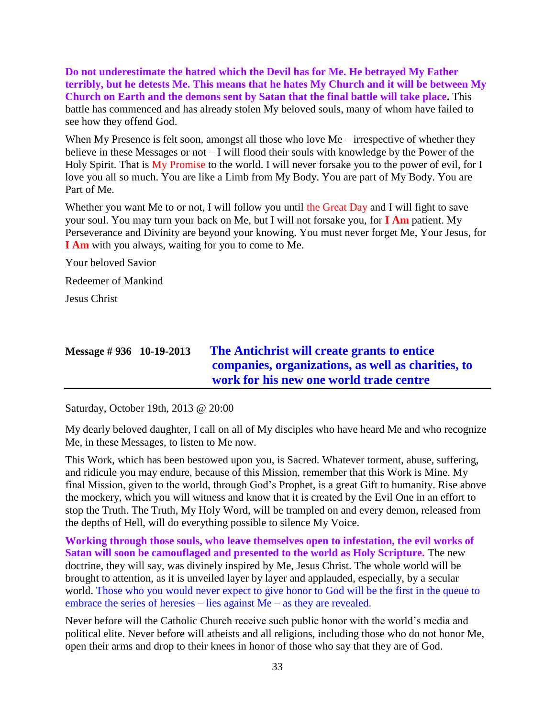**Do not underestimate the hatred which the Devil has for Me. He betrayed My Father terribly, but he detests Me. This means that he hates My Church and it will be between My Church on Earth and the demons sent by Satan that the final battle will take place.** This battle has commenced and has already stolen My beloved souls, many of whom have failed to see how they offend God.

When My Presence is felt soon, amongst all those who love Me – irrespective of whether they believe in these Messages or not – I will flood their souls with knowledge by the Power of the Holy Spirit. That is My Promise to the world. I will never forsake you to the power of evil, for I love you all so much. You are like a Limb from My Body. You are part of My Body. You are Part of Me.

Whether you want Me to or not, I will follow you until the Great Day and I will fight to save your soul. You may turn your back on Me, but I will not forsake you, for **I Am** patient. My Perseverance and Divinity are beyond your knowing. You must never forget Me, Your Jesus, for **I Am** with you always, waiting for you to come to Me.

Your beloved Savior

Redeemer of Mankind

Jesus Christ

## **Message # 936 10-19-2013 [The Antichrist will create grants to entice](http://www.thewarningsecondcoming.com/the-antichrist-will-create-grants-to-entice-companies-organisations-as-well-as-charities-to-work-for-his-new-one-world-trade-centre/)  [companies, organizations, as well as charities, to](http://www.thewarningsecondcoming.com/the-antichrist-will-create-grants-to-entice-companies-organisations-as-well-as-charities-to-work-for-his-new-one-world-trade-centre/)  [work for his new one world trade centre](http://www.thewarningsecondcoming.com/the-antichrist-will-create-grants-to-entice-companies-organisations-as-well-as-charities-to-work-for-his-new-one-world-trade-centre/)**

Saturday, October 19th, 2013 @ 20:00

My dearly beloved daughter, I call on all of My disciples who have heard Me and who recognize Me, in these Messages, to listen to Me now.

This Work, which has been bestowed upon you, is Sacred. Whatever torment, abuse, suffering, and ridicule you may endure, because of this Mission, remember that this Work is Mine. My final Mission, given to the world, through God's Prophet, is a great Gift to humanity. Rise above the mockery, which you will witness and know that it is created by the Evil One in an effort to stop the Truth. The Truth, My Holy Word, will be trampled on and every demon, released from the depths of Hell, will do everything possible to silence My Voice.

**Working through those souls, who leave themselves open to infestation, the evil works of Satan will soon be camouflaged and presented to the world as Holy Scripture.** The new doctrine, they will say, was divinely inspired by Me, Jesus Christ. The whole world will be brought to attention, as it is unveiled layer by layer and applauded, especially, by a secular world. Those who you would never expect to give honor to God will be the first in the queue to embrace the series of heresies – lies against Me – as they are revealed.

Never before will the Catholic Church receive such public honor with the world's media and political elite. Never before will atheists and all religions, including those who do not honor Me, open their arms and drop to their knees in honor of those who say that they are of God.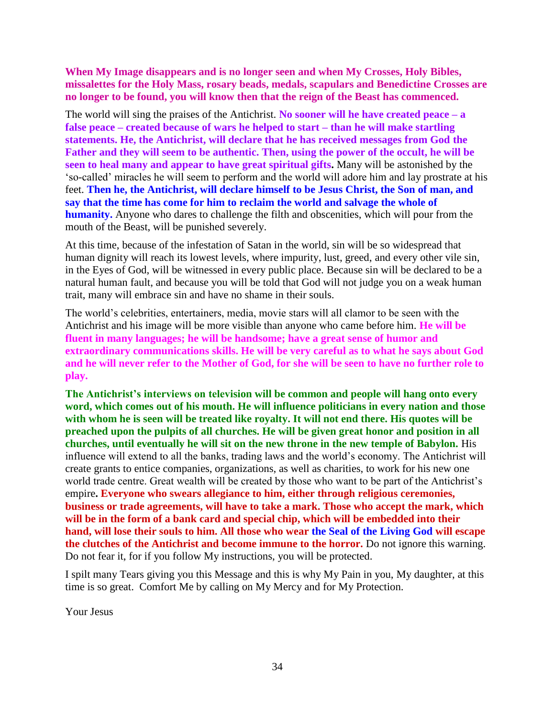**When My Image disappears and is no longer seen and when My Crosses, Holy Bibles, missalettes for the Holy Mass, rosary beads, medals, scapulars and Benedictine Crosses are no longer to be found, you will know then that the reign of the Beast has commenced.**

The world will sing the praises of the Antichrist. **No sooner will he have created peace – a false peace – created because of wars he helped to start – than he will make startling statements. He, the Antichrist, will declare that he has received messages from God the Father and they will seem to be authentic. Then, using the power of the occult, he will be seen to heal many and appear to have great spiritual gifts.** Many will be astonished by the 'so-called' miracles he will seem to perform and the world will adore him and lay prostrate at his feet. **Then he, the Antichrist, will declare himself to be Jesus Christ, the Son of man, and say that the time has come for him to reclaim the world and salvage the whole of humanity.** Anyone who dares to challenge the filth and obscenities, which will pour from the mouth of the Beast, will be punished severely.

At this time, because of the infestation of Satan in the world, sin will be so widespread that human dignity will reach its lowest levels, where impurity, lust, greed, and every other vile sin, in the Eyes of God, will be witnessed in every public place. Because sin will be declared to be a natural human fault, and because you will be told that God will not judge you on a weak human trait, many will embrace sin and have no shame in their souls.

The world's celebrities, entertainers, media, movie stars will all clamor to be seen with the Antichrist and his image will be more visible than anyone who came before him. **He will be fluent in many languages; he will be handsome; have a great sense of humor and extraordinary communications skills. He will be very careful as to what he says about God and he will never refer to the Mother of God, for she will be seen to have no further role to play.**

**The Antichrist's interviews on television will be common and people will hang onto every word, which comes out of his mouth. He will influence politicians in every nation and those with whom he is seen will be treated like royalty. It will not end there. His quotes will be preached upon the pulpits of all churches. He will be given great honor and position in all churches, until eventually he will sit on the new throne in the new temple of Babylon.** His influence will extend to all the banks, trading laws and the world's economy. The Antichrist will create grants to entice companies, organizations, as well as charities, to work for his new one world trade centre. Great wealth will be created by those who want to be part of the Antichrist's empire**. Everyone who swears allegiance to him, either through religious ceremonies, business or trade agreements, will have to take a mark. Those who accept the mark, which will be in the form of a bank card and special chip, which will be embedded into their hand, will lose their souls to him. All those who wear the Seal of the Living God will escape the clutches of the Antichrist and become immune to the horror.** Do not ignore this warning. Do not fear it, for if you follow My instructions, you will be protected.

I spilt many Tears giving you this Message and this is why My Pain in you, My daughter, at this time is so great. Comfort Me by calling on My Mercy and for My Protection.

Your Jesus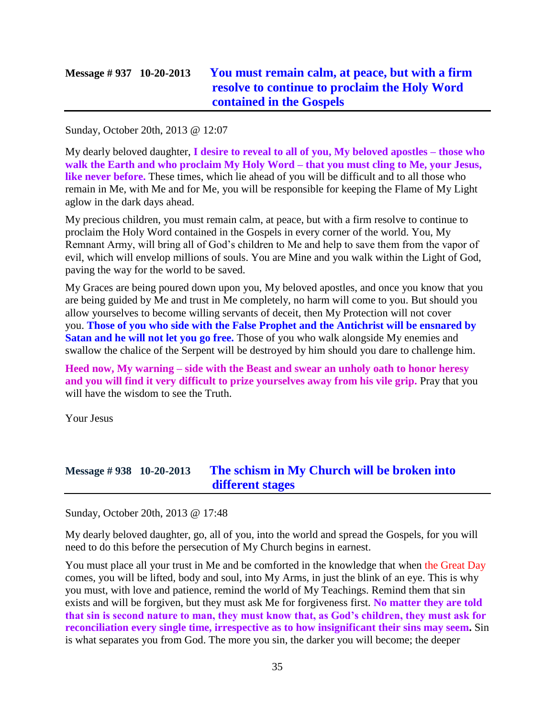# **Message # 937 10-20-2013 [You must remain calm, at peace, but with a firm](http://www.thewarningsecondcoming.com/you-must-remain-calm-at-peace-but-with-a-firm-resolve-to-continue-to-proclaim-the-holy-word-contained-in-the-gospels/)  [resolve to continue to proclaim the Holy Word](http://www.thewarningsecondcoming.com/you-must-remain-calm-at-peace-but-with-a-firm-resolve-to-continue-to-proclaim-the-holy-word-contained-in-the-gospels/)  [contained in the Gospels](http://www.thewarningsecondcoming.com/you-must-remain-calm-at-peace-but-with-a-firm-resolve-to-continue-to-proclaim-the-holy-word-contained-in-the-gospels/)**

Sunday, October 20th, 2013 @ 12:07

My dearly beloved daughter, **I desire to reveal to all of you, My beloved apostles – those who walk the Earth and who proclaim My Holy Word – that you must cling to Me, your Jesus, like never before.** These times, which lie ahead of you will be difficult and to all those who remain in Me, with Me and for Me, you will be responsible for keeping the Flame of My Light aglow in the dark days ahead.

My precious children, you must remain calm, at peace, but with a firm resolve to continue to proclaim the Holy Word contained in the Gospels in every corner of the world. You, My Remnant Army, will bring all of God's children to Me and help to save them from the vapor of evil, which will envelop millions of souls. You are Mine and you walk within the Light of God, paving the way for the world to be saved.

My Graces are being poured down upon you, My beloved apostles, and once you know that you are being guided by Me and trust in Me completely, no harm will come to you. But should you allow yourselves to become willing servants of deceit, then My Protection will not cover you. **Those of you who side with the False Prophet and the Antichrist will be ensnared by Satan and he will not let you go free.** Those of you who walk alongside My enemies and swallow the chalice of the Serpent will be destroyed by him should you dare to challenge him.

**Heed now, My warning – side with the Beast and swear an unholy oath to honor heresy and you will find it very difficult to prize yourselves away from his vile grip.** Pray that you will have the wisdom to see the Truth.

Your Jesus

#### **Message # 938 10-20-2013 [The schism in My Church will be broken into](http://www.thewarningsecondcoming.com/the-schism-in-my-church-will-be-broken-into-different-stages/)  [different stages](http://www.thewarningsecondcoming.com/the-schism-in-my-church-will-be-broken-into-different-stages/)**

Sunday, October 20th, 2013 @ 17:48

My dearly beloved daughter, go, all of you, into the world and spread the Gospels, for you will need to do this before the persecution of My Church begins in earnest.

You must place all your trust in Me and be comforted in the knowledge that when the Great Day comes, you will be lifted, body and soul, into My Arms, in just the blink of an eye. This is why you must, with love and patience, remind the world of My Teachings. Remind them that sin exists and will be forgiven, but they must ask Me for forgiveness first. **No matter they are told that sin is second nature to man, they must know that, as God's children, they must ask for reconciliation every single time, irrespective as to how insignificant their sins may seem.** Sin is what separates you from God. The more you sin, the darker you will become; the deeper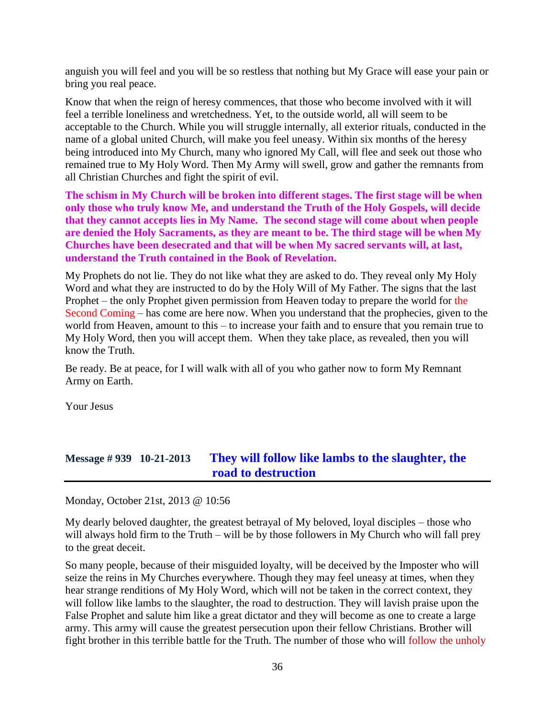anguish you will feel and you will be so restless that nothing but My Grace will ease your pain or bring you real peace.

Know that when the reign of heresy commences, that those who become involved with it will feel a terrible loneliness and wretchedness. Yet, to the outside world, all will seem to be acceptable to the Church. While you will struggle internally, all exterior rituals, conducted in the name of a global united Church, will make you feel uneasy. Within six months of the heresy being introduced into My Church, many who ignored My Call, will flee and seek out those who remained true to My Holy Word. Then My Army will swell, grow and gather the remnants from all Christian Churches and fight the spirit of evil.

**The schism in My Church will be broken into different stages. The first stage will be when only those who truly know Me, and understand the Truth of the Holy Gospels, will decide that they cannot accepts lies in My Name. The second stage will come about when people are denied the Holy Sacraments, as they are meant to be. The third stage will be when My Churches have been desecrated and that will be when My sacred servants will, at last, understand the Truth contained in the Book of Revelation.**

My Prophets do not lie. They do not like what they are asked to do. They reveal only My Holy Word and what they are instructed to do by the Holy Will of My Father. The signs that the last Prophet – the only Prophet given permission from Heaven today to prepare the world for the Second Coming – has come are here now. When you understand that the prophecies, given to the world from Heaven, amount to this – to increase your faith and to ensure that you remain true to My Holy Word, then you will accept them. When they take place, as revealed, then you will know the Truth.

Be ready. Be at peace, for I will walk with all of you who gather now to form My Remnant Army on Earth.

Your Jesus

#### **Message # 939 10-21-2013 [They will follow like lambs to the slaughter, the](http://www.thewarningsecondcoming.com/they-will-follow-like-lambs-to-the-slaughter-the-road-to-destruction/)  [road to destruction](http://www.thewarningsecondcoming.com/they-will-follow-like-lambs-to-the-slaughter-the-road-to-destruction/)**

Monday, October 21st, 2013 @ 10:56

My dearly beloved daughter, the greatest betrayal of My beloved, loyal disciples – those who will always hold firm to the Truth – will be by those followers in My Church who will fall prey to the great deceit.

So many people, because of their misguided loyalty, will be deceived by the Imposter who will seize the reins in My Churches everywhere. Though they may feel uneasy at times, when they hear strange renditions of My Holy Word, which will not be taken in the correct context, they will follow like lambs to the slaughter, the road to destruction. They will lavish praise upon the False Prophet and salute him like a great dictator and they will become as one to create a large army. This army will cause the greatest persecution upon their fellow Christians. Brother will fight brother in this terrible battle for the Truth. The number of those who will follow the unholy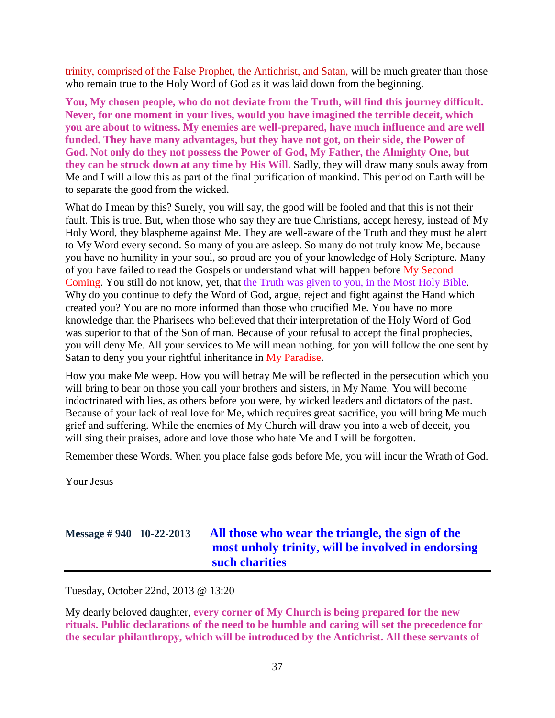trinity, comprised of the False Prophet, the Antichrist, and Satan, will be much greater than those who remain true to the Holy Word of God as it was laid down from the beginning.

**You, My chosen people, who do not deviate from the Truth, will find this journey difficult. Never, for one moment in your lives, would you have imagined the terrible deceit, which you are about to witness. My enemies are well-prepared, have much influence and are well funded. They have many advantages, but they have not got, on their side, the Power of God. Not only do they not possess the Power of God, My Father, the Almighty One, but they can be struck down at any time by His Will.** Sadly, they will draw many souls away from Me and I will allow this as part of the final purification of mankind. This period on Earth will be to separate the good from the wicked.

What do I mean by this? Surely, you will say, the good will be fooled and that this is not their fault. This is true. But, when those who say they are true Christians, accept heresy, instead of My Holy Word, they blaspheme against Me. They are well-aware of the Truth and they must be alert to My Word every second. So many of you are asleep. So many do not truly know Me, because you have no humility in your soul, so proud are you of your knowledge of Holy Scripture. Many of you have failed to read the Gospels or understand what will happen before My Second Coming. You still do not know, yet, that the Truth was given to you, in the Most Holy Bible. Why do you continue to defy the Word of God, argue, reject and fight against the Hand which created you? You are no more informed than those who crucified Me. You have no more knowledge than the Pharisees who believed that their interpretation of the Holy Word of God was superior to that of the Son of man. Because of your refusal to accept the final prophecies, you will deny Me. All your services to Me will mean nothing, for you will follow the one sent by Satan to deny you your rightful inheritance in My Paradise.

How you make Me weep. How you will betray Me will be reflected in the persecution which you will bring to bear on those you call your brothers and sisters, in My Name. You will become indoctrinated with lies, as others before you were, by wicked leaders and dictators of the past. Because of your lack of real love for Me, which requires great sacrifice, you will bring Me much grief and suffering. While the enemies of My Church will draw you into a web of deceit, you will sing their praises, adore and love those who hate Me and I will be forgotten.

Remember these Words. When you place false gods before Me, you will incur the Wrath of God.

Your Jesus

# **Message # 940 10-22-2013 [All those who wear the triangle, the sign of the](http://www.thewarningsecondcoming.com/all-those-who-wear-the-triangle-the-sign-of-the-most-unholy-trinity-will-be-involved-in-endorsing-such-charities-2/)  [most unholy trinity, will be involved in endorsing](http://www.thewarningsecondcoming.com/all-those-who-wear-the-triangle-the-sign-of-the-most-unholy-trinity-will-be-involved-in-endorsing-such-charities-2/)  [such charities](http://www.thewarningsecondcoming.com/all-those-who-wear-the-triangle-the-sign-of-the-most-unholy-trinity-will-be-involved-in-endorsing-such-charities-2/)**

Tuesday, October 22nd, 2013 @ 13:20

My dearly beloved daughter, **every corner of My Church is being prepared for the new rituals. Public declarations of the need to be humble and caring will set the precedence for the secular philanthropy, which will be introduced by the Antichrist. All these servants of**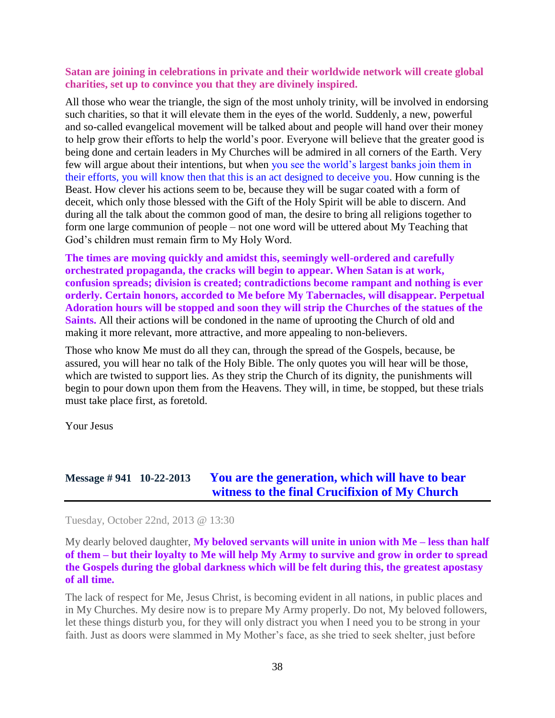#### **Satan are joining in celebrations in private and their worldwide network will create global charities, set up to convince you that they are divinely inspired.**

All those who wear the triangle, the sign of the most unholy trinity, will be involved in endorsing such charities, so that it will elevate them in the eyes of the world. Suddenly, a new, powerful and so-called evangelical movement will be talked about and people will hand over their money to help grow their efforts to help the world's poor. Everyone will believe that the greater good is being done and certain leaders in My Churches will be admired in all corners of the Earth. Very few will argue about their intentions, but when you see the world's largest banks join them in their efforts, you will know then that this is an act designed to deceive you. How cunning is the Beast. How clever his actions seem to be, because they will be sugar coated with a form of deceit, which only those blessed with the Gift of the Holy Spirit will be able to discern. And during all the talk about the common good of man, the desire to bring all religions together to form one large communion of people – not one word will be uttered about My Teaching that God's children must remain firm to My Holy Word.

**The times are moving quickly and amidst this, seemingly well-ordered and carefully orchestrated propaganda, the cracks will begin to appear. When Satan is at work, confusion spreads; division is created; contradictions become rampant and nothing is ever orderly. Certain honors, accorded to Me before My Tabernacles, will disappear. Perpetual Adoration hours will be stopped and soon they will strip the Churches of the statues of the Saints.** All their actions will be condoned in the name of uprooting the Church of old and making it more relevant, more attractive, and more appealing to non-believers.

Those who know Me must do all they can, through the spread of the Gospels, because, be assured, you will hear no talk of the Holy Bible. The only quotes you will hear will be those, which are twisted to support lies. As they strip the Church of its dignity, the punishments will begin to pour down upon them from the Heavens. They will, in time, be stopped, but these trials must take place first, as foretold.

Your Jesus

## **Message # 941 10-22-2013 [You are the generation, which will have to bear](http://www.thewarningsecondcoming.com/you-are-the-generation-which-will-have-to-bear-witness-to-the-final-crucifixion-of-my-church/)  [witness to the final Crucifixion of My Church](http://www.thewarningsecondcoming.com/you-are-the-generation-which-will-have-to-bear-witness-to-the-final-crucifixion-of-my-church/)**

Tuesday, October 22nd, 2013 @ 13:30

My dearly beloved daughter, **My beloved servants will unite in union with Me – less than half of them – but their loyalty to Me will help My Army to survive and grow in order to spread the Gospels during the global darkness which will be felt during this, the greatest apostasy of all time.**

The lack of respect for Me, Jesus Christ, is becoming evident in all nations, in public places and in My Churches. My desire now is to prepare My Army properly. Do not, My beloved followers, let these things disturb you, for they will only distract you when I need you to be strong in your faith. Just as doors were slammed in My Mother's face, as she tried to seek shelter, just before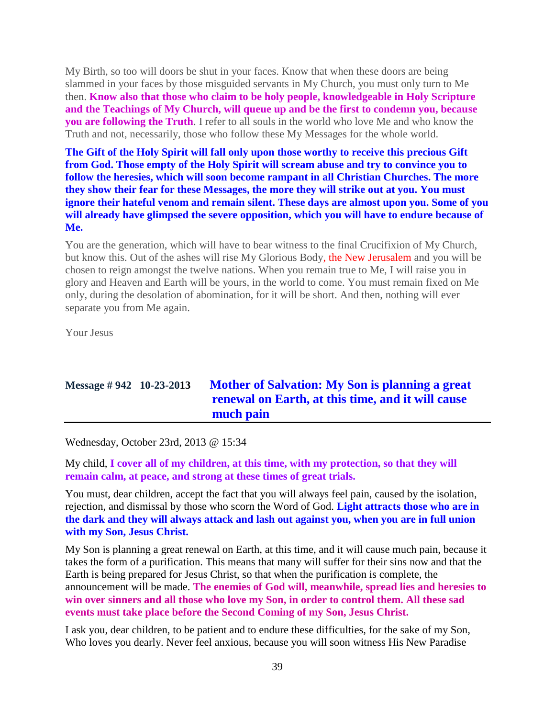My Birth, so too will doors be shut in your faces. Know that when these doors are being slammed in your faces by those misguided servants in My Church, you must only turn to Me then. **Know also that those who claim to be holy people, knowledgeable in Holy Scripture and the Teachings of My Church, will queue up and be the first to condemn you, because you are following the Truth**. I refer to all souls in the world who love Me and who know the Truth and not, necessarily, those who follow these My Messages for the whole world.

**The Gift of the Holy Spirit will fall only upon those worthy to receive this precious Gift from God. Those empty of the Holy Spirit will scream abuse and try to convince you to follow the heresies, which will soon become rampant in all Christian Churches. The more they show their fear for these Messages, the more they will strike out at you. You must ignore their hateful venom and remain silent. These days are almost upon you. Some of you will already have glimpsed the severe opposition, which you will have to endure because of Me.**

You are the generation, which will have to bear witness to the final Crucifixion of My Church, but know this. Out of the ashes will rise My Glorious Body, the New Jerusalem and you will be chosen to reign amongst the twelve nations. When you remain true to Me, I will raise you in glory and Heaven and Earth will be yours, in the world to come. You must remain fixed on Me only, during the desolation of abomination, for it will be short. And then, nothing will ever separate you from Me again.

Your Jesus

## **Message # 942 10-23-2013 [Mother of Salvation: My Son is planning a great](http://www.thewarningsecondcoming.com/mother-of-salvation-my-son-is-planning-a-great-renewal-on-earth-at-this-time-and-it-will-cause-much-pain/)  [renewal on Earth, at this time, and it will cause](http://www.thewarningsecondcoming.com/mother-of-salvation-my-son-is-planning-a-great-renewal-on-earth-at-this-time-and-it-will-cause-much-pain/)  [much pain](http://www.thewarningsecondcoming.com/mother-of-salvation-my-son-is-planning-a-great-renewal-on-earth-at-this-time-and-it-will-cause-much-pain/)**

Wednesday, October 23rd, 2013 @ 15:34

My child, **I cover all of my children, at this time, with my protection, so that they will remain calm, at peace, and strong at these times of great trials.**

You must, dear children, accept the fact that you will always feel pain, caused by the isolation, rejection, and dismissal by those who scorn the Word of God. **Light attracts those who are in the dark and they will always attack and lash out against you, when you are in full union with my Son, Jesus Christ.**

My Son is planning a great renewal on Earth, at this time, and it will cause much pain, because it takes the form of a purification. This means that many will suffer for their sins now and that the Earth is being prepared for Jesus Christ, so that when the purification is complete, the announcement will be made. **The enemies of God will, meanwhile, spread lies and heresies to win over sinners and all those who love my Son, in order to control them. All these sad events must take place before the Second Coming of my Son, Jesus Christ.**

I ask you, dear children, to be patient and to endure these difficulties, for the sake of my Son, Who loves you dearly. Never feel anxious, because you will soon witness His New Paradise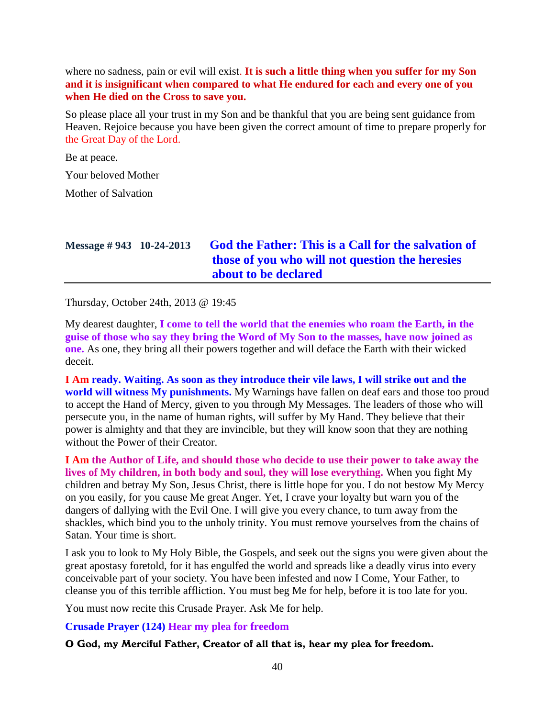where no sadness, pain or evil will exist. **It is such a little thing when you suffer for my Son and it is insignificant when compared to what He endured for each and every one of you when He died on the Cross to save you.**

So please place all your trust in my Son and be thankful that you are being sent guidance from Heaven. Rejoice because you have been given the correct amount of time to prepare properly for the Great Day of the Lord.

Be at peace.

Your beloved Mother

Mother of Salvation

# **Message # 943 10-24-2013 [God the Father: This is a Call for the salvation of](http://www.thewarningsecondcoming.com/god-the-father-this-is-a-call-for-the-salvation-of-those-of-you-who-will-not-question-the-heresies-about-to-be-declared/)  [those of you who will not question the heresies](http://www.thewarningsecondcoming.com/god-the-father-this-is-a-call-for-the-salvation-of-those-of-you-who-will-not-question-the-heresies-about-to-be-declared/)  [about to be declared](http://www.thewarningsecondcoming.com/god-the-father-this-is-a-call-for-the-salvation-of-those-of-you-who-will-not-question-the-heresies-about-to-be-declared/)**

Thursday, October 24th, 2013 @ 19:45

My dearest daughter, **I come to tell the world that the enemies who roam the Earth, in the guise of those who say they bring the Word of My Son to the masses, have now joined as one.** As one, they bring all their powers together and will deface the Earth with their wicked deceit.

**I Am ready. Waiting. As soon as they introduce their vile laws, I will strike out and the world will witness My punishments.** My Warnings have fallen on deaf ears and those too proud to accept the Hand of Mercy, given to you through My Messages. The leaders of those who will persecute you, in the name of human rights, will suffer by My Hand. They believe that their power is almighty and that they are invincible, but they will know soon that they are nothing without the Power of their Creator.

**I Am the Author of Life, and should those who decide to use their power to take away the lives of My children, in both body and soul, they will lose everything.** When you fight My children and betray My Son, Jesus Christ, there is little hope for you. I do not bestow My Mercy on you easily, for you cause Me great Anger. Yet, I crave your loyalty but warn you of the dangers of dallying with the Evil One. I will give you every chance, to turn away from the shackles, which bind you to the unholy trinity. You must remove yourselves from the chains of Satan. Your time is short.

I ask you to look to My Holy Bible, the Gospels, and seek out the signs you were given about the great apostasy foretold, for it has engulfed the world and spreads like a deadly virus into every conceivable part of your society. You have been infested and now I Come, Your Father, to cleanse you of this terrible affliction. You must beg Me for help, before it is too late for you.

You must now recite this Crusade Prayer. Ask Me for help.

**Crusade Prayer (124) Hear my plea for freedom**

#### O God, my Merciful Father, Creator of all that is, hear my plea for freedom.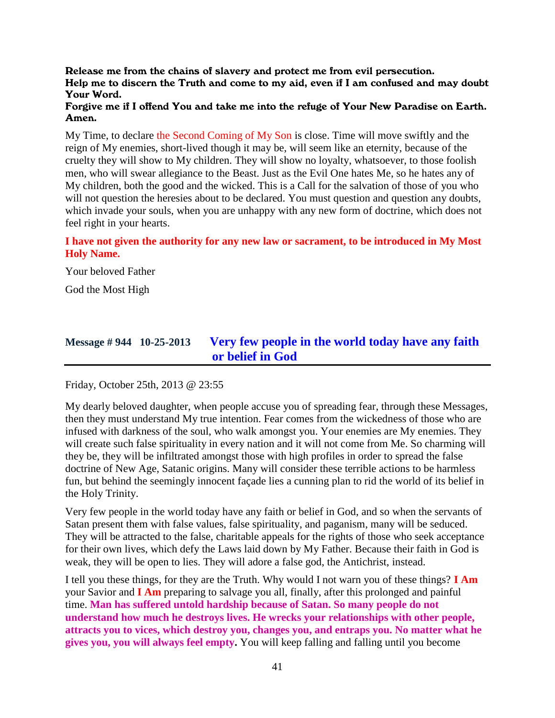#### Release me from the chains of slavery and protect me from evil persecution. Help me to discern the Truth and come to my aid, even if I am confused and may doubt Your Word.

#### Forgive me if I offend You and take me into the refuge of Your New Paradise on Earth. Amen.

My Time, to declare the Second Coming of My Son is close. Time will move swiftly and the reign of My enemies, short-lived though it may be, will seem like an eternity, because of the cruelty they will show to My children. They will show no loyalty, whatsoever, to those foolish men, who will swear allegiance to the Beast. Just as the Evil One hates Me, so he hates any of My children, both the good and the wicked. This is a Call for the salvation of those of you who will not question the heresies about to be declared. You must question and question any doubts, which invade your souls, when you are unhappy with any new form of doctrine, which does not feel right in your hearts.

### **I have not given the authority for any new law or sacrament, to be introduced in My Most Holy Name.**

Your beloved Father

God the Most High

### **Message # 944 10-25-2013 [Very few people in the world today have any faith](http://www.thewarningsecondcoming.com/very-few-people-in-the-world-today-have-any-faith-or-belief-in-god/)  [or belief in God](http://www.thewarningsecondcoming.com/very-few-people-in-the-world-today-have-any-faith-or-belief-in-god/)**

Friday, October 25th, 2013 @ 23:55

My dearly beloved daughter, when people accuse you of spreading fear, through these Messages, then they must understand My true intention. Fear comes from the wickedness of those who are infused with darkness of the soul, who walk amongst you. Your enemies are My enemies. They will create such false spirituality in every nation and it will not come from Me. So charming will they be, they will be infiltrated amongst those with high profiles in order to spread the false doctrine of New Age, Satanic origins. Many will consider these terrible actions to be harmless fun, but behind the seemingly innocent façade lies a cunning plan to rid the world of its belief in the Holy Trinity.

Very few people in the world today have any faith or belief in God, and so when the servants of Satan present them with false values, false spirituality, and paganism, many will be seduced. They will be attracted to the false, charitable appeals for the rights of those who seek acceptance for their own lives, which defy the Laws laid down by My Father. Because their faith in God is weak, they will be open to lies. They will adore a false god, the Antichrist, instead.

I tell you these things, for they are the Truth. Why would I not warn you of these things? **I Am** your Savior and **I Am** preparing to salvage you all, finally, after this prolonged and painful time. **Man has suffered untold hardship because of Satan. So many people do not understand how much he destroys lives. He wrecks your relationships with other people, attracts you to vices, which destroy you, changes you, and entraps you. No matter what he gives you, you will always feel empty.** You will keep falling and falling until you become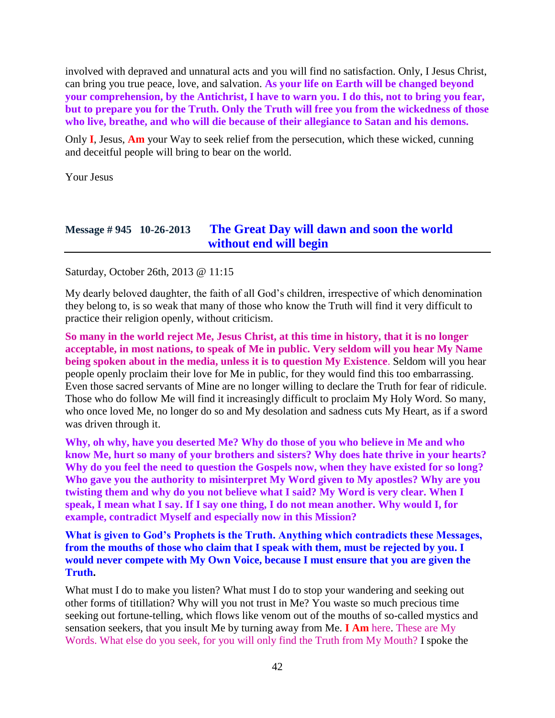involved with depraved and unnatural acts and you will find no satisfaction. Only, I Jesus Christ, can bring you true peace, love, and salvation. **As your life on Earth will be changed beyond your comprehension, by the Antichrist, I have to warn you. I do this, not to bring you fear, but to prepare you for the Truth. Only the Truth will free you from the wickedness of those who live, breathe, and who will die because of their allegiance to Satan and his demons.**

Only **I**, Jesus, **Am** your Way to seek relief from the persecution, which these wicked, cunning and deceitful people will bring to bear on the world.

Your Jesus

### **Message # 945 10-26-2013 [The Great Day will dawn and soon the world](http://www.thewarningsecondcoming.com/the-great-day-will-dawn-and-soon-the-world-without-end-will-begin/)  [without end will begin](http://www.thewarningsecondcoming.com/the-great-day-will-dawn-and-soon-the-world-without-end-will-begin/)**

Saturday, October 26th, 2013 @ 11:15

My dearly beloved daughter, the faith of all God's children, irrespective of which denomination they belong to, is so weak that many of those who know the Truth will find it very difficult to practice their religion openly, without criticism.

**So many in the world reject Me, Jesus Christ, at this time in history, that it is no longer acceptable, in most nations, to speak of Me in public. Very seldom will you hear My Name being spoken about in the media, unless it is to question My Existence**. Seldom will you hear people openly proclaim their love for Me in public, for they would find this too embarrassing. Even those sacred servants of Mine are no longer willing to declare the Truth for fear of ridicule. Those who do follow Me will find it increasingly difficult to proclaim My Holy Word. So many, who once loved Me, no longer do so and My desolation and sadness cuts My Heart, as if a sword was driven through it.

**Why, oh why, have you deserted Me? Why do those of you who believe in Me and who know Me, hurt so many of your brothers and sisters? Why does hate thrive in your hearts? Why do you feel the need to question the Gospels now, when they have existed for so long? Who gave you the authority to misinterpret My Word given to My apostles? Why are you twisting them and why do you not believe what I said? My Word is very clear. When I speak, I mean what I say. If I say one thing, I do not mean another. Why would I, for example, contradict Myself and especially now in this Mission?**

**What is given to God's Prophets is the Truth. Anything which contradicts these Messages, from the mouths of those who claim that I speak with them, must be rejected by you. I would never compete with My Own Voice, because I must ensure that you are given the Truth.**

What must I do to make you listen? What must I do to stop your wandering and seeking out other forms of titillation? Why will you not trust in Me? You waste so much precious time seeking out fortune-telling, which flows like venom out of the mouths of so-called mystics and sensation seekers, that you insult Me by turning away from Me. **I Am** here. These are My Words. What else do you seek, for you will only find the Truth from My Mouth? I spoke the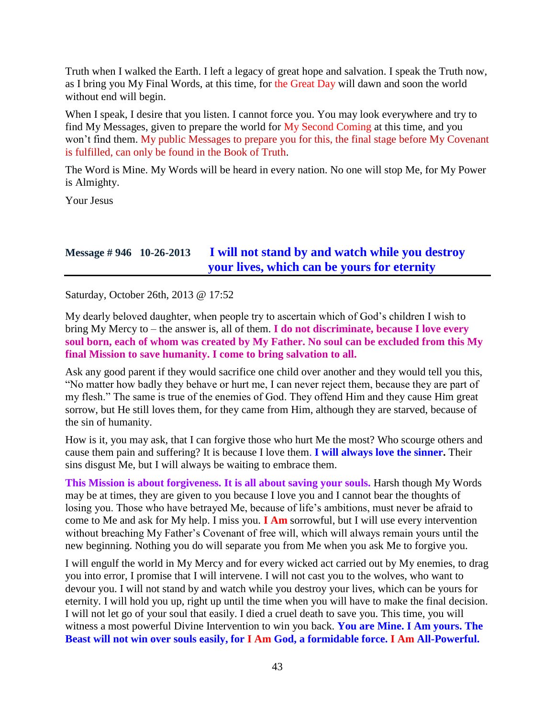Truth when I walked the Earth. I left a legacy of great hope and salvation. I speak the Truth now, as I bring you My Final Words, at this time, for the Great Day will dawn and soon the world without end will begin.

When I speak, I desire that you listen. I cannot force you. You may look everywhere and try to find My Messages, given to prepare the world for My Second Coming at this time, and you won't find them. My public Messages to prepare you for this, the final stage before My Covenant is fulfilled, can only be found in the Book of Truth.

The Word is Mine. My Words will be heard in every nation. No one will stop Me, for My Power is Almighty.

Your Jesus

### **Message # 946 10-26-2013 [I will not stand by and watch while you destroy](http://www.thewarningsecondcoming.com/i-will-not-stand-by-and-watch-while-you-destroy-your-lives-which-can-be-yours-for-eternity/)  [your lives, which can be yours for eternity](http://www.thewarningsecondcoming.com/i-will-not-stand-by-and-watch-while-you-destroy-your-lives-which-can-be-yours-for-eternity/)**

Saturday, October 26th, 2013 @ 17:52

My dearly beloved daughter, when people try to ascertain which of God's children I wish to bring My Mercy to – the answer is, all of them. **I do not discriminate, because I love every soul born, each of whom was created by My Father. No soul can be excluded from this My final Mission to save humanity. I come to bring salvation to all.**

Ask any good parent if they would sacrifice one child over another and they would tell you this, "No matter how badly they behave or hurt me, I can never reject them, because they are part of my flesh." The same is true of the enemies of God. They offend Him and they cause Him great sorrow, but He still loves them, for they came from Him, although they are starved, because of the sin of humanity.

How is it, you may ask, that I can forgive those who hurt Me the most? Who scourge others and cause them pain and suffering? It is because I love them. **I will always love the sinner.** Their sins disgust Me, but I will always be waiting to embrace them.

**This Mission is about forgiveness. It is all about saving your souls.** Harsh though My Words may be at times, they are given to you because I love you and I cannot bear the thoughts of losing you. Those who have betrayed Me, because of life's ambitions, must never be afraid to come to Me and ask for My help. I miss you. **I Am** sorrowful, but I will use every intervention without breaching My Father's Covenant of free will, which will always remain yours until the new beginning. Nothing you do will separate you from Me when you ask Me to forgive you.

I will engulf the world in My Mercy and for every wicked act carried out by My enemies, to drag you into error, I promise that I will intervene. I will not cast you to the wolves, who want to devour you. I will not stand by and watch while you destroy your lives, which can be yours for eternity. I will hold you up, right up until the time when you will have to make the final decision. I will not let go of your soul that easily. I died a cruel death to save you. This time, you will witness a most powerful Divine Intervention to win you back. **You are Mine. I Am yours. The Beast will not win over souls easily, for I Am God, a formidable force. I Am All-Powerful.**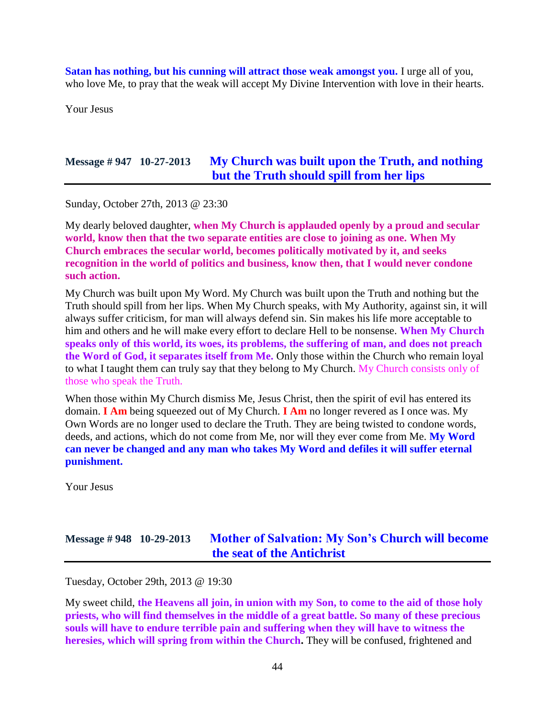**Satan has nothing, but his cunning will attract those weak amongst you.** I urge all of you, who love Me, to pray that the weak will accept My Divine Intervention with love in their hearts.

Your Jesus

### **Message # 947 10-27-2013 [My Church was built upon the Truth, and nothing](http://www.thewarningsecondcoming.com/my-church-was-built-upon-the-truth-and-nothing-but-the-truth-should-spill-from-her-lips/)  [but the Truth should spill from her lips](http://www.thewarningsecondcoming.com/my-church-was-built-upon-the-truth-and-nothing-but-the-truth-should-spill-from-her-lips/)**

Sunday, October 27th, 2013 @ 23:30

My dearly beloved daughter, **when My Church is applauded openly by a proud and secular world, know then that the two separate entities are close to joining as one. When My Church embraces the secular world, becomes politically motivated by it, and seeks recognition in the world of politics and business, know then, that I would never condone such action.**

My Church was built upon My Word. My Church was built upon the Truth and nothing but the Truth should spill from her lips. When My Church speaks, with My Authority, against sin, it will always suffer criticism, for man will always defend sin. Sin makes his life more acceptable to him and others and he will make every effort to declare Hell to be nonsense. **When My Church speaks only of this world, its woes, its problems, the suffering of man, and does not preach the Word of God, it separates itself from Me.** Only those within the Church who remain loyal to what I taught them can truly say that they belong to My Church. My Church consists only of those who speak the Truth.

When those within My Church dismiss Me, Jesus Christ, then the spirit of evil has entered its domain. **I Am** being squeezed out of My Church. **I Am** no longer revered as I once was. My Own Words are no longer used to declare the Truth. They are being twisted to condone words, deeds, and actions, which do not come from Me, nor will they ever come from Me. **My Word can never be changed and any man who takes My Word and defiles it will suffer eternal punishment.**

Your Jesus

# **Message # 948 10-29-2013 [Mother of Salvation: My Son's Church will become](http://www.thewarningsecondcoming.com/mother-of-salvation-my-sons-church-will-become-the-seat-of-the-antichrist/)  [the seat of the Antichrist](http://www.thewarningsecondcoming.com/mother-of-salvation-my-sons-church-will-become-the-seat-of-the-antichrist/)**

Tuesday, October 29th, 2013 @ 19:30

My sweet child, **the Heavens all join, in union with my Son, to come to the aid of those holy priests, who will find themselves in the middle of a great battle. So many of these precious souls will have to endure terrible pain and suffering when they will have to witness the heresies, which will spring from within the Church.** They will be confused, frightened and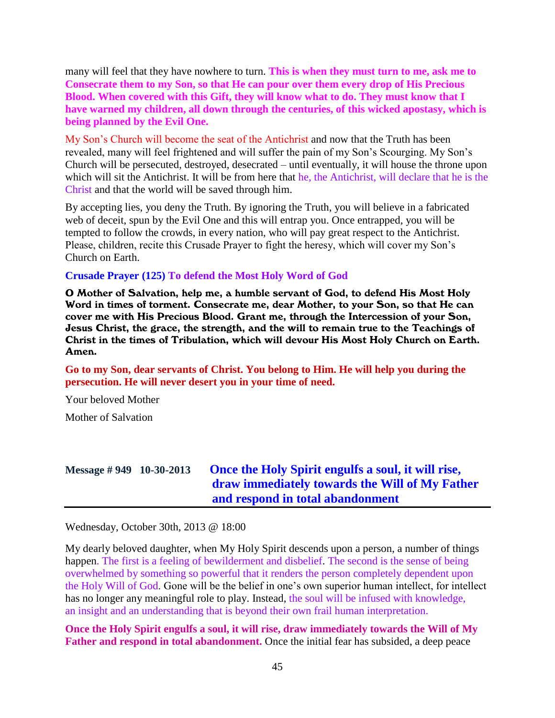many will feel that they have nowhere to turn. **This is when they must turn to me, ask me to Consecrate them to my Son, so that He can pour over them every drop of His Precious Blood. When covered with this Gift, they will know what to do. They must know that I have warned my children, all down through the centuries, of this wicked apostasy, which is being planned by the Evil One.**

My Son's Church will become the seat of the Antichrist and now that the Truth has been revealed, many will feel frightened and will suffer the pain of my Son's Scourging. My Son's Church will be persecuted, destroyed, desecrated – until eventually, it will house the throne upon which will sit the Antichrist. It will be from here that he, the Antichrist, will declare that he is the Christ and that the world will be saved through him.

By accepting lies, you deny the Truth. By ignoring the Truth, you will believe in a fabricated web of deceit, spun by the Evil One and this will entrap you. Once entrapped, you will be tempted to follow the crowds, in every nation, who will pay great respect to the Antichrist. Please, children, recite this Crusade Prayer to fight the heresy, which will cover my Son's Church on Earth.

#### **Crusade Prayer (125) To defend the Most Holy Word of God**

O Mother of Salvation, help me, a humble servant of God, to defend His Most Holy Word in times of torment. Consecrate me, dear Mother, to your Son, so that He can cover me with His Precious Blood. Grant me, through the Intercession of your Son, Jesus Christ, the grace, the strength, and the will to remain true to the Teachings of Christ in the times of Tribulation, which will devour His Most Holy Church on Earth. Amen.

**Go to my Son, dear servants of Christ. You belong to Him. He will help you during the persecution. He will never desert you in your time of need.**

Your beloved Mother

Mother of Salvation

# **Message # 949 10-30-2013 [Once the Holy Spirit engulfs a soul, it will rise,](http://www.thewarningsecondcoming.com/once-the-holy-spirit-engulfs-a-soul-it-will-rise-draw-immediately-towards-the-will-of-my-father-and-respond-in-total-abandonment/)  [draw immediately towards the Will of My Father](http://www.thewarningsecondcoming.com/once-the-holy-spirit-engulfs-a-soul-it-will-rise-draw-immediately-towards-the-will-of-my-father-and-respond-in-total-abandonment/)  [and respond in total abandonment](http://www.thewarningsecondcoming.com/once-the-holy-spirit-engulfs-a-soul-it-will-rise-draw-immediately-towards-the-will-of-my-father-and-respond-in-total-abandonment/)**

Wednesday, October 30th, 2013 @ 18:00

My dearly beloved daughter, when My Holy Spirit descends upon a person, a number of things happen. The first is a feeling of bewilderment and disbelief. The second is the sense of being overwhelmed by something so powerful that it renders the person completely dependent upon the Holy Will of God. Gone will be the belief in one's own superior human intellect, for intellect has no longer any meaningful role to play. Instead, the soul will be infused with knowledge, an insight and an understanding that is beyond their own frail human interpretation.

**Once the Holy Spirit engulfs a soul, it will rise, draw immediately towards the Will of My Father and respond in total abandonment.** Once the initial fear has subsided, a deep peace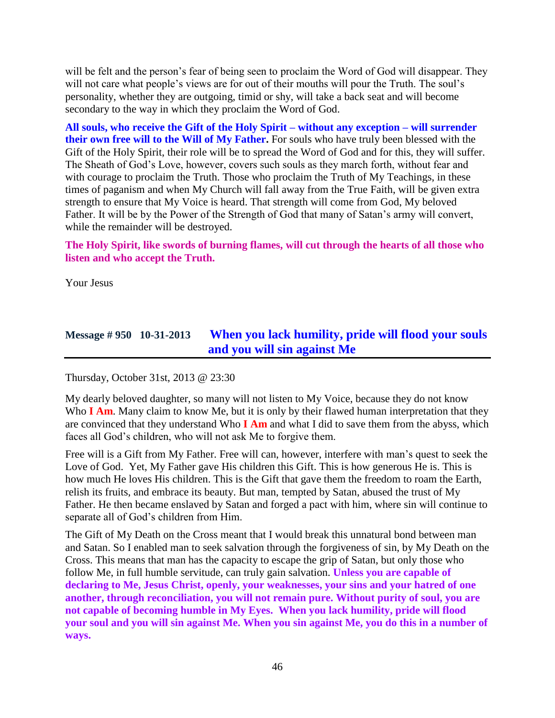will be felt and the person's fear of being seen to proclaim the Word of God will disappear. They will not care what people's views are for out of their mouths will pour the Truth. The soul's personality, whether they are outgoing, timid or shy, will take a back seat and will become secondary to the way in which they proclaim the Word of God.

**All souls, who receive the Gift of the Holy Spirit – without any exception – will surrender their own free will to the Will of My Father.** For souls who have truly been blessed with the Gift of the Holy Spirit, their role will be to spread the Word of God and for this, they will suffer. The Sheath of God's Love, however, covers such souls as they march forth, without fear and with courage to proclaim the Truth. Those who proclaim the Truth of My Teachings, in these times of paganism and when My Church will fall away from the True Faith, will be given extra strength to ensure that My Voice is heard. That strength will come from God, My beloved Father. It will be by the Power of the Strength of God that many of Satan's army will convert, while the remainder will be destroyed.

**The Holy Spirit, like swords of burning flames, will cut through the hearts of all those who listen and who accept the Truth.**

Your Jesus

## **Message # 950 10-31-2013 [When you lack humility, pride will flood your souls](http://www.thewarningsecondcoming.com/when-you-lack-humility-pride-will-flood-your-souls-and-you-will-sin-against-me/)  [and you will sin against Me](http://www.thewarningsecondcoming.com/when-you-lack-humility-pride-will-flood-your-souls-and-you-will-sin-against-me/)**

Thursday, October 31st, 2013 @ 23:30

My dearly beloved daughter, so many will not listen to My Voice, because they do not know Who **I Am**. Many claim to know Me, but it is only by their flawed human interpretation that they are convinced that they understand Who **I Am** and what I did to save them from the abyss, which faces all God's children, who will not ask Me to forgive them.

Free will is a Gift from My Father. Free will can, however, interfere with man's quest to seek the Love of God. Yet, My Father gave His children this Gift. This is how generous He is. This is how much He loves His children. This is the Gift that gave them the freedom to roam the Earth, relish its fruits, and embrace its beauty. But man, tempted by Satan, abused the trust of My Father. He then became enslaved by Satan and forged a pact with him, where sin will continue to separate all of God's children from Him.

The Gift of My Death on the Cross meant that I would break this unnatural bond between man and Satan. So I enabled man to seek salvation through the forgiveness of sin, by My Death on the Cross. This means that man has the capacity to escape the grip of Satan, but only those who follow Me, in full humble servitude, can truly gain salvation. **Unless you are capable of declaring to Me, Jesus Christ, openly, your weaknesses, your sins and your hatred of one another, through reconciliation, you will not remain pure. Without purity of soul, you are not capable of becoming humble in My Eyes. When you lack humility, pride will flood your soul and you will sin against Me. When you sin against Me, you do this in a number of ways.**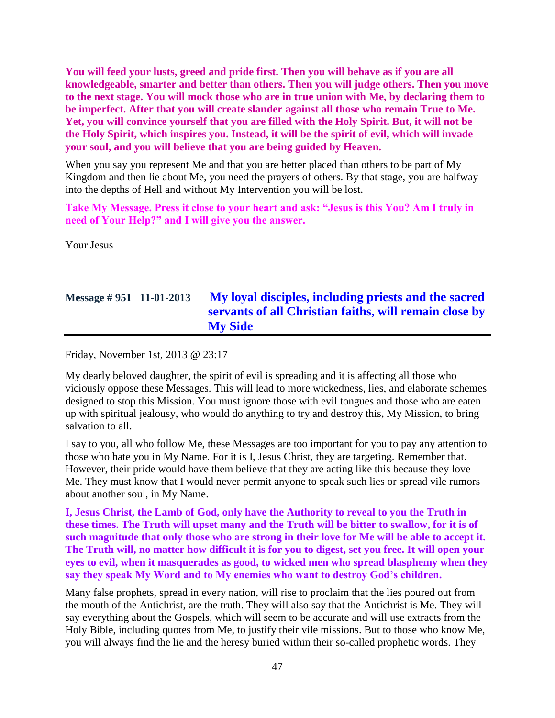**You will feed your lusts, greed and pride first. Then you will behave as if you are all knowledgeable, smarter and better than others. Then you will judge others. Then you move to the next stage. You will mock those who are in true union with Me, by declaring them to be imperfect. After that you will create slander against all those who remain True to Me. Yet, you will convince yourself that you are filled with the Holy Spirit. But, it will not be the Holy Spirit, which inspires you. Instead, it will be the spirit of evil, which will invade your soul, and you will believe that you are being guided by Heaven.**

When you say you represent Me and that you are better placed than others to be part of My Kingdom and then lie about Me, you need the prayers of others. By that stage, you are halfway into the depths of Hell and without My Intervention you will be lost.

**Take My Message. Press it close to your heart and ask: "Jesus is this You? Am I truly in need of Your Help?" and I will give you the answer.**

Your Jesus

## **Message # 951 11-01-2013 [My loyal disciples, including priests and the sacred](http://www.thewarningsecondcoming.com/my-loyal-disciples-including-priests-and-the-sacred-servants-of-all-christian-faiths-will-remain-close-by-my-side/)  [servants of all Christian faiths, will remain close by](http://www.thewarningsecondcoming.com/my-loyal-disciples-including-priests-and-the-sacred-servants-of-all-christian-faiths-will-remain-close-by-my-side/)  [My Side](http://www.thewarningsecondcoming.com/my-loyal-disciples-including-priests-and-the-sacred-servants-of-all-christian-faiths-will-remain-close-by-my-side/)**

Friday, November 1st, 2013 @ 23:17

My dearly beloved daughter, the spirit of evil is spreading and it is affecting all those who viciously oppose these Messages. This will lead to more wickedness, lies, and elaborate schemes designed to stop this Mission. You must ignore those with evil tongues and those who are eaten up with spiritual jealousy, who would do anything to try and destroy this, My Mission, to bring salvation to all.

I say to you, all who follow Me, these Messages are too important for you to pay any attention to those who hate you in My Name. For it is I, Jesus Christ, they are targeting. Remember that. However, their pride would have them believe that they are acting like this because they love Me. They must know that I would never permit anyone to speak such lies or spread vile rumors about another soul, in My Name.

**I, Jesus Christ, the Lamb of God, only have the Authority to reveal to you the Truth in these times. The Truth will upset many and the Truth will be bitter to swallow, for it is of such magnitude that only those who are strong in their love for Me will be able to accept it. The Truth will, no matter how difficult it is for you to digest, set you free. It will open your eyes to evil, when it masquerades as good, to wicked men who spread blasphemy when they say they speak My Word and to My enemies who want to destroy God's children.**

Many false prophets, spread in every nation, will rise to proclaim that the lies poured out from the mouth of the Antichrist, are the truth. They will also say that the Antichrist is Me. They will say everything about the Gospels, which will seem to be accurate and will use extracts from the Holy Bible, including quotes from Me, to justify their vile missions. But to those who know Me, you will always find the lie and the heresy buried within their so-called prophetic words. They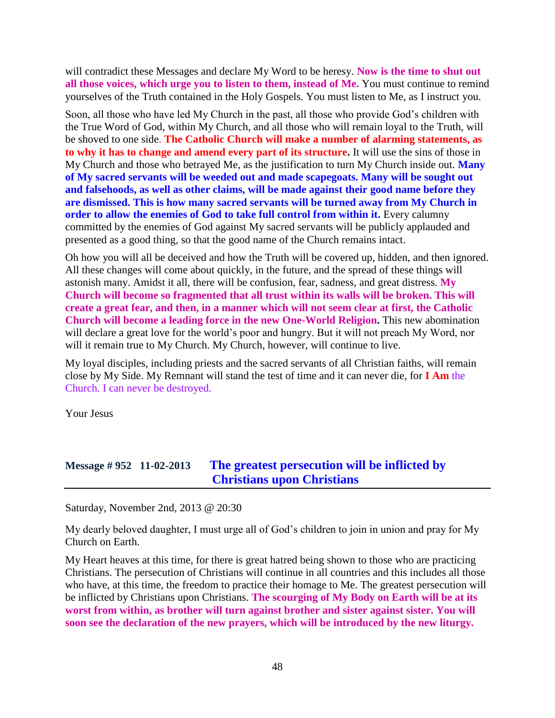will contradict these Messages and declare My Word to be heresy. **Now is the time to shut out all those voices, which urge you to listen to them, instead of Me.** You must continue to remind yourselves of the Truth contained in the Holy Gospels. You must listen to Me, as I instruct you.

Soon, all those who have led My Church in the past, all those who provide God's children with the True Word of God, within My Church, and all those who will remain loyal to the Truth, will be shoved to one side. **The Catholic Church will make a number of alarming statements, as to why it has to change and amend every part of its structure.** It will use the sins of those in My Church and those who betrayed Me, as the justification to turn My Church inside out. **Many of My sacred servants will be weeded out and made scapegoats. Many will be sought out and falsehoods, as well as other claims, will be made against their good name before they are dismissed. This is how many sacred servants will be turned away from My Church in order to allow the enemies of God to take full control from within it.** Every calumny committed by the enemies of God against My sacred servants will be publicly applauded and presented as a good thing, so that the good name of the Church remains intact.

Oh how you will all be deceived and how the Truth will be covered up, hidden, and then ignored. All these changes will come about quickly, in the future, and the spread of these things will astonish many. Amidst it all, there will be confusion, fear, sadness, and great distress. **My Church will become so fragmented that all trust within its walls will be broken. This will create a great fear, and then, in a manner which will not seem clear at first, the Catholic Church will become a leading force in the new One-World Religion.** This new abomination will declare a great love for the world's poor and hungry. But it will not preach My Word, nor will it remain true to My Church. My Church, however, will continue to live.

My loyal disciples, including priests and the sacred servants of all Christian faiths, will remain close by My Side. My Remnant will stand the test of time and it can never die, for **I Am** the Church. I can never be destroyed.

Your Jesus

# **Message # 952 11-02-2013 [The greatest persecution will be inflicted by](http://www.thewarningsecondcoming.com/the-greatest-persecution-will-be-inflicted-by-christians-upon-christians/)  [Christians upon Christians](http://www.thewarningsecondcoming.com/the-greatest-persecution-will-be-inflicted-by-christians-upon-christians/)**

Saturday, November 2nd, 2013 @ 20:30

My dearly beloved daughter, I must urge all of God's children to join in union and pray for My Church on Earth.

My Heart heaves at this time, for there is great hatred being shown to those who are practicing Christians. The persecution of Christians will continue in all countries and this includes all those who have, at this time, the freedom to practice their homage to Me. The greatest persecution will be inflicted by Christians upon Christians. **The scourging of My Body on Earth will be at its worst from within, as brother will turn against brother and sister against sister. You will soon see the declaration of the new prayers, which will be introduced by the new liturgy.**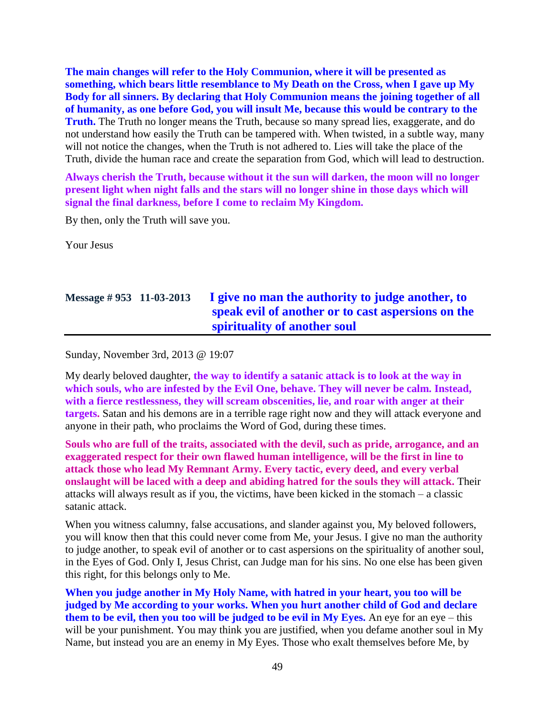**The main changes will refer to the Holy Communion, where it will be presented as something, which bears little resemblance to My Death on the Cross, when I gave up My Body for all sinners. By declaring that Holy Communion means the joining together of all of humanity, as one before God, you will insult Me, because this would be contrary to the Truth.** The Truth no longer means the Truth, because so many spread lies, exaggerate, and do not understand how easily the Truth can be tampered with. When twisted, in a subtle way, many will not notice the changes, when the Truth is not adhered to. Lies will take the place of the Truth, divide the human race and create the separation from God, which will lead to destruction.

**Always cherish the Truth, because without it the sun will darken, the moon will no longer present light when night falls and the stars will no longer shine in those days which will signal the final darkness, before I come to reclaim My Kingdom.**

By then, only the Truth will save you.

Your Jesus

# **Message # 953 11-03-2013 [I give no man the authority to judge another, to](http://www.thewarningsecondcoming.com/i-give-no-man-the-authority-to-judge-another-to-speak-evil-of-another-or-to-cast-aspersions-on-the-spirituality-of-another-soul/)  [speak evil of another or to cast aspersions on the](http://www.thewarningsecondcoming.com/i-give-no-man-the-authority-to-judge-another-to-speak-evil-of-another-or-to-cast-aspersions-on-the-spirituality-of-another-soul/)  [spirituality of another soul](http://www.thewarningsecondcoming.com/i-give-no-man-the-authority-to-judge-another-to-speak-evil-of-another-or-to-cast-aspersions-on-the-spirituality-of-another-soul/)**

Sunday, November 3rd, 2013 @ 19:07

My dearly beloved daughter, **the way to identify a satanic attack is to look at the way in which souls, who are infested by the Evil One, behave. They will never be calm. Instead, with a fierce restlessness, they will scream obscenities, lie, and roar with anger at their targets.** Satan and his demons are in a terrible rage right now and they will attack everyone and anyone in their path, who proclaims the Word of God, during these times.

**Souls who are full of the traits, associated with the devil, such as pride, arrogance, and an exaggerated respect for their own flawed human intelligence, will be the first in line to attack those who lead My Remnant Army. Every tactic, every deed, and every verbal onslaught will be laced with a deep and abiding hatred for the souls they will attack.** Their attacks will always result as if you, the victims, have been kicked in the stomach – a classic satanic attack.

When you witness calumny, false accusations, and slander against you, My beloved followers, you will know then that this could never come from Me, your Jesus. I give no man the authority to judge another, to speak evil of another or to cast aspersions on the spirituality of another soul, in the Eyes of God. Only I, Jesus Christ, can Judge man for his sins. No one else has been given this right, for this belongs only to Me.

**When you judge another in My Holy Name, with hatred in your heart, you too will be judged by Me according to your works. When you hurt another child of God and declare them to be evil, then you too will be judged to be evil in My Eyes.** An eye for an eye – this will be your punishment. You may think you are justified, when you defame another soul in My Name, but instead you are an enemy in My Eyes. Those who exalt themselves before Me, by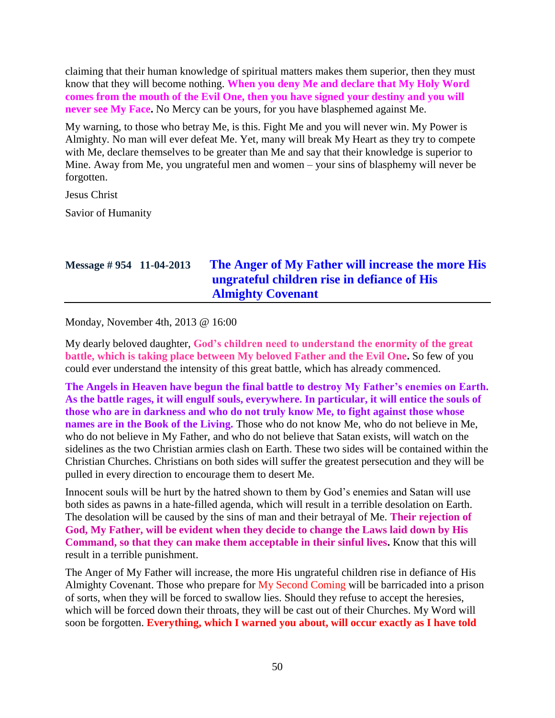claiming that their human knowledge of spiritual matters makes them superior, then they must know that they will become nothing. **When you deny Me and declare that My Holy Word comes from the mouth of the Evil One, then you have signed your destiny and you will never see My Face.** No Mercy can be yours, for you have blasphemed against Me.

My warning, to those who betray Me, is this. Fight Me and you will never win. My Power is Almighty. No man will ever defeat Me. Yet, many will break My Heart as they try to compete with Me, declare themselves to be greater than Me and say that their knowledge is superior to Mine. Away from Me, you ungrateful men and women – your sins of blasphemy will never be forgotten.

Jesus Christ

Savior of Humanity

# **Message # 954 11-04-2013 [The Anger of My Father will increase the more His](http://www.thewarningsecondcoming.com/the-anger-of-my-father-will-increase-the-more-his-ungrateful-children-rise-in-defiance-of-his-almighty-covenant/)  [ungrateful children rise in defiance of His](http://www.thewarningsecondcoming.com/the-anger-of-my-father-will-increase-the-more-his-ungrateful-children-rise-in-defiance-of-his-almighty-covenant/)  [Almighty Covenant](http://www.thewarningsecondcoming.com/the-anger-of-my-father-will-increase-the-more-his-ungrateful-children-rise-in-defiance-of-his-almighty-covenant/)**

Monday, November 4th, 2013 @ 16:00

My dearly beloved daughter, **God's children need to understand the enormity of the great battle, which is taking place between My beloved Father and the Evil One.** So few of you could ever understand the intensity of this great battle, which has already commenced.

**The Angels in Heaven have begun the final battle to destroy My Father's enemies on Earth. As the battle rages, it will engulf souls, everywhere. In particular, it will entice the souls of those who are in darkness and who do not truly know Me, to fight against those whose names are in the Book of the Living.** Those who do not know Me, who do not believe in Me, who do not believe in My Father, and who do not believe that Satan exists, will watch on the sidelines as the two Christian armies clash on Earth. These two sides will be contained within the Christian Churches. Christians on both sides will suffer the greatest persecution and they will be pulled in every direction to encourage them to desert Me.

Innocent souls will be hurt by the hatred shown to them by God's enemies and Satan will use both sides as pawns in a hate-filled agenda, which will result in a terrible desolation on Earth. The desolation will be caused by the sins of man and their betrayal of Me. **Their rejection of God, My Father, will be evident when they decide to change the Laws laid down by His Command, so that they can make them acceptable in their sinful lives.** Know that this will result in a terrible punishment.

The Anger of My Father will increase, the more His ungrateful children rise in defiance of His Almighty Covenant. Those who prepare for My Second Coming will be barricaded into a prison of sorts, when they will be forced to swallow lies. Should they refuse to accept the heresies, which will be forced down their throats, they will be cast out of their Churches. My Word will soon be forgotten. **Everything, which I warned you about, will occur exactly as I have told**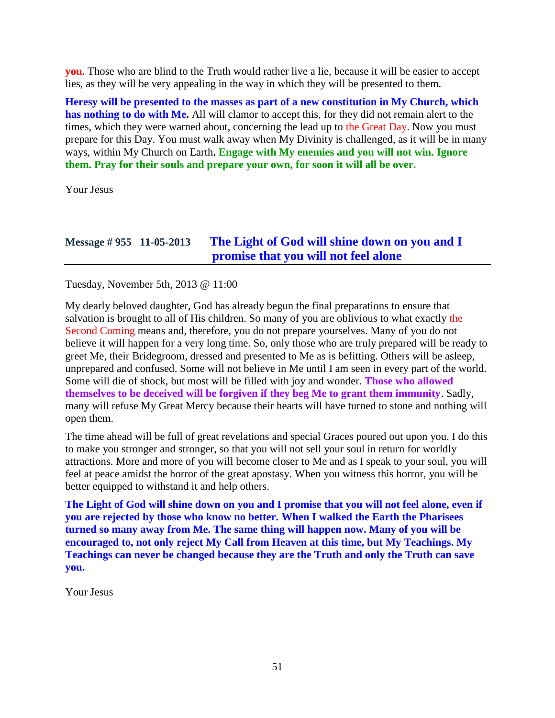**you.** Those who are blind to the Truth would rather live a lie, because it will be easier to accept lies, as they will be very appealing in the way in which they will be presented to them.

**Heresy will be presented to the masses as part of a new constitution in My Church, which has nothing to do with Me.** All will clamor to accept this, for they did not remain alert to the times, which they were warned about, concerning the lead up to the Great Day. Now you must prepare for this Day. You must walk away when My Divinity is challenged, as it will be in many ways, within My Church on Earth**. Engage with My enemies and you will not win. Ignore them. Pray for their souls and prepare your own, for soon it will all be over.**

Your Jesus

## **Message # 955 11-05-2013 [The Light of God will shine down on you and I](http://www.thewarningsecondcoming.com/the-light-of-god-will-shine-down-on-you-and-i-promise-that-you-will-not-feel-alone/)  [promise that you will not feel alone](http://www.thewarningsecondcoming.com/the-light-of-god-will-shine-down-on-you-and-i-promise-that-you-will-not-feel-alone/)**

Tuesday, November 5th, 2013 @ 11:00

My dearly beloved daughter, God has already begun the final preparations to ensure that salvation is brought to all of His children. So many of you are oblivious to what exactly the Second Coming means and, therefore, you do not prepare yourselves. Many of you do not believe it will happen for a very long time. So, only those who are truly prepared will be ready to greet Me, their Bridegroom, dressed and presented to Me as is befitting. Others will be asleep, unprepared and confused. Some will not believe in Me until I am seen in every part of the world. Some will die of shock, but most will be filled with joy and wonder. **Those who allowed themselves to be deceived will be forgiven if they beg Me to grant them immunity**. Sadly, many will refuse My Great Mercy because their hearts will have turned to stone and nothing will open them.

The time ahead will be full of great revelations and special Graces poured out upon you. I do this to make you stronger and stronger, so that you will not sell your soul in return for worldly attractions. More and more of you will become closer to Me and as I speak to your soul, you will feel at peace amidst the horror of the great apostasy. When you witness this horror, you will be better equipped to withstand it and help others.

**The Light of God will shine down on you and I promise that you will not feel alone, even if you are rejected by those who know no better. When I walked the Earth the Pharisees turned so many away from Me. The same thing will happen now. Many of you will be encouraged to, not only reject My Call from Heaven at this time, but My Teachings. My Teachings can never be changed because they are the Truth and only the Truth can save you.**

Your Jesus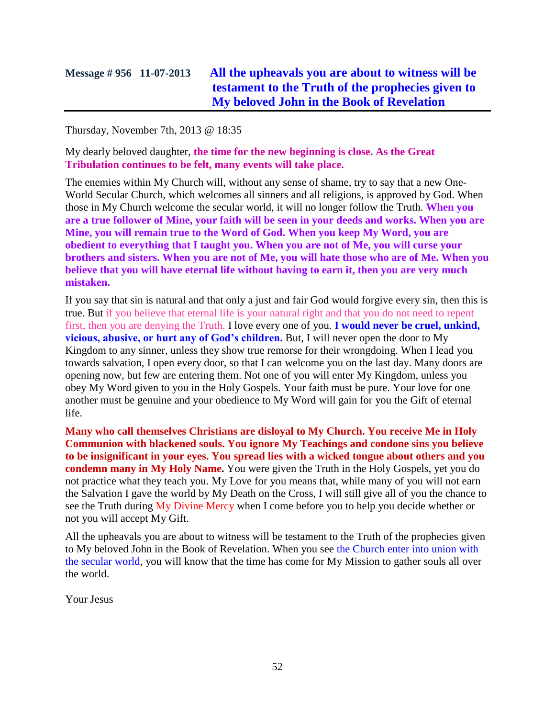# **Message # 956 11-07-2013 [All the upheavals you are about to witness will be](http://www.thewarningsecondcoming.com/all-the-upheavals-you-are-about-to-witness-will-be-testament-to-the-truth-of-the-prophecies-given-to-my-beloved-john-in-the-book-of-revelation/)  [testament to the Truth of the prophecies given to](http://www.thewarningsecondcoming.com/all-the-upheavals-you-are-about-to-witness-will-be-testament-to-the-truth-of-the-prophecies-given-to-my-beloved-john-in-the-book-of-revelation/)  [My beloved John in the Book of Revelation](http://www.thewarningsecondcoming.com/all-the-upheavals-you-are-about-to-witness-will-be-testament-to-the-truth-of-the-prophecies-given-to-my-beloved-john-in-the-book-of-revelation/)**

Thursday, November 7th, 2013 @ 18:35

My dearly beloved daughter, **the time for the new beginning is close. As the Great Tribulation continues to be felt, many events will take place.**

The enemies within My Church will, without any sense of shame, try to say that a new One-World Secular Church, which welcomes all sinners and all religions, is approved by God. When those in My Church welcome the secular world, it will no longer follow the Truth. **When you are a true follower of Mine, your faith will be seen in your deeds and works. When you are Mine, you will remain true to the Word of God. When you keep My Word, you are obedient to everything that I taught you. When you are not of Me, you will curse your brothers and sisters. When you are not of Me, you will hate those who are of Me. When you believe that you will have eternal life without having to earn it, then you are very much mistaken.**

If you say that sin is natural and that only a just and fair God would forgive every sin, then this is true. But if you believe that eternal life is your natural right and that you do not need to repent first, then you are denying the Truth. I love every one of you. **I would never be cruel, unkind, vicious, abusive, or hurt any of God's children.** But, I will never open the door to My Kingdom to any sinner, unless they show true remorse for their wrongdoing. When I lead you towards salvation, I open every door, so that I can welcome you on the last day. Many doors are opening now, but few are entering them. Not one of you will enter My Kingdom, unless you obey My Word given to you in the Holy Gospels. Your faith must be pure. Your love for one another must be genuine and your obedience to My Word will gain for you the Gift of eternal life.

**Many who call themselves Christians are disloyal to My Church. You receive Me in Holy Communion with blackened souls. You ignore My Teachings and condone sins you believe to be insignificant in your eyes. You spread lies with a wicked tongue about others and you condemn many in My Holy Name.** You were given the Truth in the Holy Gospels, yet you do not practice what they teach you. My Love for you means that, while many of you will not earn the Salvation I gave the world by My Death on the Cross, I will still give all of you the chance to see the Truth during My Divine Mercy when I come before you to help you decide whether or not you will accept My Gift.

All the upheavals you are about to witness will be testament to the Truth of the prophecies given to My beloved John in the Book of Revelation. When you see the Church enter into union with the secular world, you will know that the time has come for My Mission to gather souls all over the world.

Your Jesus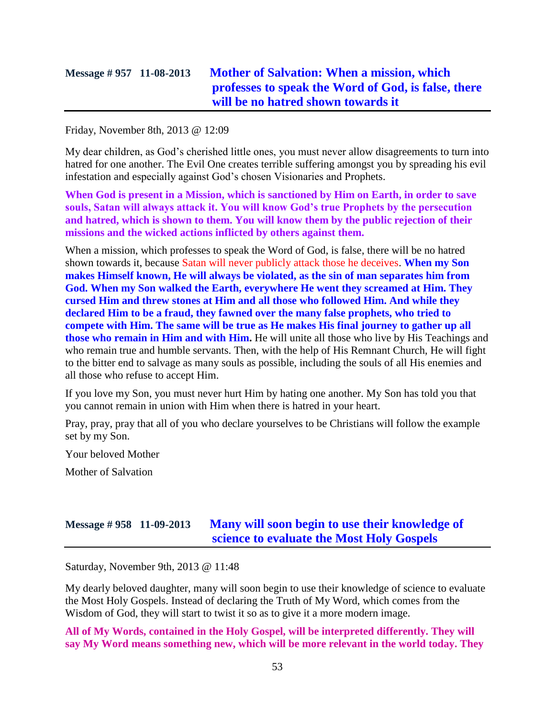## **Message # 957 11-08-2013 [Mother of Salvation: When a mission, which](http://www.thewarningsecondcoming.com/mother-of-salvation-when-a-mission-which-professes-to-speak-the-word-of-god-is-false-there-will-be-no-hatred-shown-towards-it/)  [professes to speak the Word of God, is false,](http://www.thewarningsecondcoming.com/mother-of-salvation-when-a-mission-which-professes-to-speak-the-word-of-god-is-false-there-will-be-no-hatred-shown-towards-it/) there [will be no hatred shown towards it](http://www.thewarningsecondcoming.com/mother-of-salvation-when-a-mission-which-professes-to-speak-the-word-of-god-is-false-there-will-be-no-hatred-shown-towards-it/)**

Friday, November 8th, 2013 @ 12:09

My dear children, as God's cherished little ones, you must never allow disagreements to turn into hatred for one another. The Evil One creates terrible suffering amongst you by spreading his evil infestation and especially against God's chosen Visionaries and Prophets.

**When God is present in a Mission, which is sanctioned by Him on Earth, in order to save souls, Satan will always attack it. You will know God's true Prophets by the persecution and hatred, which is shown to them. You will know them by the public rejection of their missions and the wicked actions inflicted by others against them.**

When a mission, which professes to speak the Word of God, is false, there will be no hatred shown towards it, because Satan will never publicly attack those he deceives. **When my Son makes Himself known, He will always be violated, as the sin of man separates him from God. When my Son walked the Earth, everywhere He went they screamed at Him. They cursed Him and threw stones at Him and all those who followed Him. And while they declared Him to be a fraud, they fawned over the many false prophets, who tried to compete with Him. The same will be true as He makes His final journey to gather up all those who remain in Him and with Him.** He will unite all those who live by His Teachings and who remain true and humble servants. Then, with the help of His Remnant Church, He will fight to the bitter end to salvage as many souls as possible, including the souls of all His enemies and all those who refuse to accept Him.

If you love my Son, you must never hurt Him by hating one another. My Son has told you that you cannot remain in union with Him when there is hatred in your heart.

Pray, pray, pray that all of you who declare yourselves to be Christians will follow the example set by my Son.

Your beloved Mother

Mother of Salvation

## **Message # 958 11-09-2013 [Many will soon begin to use their knowledge of](http://www.thewarningsecondcoming.com/many-will-soon-begin-to-use-their-knowledge-of-science-to-evaluate-the-most-holy-gospels/)  [science to evaluate the Most Holy Gospels](http://www.thewarningsecondcoming.com/many-will-soon-begin-to-use-their-knowledge-of-science-to-evaluate-the-most-holy-gospels/)**

Saturday, November 9th, 2013 @ 11:48

My dearly beloved daughter, many will soon begin to use their knowledge of science to evaluate the Most Holy Gospels. Instead of declaring the Truth of My Word, which comes from the Wisdom of God, they will start to twist it so as to give it a more modern image.

**All of My Words, contained in the Holy Gospel, will be interpreted differently. They will say My Word means something new, which will be more relevant in the world today. They**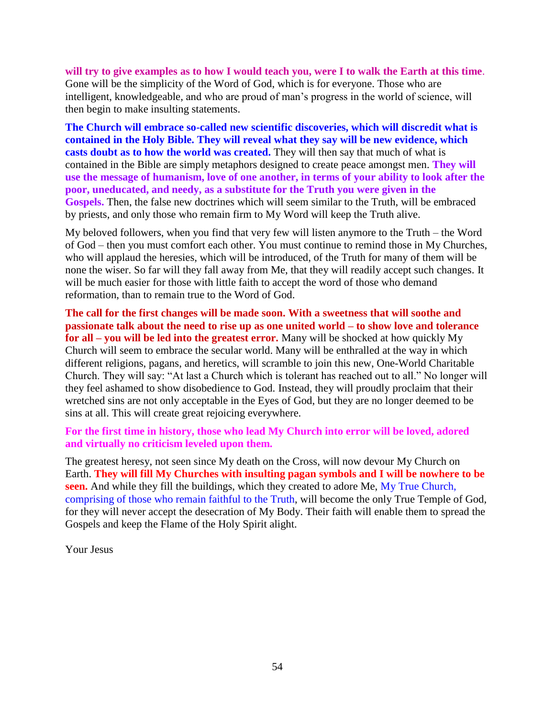**will try to give examples as to how I would teach you, were I to walk the Earth at this time**. Gone will be the simplicity of the Word of God, which is for everyone. Those who are intelligent, knowledgeable, and who are proud of man's progress in the world of science, will then begin to make insulting statements.

**The Church will embrace so-called new scientific discoveries, which will discredit what is contained in the Holy Bible. They will reveal what they say will be new evidence, which casts doubt as to how the world was created.** They will then say that much of what is contained in the Bible are simply metaphors designed to create peace amongst men. **They will use the message of humanism, love of one another, in terms of your ability to look after the poor, uneducated, and needy, as a substitute for the Truth you were given in the Gospels.** Then, the false new doctrines which will seem similar to the Truth, will be embraced by priests, and only those who remain firm to My Word will keep the Truth alive.

My beloved followers, when you find that very few will listen anymore to the Truth – the Word of God – then you must comfort each other. You must continue to remind those in My Churches, who will applaud the heresies, which will be introduced, of the Truth for many of them will be none the wiser. So far will they fall away from Me, that they will readily accept such changes. It will be much easier for those with little faith to accept the word of those who demand reformation, than to remain true to the Word of God.

**The call for the first changes will be made soon. With a sweetness that will soothe and passionate talk about the need to rise up as one united world – to show love and tolerance for all – you will be led into the greatest error.** Many will be shocked at how quickly My Church will seem to embrace the secular world. Many will be enthralled at the way in which different religions, pagans, and heretics, will scramble to join this new, One-World Charitable Church. They will say: "At last a Church which is tolerant has reached out to all." No longer will they feel ashamed to show disobedience to God. Instead, they will proudly proclaim that their wretched sins are not only acceptable in the Eyes of God, but they are no longer deemed to be sins at all. This will create great rejoicing everywhere.

**For the first time in history, those who lead My Church into error will be loved, adored and virtually no criticism leveled upon them.**

The greatest heresy, not seen since My death on the Cross, will now devour My Church on Earth. **They will fill My Churches with insulting pagan symbols and I will be nowhere to be seen.** And while they fill the buildings, which they created to adore Me, My True Church, comprising of those who remain faithful to the Truth, will become the only True Temple of God, for they will never accept the desecration of My Body. Their faith will enable them to spread the Gospels and keep the Flame of the Holy Spirit alight.

Your Jesus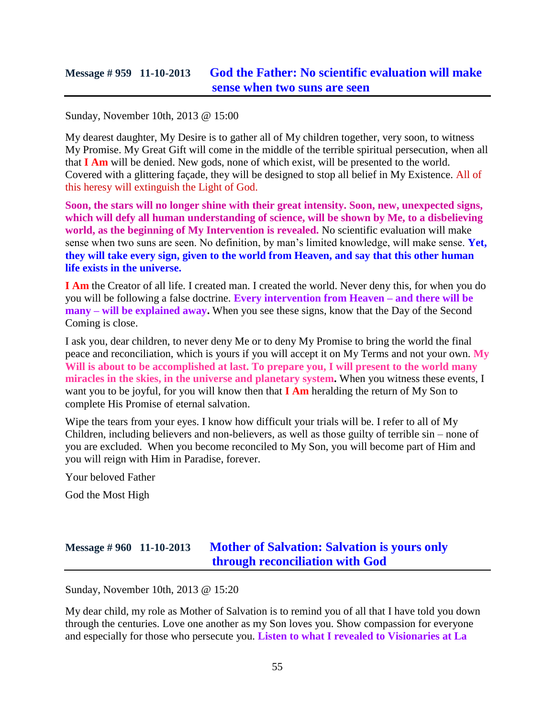### **Message # 959 11-10-2013 [God the Father: No scientific evaluation will make](http://www.thewarningsecondcoming.com/god-the-father-no-scientific-evaluation-will-make-sense-when-two-suns-are-seen/)  [sense when two suns are seen](http://www.thewarningsecondcoming.com/god-the-father-no-scientific-evaluation-will-make-sense-when-two-suns-are-seen/)**

Sunday, November 10th, 2013 @ 15:00

My dearest daughter, My Desire is to gather all of My children together, very soon, to witness My Promise. My Great Gift will come in the middle of the terrible spiritual persecution, when all that **I Am** will be denied. New gods, none of which exist, will be presented to the world. Covered with a glittering façade, they will be designed to stop all belief in My Existence. All of this heresy will extinguish the Light of God.

**Soon, the stars will no longer shine with their great intensity. Soon, new, unexpected signs, which will defy all human understanding of science, will be shown by Me, to a disbelieving world, as the beginning of My Intervention is revealed.** No scientific evaluation will make sense when two suns are seen. No definition, by man's limited knowledge, will make sense. **Yet, they will take every sign, given to the world from Heaven, and say that this other human life exists in the universe.**

**I Am** the Creator of all life. I created man. I created the world. Never deny this, for when you do you will be following a false doctrine. **Every intervention from Heaven – and there will be many – will be explained away.** When you see these signs, know that the Day of the Second Coming is close.

I ask you, dear children, to never deny Me or to deny My Promise to bring the world the final peace and reconciliation, which is yours if you will accept it on My Terms and not your own. **My Will is about to be accomplished at last. To prepare you, I will present to the world many miracles in the skies, in the universe and planetary system.** When you witness these events, I want you to be joyful, for you will know then that **I Am** heralding the return of My Son to complete His Promise of eternal salvation.

Wipe the tears from your eyes. I know how difficult your trials will be. I refer to all of My Children, including believers and non-believers, as well as those guilty of terrible sin – none of you are excluded. When you become reconciled to My Son, you will become part of Him and you will reign with Him in Paradise, forever.

Your beloved Father

God the Most High

### **Message # 960 11-10-2013 [Mother of Salvation: Salvation is yours only](http://www.thewarningsecondcoming.com/mother-of-salvation-salvation-is-yours-only-through-reconciliation-with-god/)  [through reconciliation with God](http://www.thewarningsecondcoming.com/mother-of-salvation-salvation-is-yours-only-through-reconciliation-with-god/)**

Sunday, November 10th, 2013 @ 15:20

My dear child, my role as Mother of Salvation is to remind you of all that I have told you down through the centuries. Love one another as my Son loves you. Show compassion for everyone and especially for those who persecute you. **Listen to what I revealed to Visionaries at La**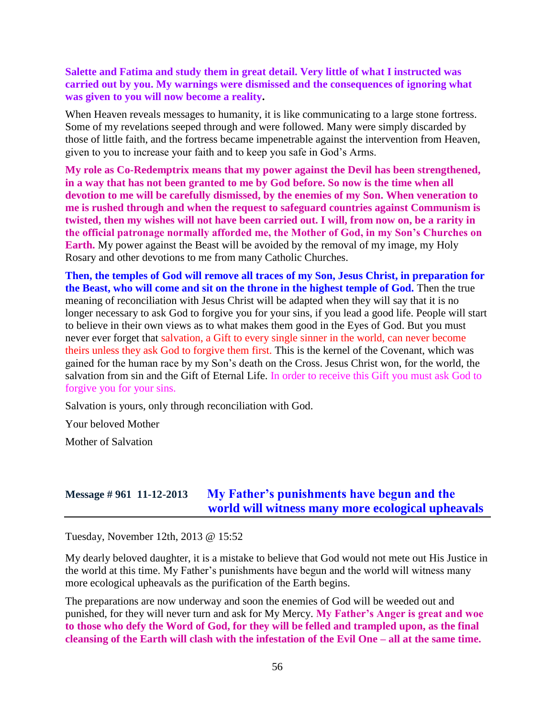**Salette and Fatima and study them in great detail. Very little of what I instructed was carried out by you. My warnings were dismissed and the consequences of ignoring what was given to you will now become a reality.**

When Heaven reveals messages to humanity, it is like communicating to a large stone fortress. Some of my revelations seeped through and were followed. Many were simply discarded by those of little faith, and the fortress became impenetrable against the intervention from Heaven, given to you to increase your faith and to keep you safe in God's Arms.

**My role as Co-Redemptrix means that my power against the Devil has been strengthened, in a way that has not been granted to me by God before. So now is the time when all devotion to me will be carefully dismissed, by the enemies of my Son. When veneration to me is rushed through and when the request to safeguard countries against Communism is twisted, then my wishes will not have been carried out. I will, from now on, be a rarity in the official patronage normally afforded me, the Mother of God, in my Son's Churches on Earth.** My power against the Beast will be avoided by the removal of my image, my Holy Rosary and other devotions to me from many Catholic Churches.

**Then, the temples of God will remove all traces of my Son, Jesus Christ, in preparation for the Beast, who will come and sit on the throne in the highest temple of God.** Then the true meaning of reconciliation with Jesus Christ will be adapted when they will say that it is no longer necessary to ask God to forgive you for your sins, if you lead a good life. People will start to believe in their own views as to what makes them good in the Eyes of God. But you must never ever forget that salvation, a Gift to every single sinner in the world, can never become theirs unless they ask God to forgive them first. This is the kernel of the Covenant, which was gained for the human race by my Son's death on the Cross. Jesus Christ won, for the world, the salvation from sin and the Gift of Eternal Life. In order to receive this Gift you must ask God to forgive you for your sins.

Salvation is yours, only through reconciliation with God.

Your beloved Mother

Mother of Salvation

### **Message # 961 11-12-2013 [My Father's punishments have begun and the](http://www.thewarningsecondcoming.com/my-fathers-punishments-have-begun-and-the-world-will-witness-many-more-ecological-upheavals/)  [world will witness many more ecological upheavals](http://www.thewarningsecondcoming.com/my-fathers-punishments-have-begun-and-the-world-will-witness-many-more-ecological-upheavals/)**

Tuesday, November 12th, 2013 @ 15:52

My dearly beloved daughter, it is a mistake to believe that God would not mete out His Justice in the world at this time. My Father's punishments have begun and the world will witness many more ecological upheavals as the purification of the Earth begins.

The preparations are now underway and soon the enemies of God will be weeded out and punished, for they will never turn and ask for My Mercy. **My Father's Anger is great and woe to those who defy the Word of God, for they will be felled and trampled upon, as the final cleansing of the Earth will clash with the infestation of the Evil One – all at the same time.**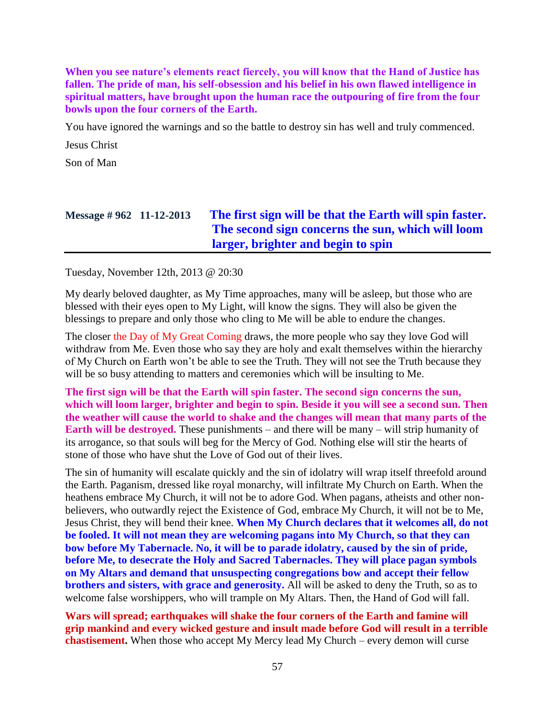**When you see nature's elements react fiercely, you will know that the Hand of Justice has fallen. The pride of man, his self-obsession and his belief in his own flawed intelligence in spiritual matters, have brought upon the human race the outpouring of fire from the four bowls upon the four corners of the Earth.**

You have ignored the warnings and so the battle to destroy sin has well and truly commenced.

Jesus Christ

Son of Man

# **Message # 962 11-12-2013 [The first sign will be that the Earth will spin faster.](http://www.thewarningsecondcoming.com/the-first-sign-will-be-that-the-earth-will-spin-faster-the-second-sign-concerns-the-sun-which-will-loom-larger-brighter-and-begin-to-spin/)  [The second sign concerns the sun, which will loom](http://www.thewarningsecondcoming.com/the-first-sign-will-be-that-the-earth-will-spin-faster-the-second-sign-concerns-the-sun-which-will-loom-larger-brighter-and-begin-to-spin/)  [larger, brighter and begin to spin](http://www.thewarningsecondcoming.com/the-first-sign-will-be-that-the-earth-will-spin-faster-the-second-sign-concerns-the-sun-which-will-loom-larger-brighter-and-begin-to-spin/)**

Tuesday, November 12th, 2013 @ 20:30

My dearly beloved daughter, as My Time approaches, many will be asleep, but those who are blessed with their eyes open to My Light, will know the signs. They will also be given the blessings to prepare and only those who cling to Me will be able to endure the changes.

The closer the Day of My Great Coming draws, the more people who say they love God will withdraw from Me. Even those who say they are holy and exalt themselves within the hierarchy of My Church on Earth won't be able to see the Truth. They will not see the Truth because they will be so busy attending to matters and ceremonies which will be insulting to Me.

**The first sign will be that the Earth will spin faster. The second sign concerns the sun, which will loom larger, brighter and begin to spin. Beside it you will see a second sun. Then the weather will cause the world to shake and the changes will mean that many parts of the Earth will be destroyed.** These punishments – and there will be many – will strip humanity of its arrogance, so that souls will beg for the Mercy of God. Nothing else will stir the hearts of stone of those who have shut the Love of God out of their lives.

The sin of humanity will escalate quickly and the sin of idolatry will wrap itself threefold around the Earth. Paganism, dressed like royal monarchy, will infiltrate My Church on Earth. When the heathens embrace My Church, it will not be to adore God. When pagans, atheists and other nonbelievers, who outwardly reject the Existence of God, embrace My Church, it will not be to Me, Jesus Christ, they will bend their knee. **When My Church declares that it welcomes all, do not be fooled. It will not mean they are welcoming pagans into My Church, so that they can bow before My Tabernacle. No, it will be to parade idolatry, caused by the sin of pride, before Me, to desecrate the Holy and Sacred Tabernacles. They will place pagan symbols on My Altars and demand that unsuspecting congregations bow and accept their fellow brothers and sisters, with grace and generosity.** All will be asked to deny the Truth, so as to welcome false worshippers, who will trample on My Altars. Then, the Hand of God will fall.

**Wars will spread; earthquakes will shake the four corners of the Earth and famine will grip mankind and every wicked gesture and insult made before God will result in a terrible chastisement.** When those who accept My Mercy lead My Church – every demon will curse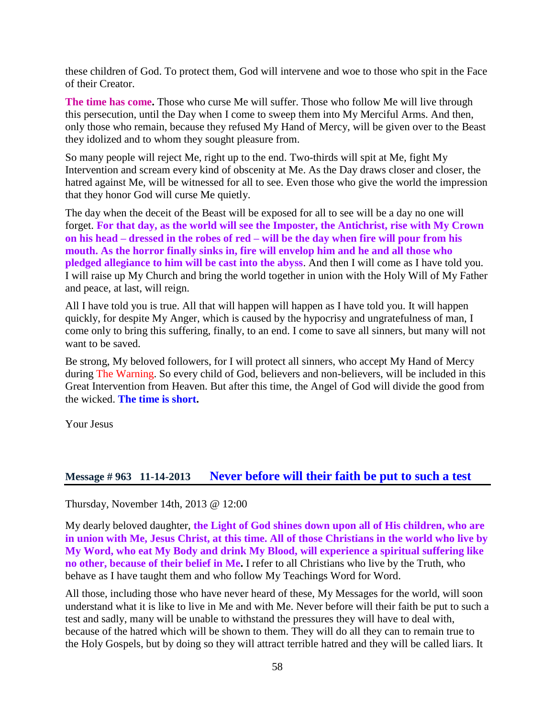these children of God. To protect them, God will intervene and woe to those who spit in the Face of their Creator.

**The time has come.** Those who curse Me will suffer. Those who follow Me will live through this persecution, until the Day when I come to sweep them into My Merciful Arms. And then, only those who remain, because they refused My Hand of Mercy, will be given over to the Beast they idolized and to whom they sought pleasure from.

So many people will reject Me, right up to the end. Two-thirds will spit at Me, fight My Intervention and scream every kind of obscenity at Me. As the Day draws closer and closer, the hatred against Me, will be witnessed for all to see. Even those who give the world the impression that they honor God will curse Me quietly.

The day when the deceit of the Beast will be exposed for all to see will be a day no one will forget. **For that day, as the world will see the Imposter, the Antichrist, rise with My Crown on his head – dressed in the robes of red – will be the day when fire will pour from his mouth. As the horror finally sinks in, fire will envelop him and he and all those who pledged allegiance to him will be cast into the abyss**. And then I will come as I have told you. I will raise up My Church and bring the world together in union with the Holy Will of My Father and peace, at last, will reign.

All I have told you is true. All that will happen will happen as I have told you. It will happen quickly, for despite My Anger, which is caused by the hypocrisy and ungratefulness of man, I come only to bring this suffering, finally, to an end. I come to save all sinners, but many will not want to be saved.

Be strong, My beloved followers, for I will protect all sinners, who accept My Hand of Mercy during The Warning. So every child of God, believers and non-believers, will be included in this Great Intervention from Heaven. But after this time, the Angel of God will divide the good from the wicked. **The time is short.**

Your Jesus

### **Message # 963 11-14-2013 [Never before will their faith be put to such a test](http://www.thewarningsecondcoming.com/never-before-will-their-faith-be-put-to-such-a-test/)**

Thursday, November 14th, 2013 @ 12:00

My dearly beloved daughter, **the Light of God shines down upon all of His children, who are in union with Me, Jesus Christ, at this time. All of those Christians in the world who live by My Word, who eat My Body and drink My Blood, will experience a spiritual suffering like no other, because of their belief in Me.** I refer to all Christians who live by the Truth, who behave as I have taught them and who follow My Teachings Word for Word.

All those, including those who have never heard of these, My Messages for the world, will soon understand what it is like to live in Me and with Me. Never before will their faith be put to such a test and sadly, many will be unable to withstand the pressures they will have to deal with, because of the hatred which will be shown to them. They will do all they can to remain true to the Holy Gospels, but by doing so they will attract terrible hatred and they will be called liars. It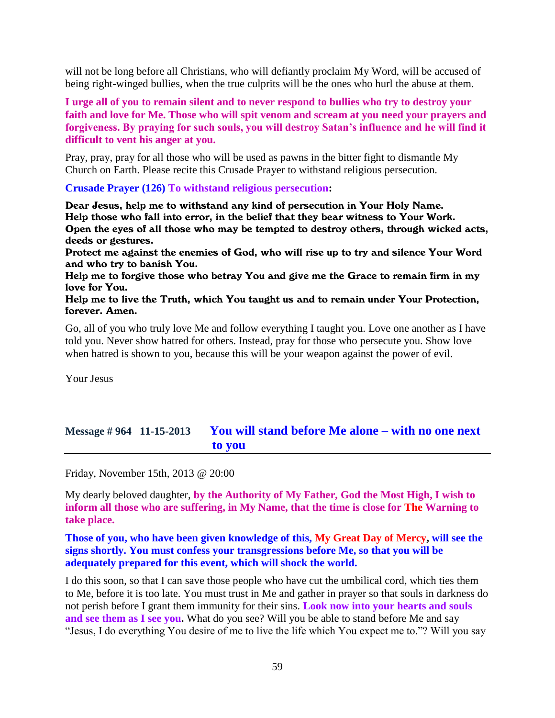will not be long before all Christians, who will defiantly proclaim My Word, will be accused of being right-winged bullies, when the true culprits will be the ones who hurl the abuse at them.

**I urge all of you to remain silent and to never respond to bullies who try to destroy your faith and love for Me. Those who will spit venom and scream at you need your prayers and forgiveness. By praying for such souls, you will destroy Satan's influence and he will find it difficult to vent his anger at you.**

Pray, pray, pray for all those who will be used as pawns in the bitter fight to dismantle My Church on Earth. Please recite this Crusade Prayer to withstand religious persecution.

**Crusade Prayer (126) To withstand religious persecution:**

Dear Jesus, help me to withstand any kind of persecution in Your Holy Name. Help those who fall into error, in the belief that they bear witness to Your Work. Open the eyes of all those who may be tempted to destroy others, through wicked acts, deeds or gestures.

Protect me against the enemies of God, who will rise up to try and silence Your Word and who try to banish You.

Help me to forgive those who betray You and give me the Grace to remain firm in my love for You.

Help me to live the Truth, which You taught us and to remain under Your Protection, forever. Amen.

Go, all of you who truly love Me and follow everything I taught you. Love one another as I have told you. Never show hatred for others. Instead, pray for those who persecute you. Show love when hatred is shown to you, because this will be your weapon against the power of evil.

Your Jesus

# **Message # 964 11-15-2013 [You will stand before Me alone –](http://www.thewarningsecondcoming.com/you-will-stand-before-me-alone-with-no-one-next-to-you/) with no one next [to you](http://www.thewarningsecondcoming.com/you-will-stand-before-me-alone-with-no-one-next-to-you/)**

Friday, November 15th, 2013 @ 20:00

My dearly beloved daughter, **by the Authority of My Father, God the Most High, I wish to inform all those who are suffering, in My Name, that the time is close for The Warning to take place.**

**Those of you, who have been given knowledge of this, My Great Day of Mercy, will see the signs shortly. You must confess your transgressions before Me, so that you will be adequately prepared for this event, which will shock the world.**

I do this soon, so that I can save those people who have cut the umbilical cord, which ties them to Me, before it is too late. You must trust in Me and gather in prayer so that souls in darkness do not perish before I grant them immunity for their sins. **Look now into your hearts and souls and see them as I see you.** What do you see? Will you be able to stand before Me and say "Jesus, I do everything You desire of me to live the life which You expect me to."? Will you say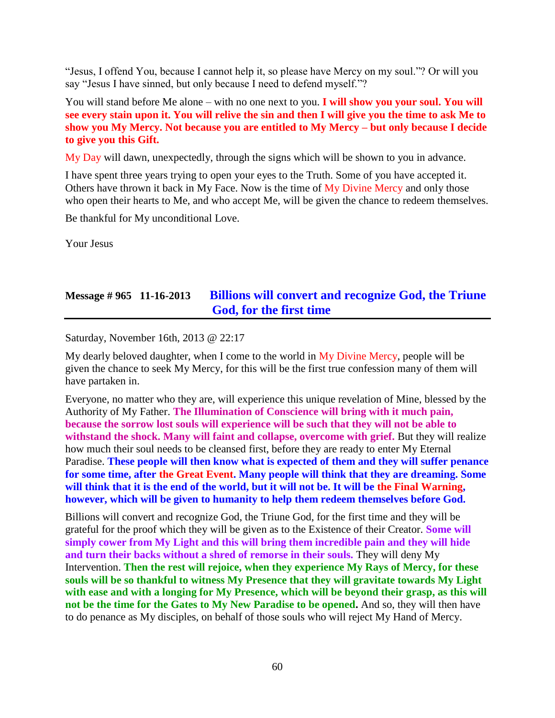"Jesus, I offend You, because I cannot help it, so please have Mercy on my soul."? Or will you say "Jesus I have sinned, but only because I need to defend myself."?

You will stand before Me alone – with no one next to you. **I will show you your soul. You will see every stain upon it. You will relive the sin and then I will give you the time to ask Me to show you My Mercy. Not because you are entitled to My Mercy – but only because I decide to give you this Gift.**

My Day will dawn, unexpectedly, through the signs which will be shown to you in advance.

I have spent three years trying to open your eyes to the Truth. Some of you have accepted it. Others have thrown it back in My Face. Now is the time of My Divine Mercy and only those who open their hearts to Me, and who accept Me, will be given the chance to redeem themselves.

Be thankful for My unconditional Love.

Your Jesus

# **Message # 965 11-16-2013 [Billions will convert and recognize God, the Triune](http://www.thewarningsecondcoming.com/billions-will-convert-and-recognise-god-the-triune-god-for-the-first-time/)  [God, for the first time](http://www.thewarningsecondcoming.com/billions-will-convert-and-recognise-god-the-triune-god-for-the-first-time/)**

Saturday, November 16th, 2013 @ 22:17

My dearly beloved daughter, when I come to the world in My Divine Mercy, people will be given the chance to seek My Mercy, for this will be the first true confession many of them will have partaken in.

Everyone, no matter who they are, will experience this unique revelation of Mine, blessed by the Authority of My Father. **The Illumination of Conscience will bring with it much pain, because the sorrow lost souls will experience will be such that they will not be able to withstand the shock. Many will faint and collapse, overcome with grief.** But they will realize how much their soul needs to be cleansed first, before they are ready to enter My Eternal Paradise. **These people will then know what is expected of them and they will suffer penance for some time, after the Great Event. Many people will think that they are dreaming. Some will think that it is the end of the world, but it will not be. It will be the Final Warning, however, which will be given to humanity to help them redeem themselves before God.**

Billions will convert and recognize God, the Triune God, for the first time and they will be grateful for the proof which they will be given as to the Existence of their Creator. **Some will simply cower from My Light and this will bring them incredible pain and they will hide and turn their backs without a shred of remorse in their souls.** They will deny My Intervention. **Then the rest will rejoice, when they experience My Rays of Mercy, for these souls will be so thankful to witness My Presence that they will gravitate towards My Light with ease and with a longing for My Presence, which will be beyond their grasp, as this will not be the time for the Gates to My New Paradise to be opened.** And so, they will then have to do penance as My disciples, on behalf of those souls who will reject My Hand of Mercy.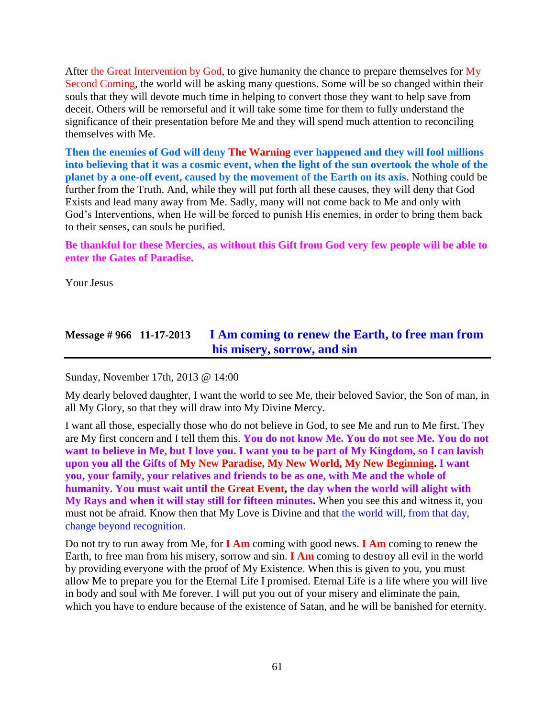After the Great Intervention by God, to give humanity the chance to prepare themselves for My Second Coming, the world will be asking many questions. Some will be so changed within their souls that they will devote much time in helping to convert those they want to help save from deceit. Others will be remorseful and it will take some time for them to fully understand the significance of their presentation before Me and they will spend much attention to reconciling themselves with Me.

**Then the enemies of God will deny The Warning ever happened and they will fool millions into believing that it was a cosmic event, when the light of the sun overtook the whole of the planet by a one-off event, caused by the movement of the Earth on its axis.** Nothing could be further from the Truth. And, while they will put forth all these causes, they will deny that God Exists and lead many away from Me. Sadly, many will not come back to Me and only with God's Interventions, when He will be forced to punish His enemies, in order to bring them back to their senses, can souls be purified.

**Be thankful for these Mercies, as without this Gift from God very few people will be able to enter the Gates of Paradise.**

Your Jesus

### **Message # 966 11-17-2013 [I Am coming to renew the Earth, to free man from](http://www.thewarningsecondcoming.com/i-am-coming-to-renew-the-earth-to-free-man-from-his-misery-sorrow-and-sin/)  [his misery, sorrow,](http://www.thewarningsecondcoming.com/i-am-coming-to-renew-the-earth-to-free-man-from-his-misery-sorrow-and-sin/) and sin**

Sunday, November 17th, 2013 @ 14:00

My dearly beloved daughter, I want the world to see Me, their beloved Savior, the Son of man, in all My Glory, so that they will draw into My Divine Mercy.

I want all those, especially those who do not believe in God, to see Me and run to Me first. They are My first concern and I tell them this. **You do not know Me. You do not see Me. You do not want to believe in Me, but I love you. I want you to be part of My Kingdom, so I can lavish upon you all the Gifts of My New Paradise, My New World, My New Beginning. I want you, your family, your relatives and friends to be as one, with Me and the whole of humanity. You must wait until the Great Event, the day when the world will alight with My Rays and when it will stay still for fifteen minutes.** When you see this and witness it, you must not be afraid. Know then that My Love is Divine and that the world will, from that day, change beyond recognition.

Do not try to run away from Me, for **I Am** coming with good news. **I Am** coming to renew the Earth, to free man from his misery, sorrow and sin. **I Am** coming to destroy all evil in the world by providing everyone with the proof of My Existence. When this is given to you, you must allow Me to prepare you for the Eternal Life I promised. Eternal Life is a life where you will live in body and soul with Me forever. I will put you out of your misery and eliminate the pain, which you have to endure because of the existence of Satan, and he will be banished for eternity.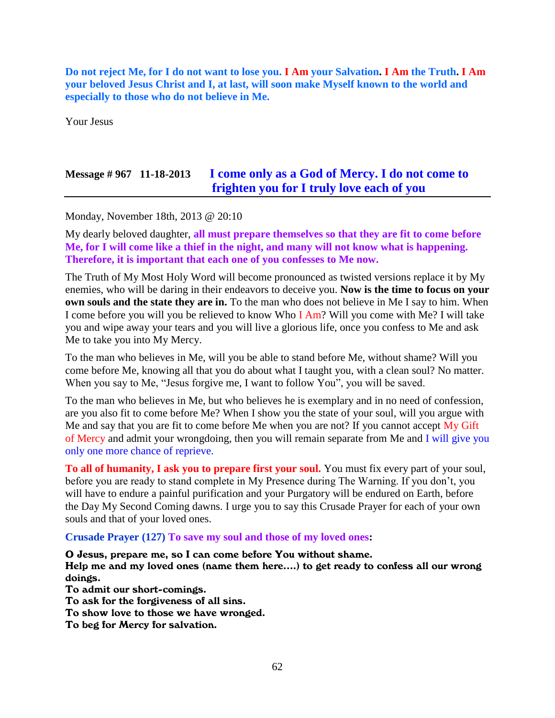**Do not reject Me, for I do not want to lose you. I Am your Salvation. I Am the Truth. I Am your beloved Jesus Christ and I, at last, will soon make Myself known to the world and especially to those who do not believe in Me.**

Your Jesus

# **Message # 967 11-18-2013 I [come only as a God of Mercy. I do not come to](http://www.thewarningsecondcoming.com/i-come-only-as-a-god-of-mercy-i-do-not-come-to-frighten-you-for-i-truly-love-each-of-you/)  [frighten you for I truly love each of you](http://www.thewarningsecondcoming.com/i-come-only-as-a-god-of-mercy-i-do-not-come-to-frighten-you-for-i-truly-love-each-of-you/)**

Monday, November 18th, 2013 @ 20:10

My dearly beloved daughter, **all must prepare themselves so that they are fit to come before Me, for I will come like a thief in the night, and many will not know what is happening. Therefore, it is important that each one of you confesses to Me now.**

The Truth of My Most Holy Word will become pronounced as twisted versions replace it by My enemies, who will be daring in their endeavors to deceive you. **Now is the time to focus on your own souls and the state they are in.** To the man who does not believe in Me I say to him. When I come before you will you be relieved to know Who I Am? Will you come with Me? I will take you and wipe away your tears and you will live a glorious life, once you confess to Me and ask Me to take you into My Mercy.

To the man who believes in Me, will you be able to stand before Me, without shame? Will you come before Me, knowing all that you do about what I taught you, with a clean soul? No matter. When you say to Me, "Jesus forgive me, I want to follow You", you will be saved.

To the man who believes in Me, but who believes he is exemplary and in no need of confession, are you also fit to come before Me? When I show you the state of your soul, will you argue with Me and say that you are fit to come before Me when you are not? If you cannot accept My Gift of Mercy and admit your wrongdoing, then you will remain separate from Me and I will give you only one more chance of reprieve.

**To all of humanity, I ask you to prepare first your soul.** You must fix every part of your soul, before you are ready to stand complete in My Presence during The Warning. If you don't, you will have to endure a painful purification and your Purgatory will be endured on Earth, before the Day My Second Coming dawns. I urge you to say this Crusade Prayer for each of your own souls and that of your loved ones.

#### **Crusade Prayer (127) To save my soul and those of my loved ones:**

O Jesus, prepare me, so I can come before You without shame. Help me and my loved ones (name them here….) to get ready to confess all our wrong doings.

To admit our short-comings. To ask for the forgiveness of all sins. To show love to those we have wronged.

To beg for Mercy for salvation.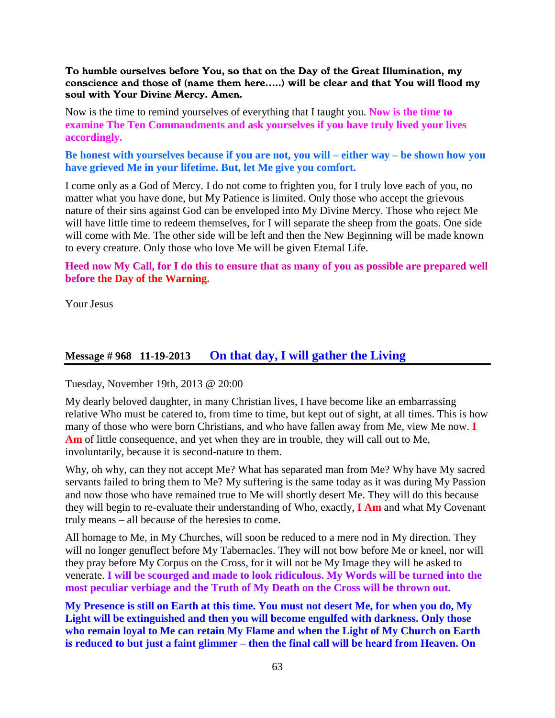#### To humble ourselves before You, so that on the Day of the Great Illumination, my conscience and those of (name them here…..) will be clear and that You will flood my soul with Your Divine Mercy. Amen.

Now is the time to remind yourselves of everything that I taught you. **Now is the time to examine The Ten Commandments and ask yourselves if you have truly lived your lives accordingly.**

**Be honest with yourselves because if you are not, you will – either way – be shown how you have grieved Me in your lifetime. But, let Me give you comfort.**

I come only as a God of Mercy. I do not come to frighten you, for I truly love each of you, no matter what you have done, but My Patience is limited. Only those who accept the grievous nature of their sins against God can be enveloped into My Divine Mercy. Those who reject Me will have little time to redeem themselves, for I will separate the sheep from the goats. One side will come with Me. The other side will be left and then the New Beginning will be made known to every creature. Only those who love Me will be given Eternal Life.

**Heed now My Call, for I do this to ensure that as many of you as possible are prepared well before the Day of the Warning.**

Your Jesus

### **Message # 968 11-19-2013 [On that day, I will gather the Living](http://www.thewarningsecondcoming.com/on-that-day-i-will-gather-the-living/)**

Tuesday, November 19th, 2013 @ 20:00

My dearly beloved daughter, in many Christian lives, I have become like an embarrassing relative Who must be catered to, from time to time, but kept out of sight, at all times. This is how many of those who were born Christians, and who have fallen away from Me, view Me now. **I Am** of little consequence, and yet when they are in trouble, they will call out to Me, involuntarily, because it is second-nature to them.

Why, oh why, can they not accept Me? What has separated man from Me? Why have My sacred servants failed to bring them to Me? My suffering is the same today as it was during My Passion and now those who have remained true to Me will shortly desert Me. They will do this because they will begin to re-evaluate their understanding of Who, exactly, **I Am** and what My Covenant truly means – all because of the heresies to come.

All homage to Me, in My Churches, will soon be reduced to a mere nod in My direction. They will no longer genuflect before My Tabernacles. They will not bow before Me or kneel, nor will they pray before My Corpus on the Cross, for it will not be My Image they will be asked to venerate. **I will be scourged and made to look ridiculous. My Words will be turned into the most peculiar verbiage and the Truth of My Death on the Cross will be thrown out.**

**My Presence is still on Earth at this time. You must not desert Me, for when you do, My Light will be extinguished and then you will become engulfed with darkness. Only those who remain loyal to Me can retain My Flame and when the Light of My Church on Earth is reduced to but just a faint glimmer – then the final call will be heard from Heaven. On**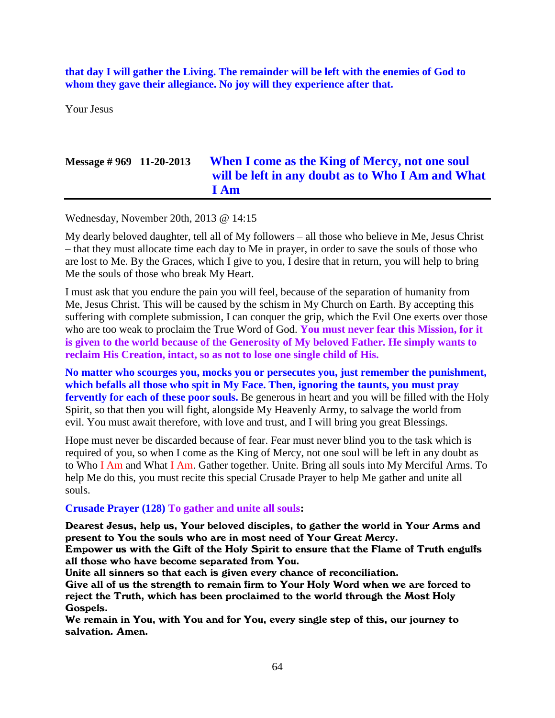**that day I will gather the Living. The remainder will be left with the enemies of God to whom they gave their allegiance. No joy will they experience after that.**

Your Jesus

### **Message # 969 11-20-2013 [When I come as the King of Mercy, not one soul](http://www.thewarningsecondcoming.com/0when-i-come-as-the-king-of-mercy-not-one-soul-will-be-left-in-any-doubt-as-to-who-i-am-and-what-i-am/)  [will be left in any doubt as to Who I Am and What](http://www.thewarningsecondcoming.com/0when-i-come-as-the-king-of-mercy-not-one-soul-will-be-left-in-any-doubt-as-to-who-i-am-and-what-i-am/)  [I Am](http://www.thewarningsecondcoming.com/0when-i-come-as-the-king-of-mercy-not-one-soul-will-be-left-in-any-doubt-as-to-who-i-am-and-what-i-am/)**

Wednesday, November 20th, 2013 @ 14:15

My dearly beloved daughter, tell all of My followers – all those who believe in Me, Jesus Christ – that they must allocate time each day to Me in prayer, in order to save the souls of those who are lost to Me. By the Graces, which I give to you, I desire that in return, you will help to bring Me the souls of those who break My Heart.

I must ask that you endure the pain you will feel, because of the separation of humanity from Me, Jesus Christ. This will be caused by the schism in My Church on Earth. By accepting this suffering with complete submission, I can conquer the grip, which the Evil One exerts over those who are too weak to proclaim the True Word of God. **You must never fear this Mission, for it is given to the world because of the Generosity of My beloved Father. He simply wants to reclaim His Creation, intact, so as not to lose one single child of His.**

**No matter who scourges you, mocks you or persecutes you, just remember the punishment, which befalls all those who spit in My Face. Then, ignoring the taunts, you must pray**  fervently for each of these poor souls. Be generous in heart and you will be filled with the Holy Spirit, so that then you will fight, alongside My Heavenly Army, to salvage the world from evil. You must await therefore, with love and trust, and I will bring you great Blessings.

Hope must never be discarded because of fear. Fear must never blind you to the task which is required of you, so when I come as the King of Mercy, not one soul will be left in any doubt as to Who I Am and What I Am. Gather together. Unite. Bring all souls into My Merciful Arms. To help Me do this, you must recite this special Crusade Prayer to help Me gather and unite all souls.

### **Crusade Prayer (128) To gather and unite all souls:**

Dearest Jesus, help us, Your beloved disciples, to gather the world in Your Arms and present to You the souls who are in most need of Your Great Mercy.

Empower us with the Gift of the Holy Spirit to ensure that the Flame of Truth engulfs all those who have become separated from You.

Unite all sinners so that each is given every chance of reconciliation.

Give all of us the strength to remain firm to Your Holy Word when we are forced to reject the Truth, which has been proclaimed to the world through the Most Holy Gospels.

We remain in You, with You and for You, every single step of this, our journey to salvation. Amen.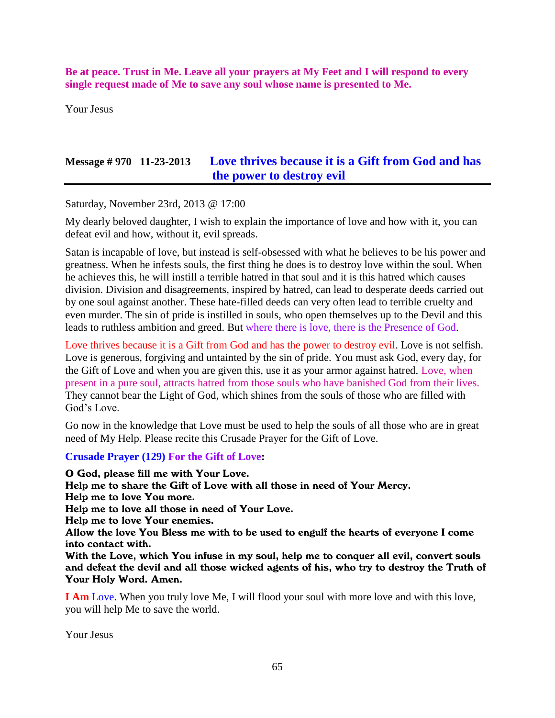**Be at peace. Trust in Me. Leave all your prayers at My Feet and I will respond to every single request made of Me to save any soul whose name is presented to Me.**

Your Jesus

## **Message # 970 11-23-2013 Love thrives because it is [a Gift from God and has](http://www.thewarningsecondcoming.com/love-thrives-because-it-is-a-gift-from-god-and-has-the-power-to-destroy-evil/)  [the power to destroy evil](http://www.thewarningsecondcoming.com/love-thrives-because-it-is-a-gift-from-god-and-has-the-power-to-destroy-evil/)**

Saturday, November 23rd, 2013 @ 17:00

My dearly beloved daughter, I wish to explain the importance of love and how with it, you can defeat evil and how, without it, evil spreads.

Satan is incapable of love, but instead is self-obsessed with what he believes to be his power and greatness. When he infests souls, the first thing he does is to destroy love within the soul. When he achieves this, he will instill a terrible hatred in that soul and it is this hatred which causes division. Division and disagreements, inspired by hatred, can lead to desperate deeds carried out by one soul against another. These hate-filled deeds can very often lead to terrible cruelty and even murder. The sin of pride is instilled in souls, who open themselves up to the Devil and this leads to ruthless ambition and greed. But where there is love, there is the Presence of God.

Love thrives because it is a Gift from God and has the power to destroy evil. Love is not selfish. Love is generous, forgiving and untainted by the sin of pride. You must ask God, every day, for the Gift of Love and when you are given this, use it as your armor against hatred. Love, when present in a pure soul, attracts hatred from those souls who have banished God from their lives. They cannot bear the Light of God, which shines from the souls of those who are filled with God's Love.

Go now in the knowledge that Love must be used to help the souls of all those who are in great need of My Help. Please recite this Crusade Prayer for the Gift of Love.

#### **Crusade Prayer (129) For the Gift of Love:**

O God, please fill me with Your Love. Help me to share the Gift of Love with all those in need of Your Mercy. Help me to love You more. Help me to love all those in need of Your Love. Help me to love Your enemies. Allow the love You Bless me with to be used to engulf the hearts of everyone I come into contact with. With the Love, which You infuse in my soul, help me to conquer all evil, convert souls and defeat the devil and all those wicked agents of his, who try to destroy the Truth of Your Holy Word. Amen. **I Am** Love. When you truly love Me, I will flood your soul with more love and with this love,

you will help Me to save the world.

Your Jesus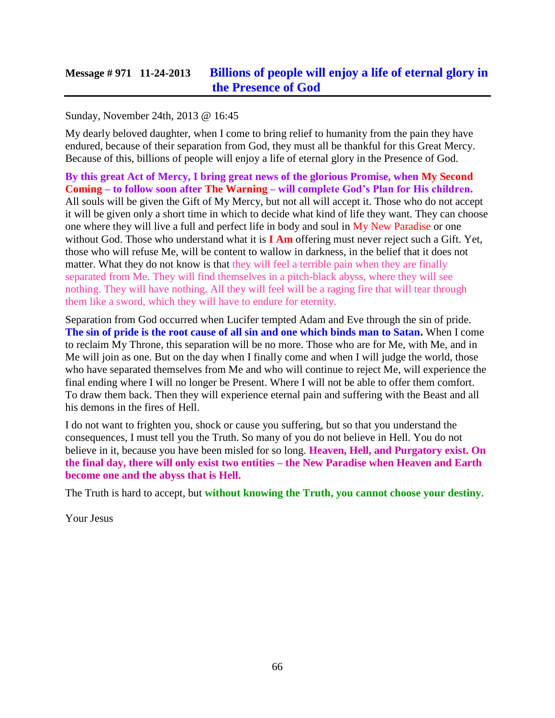### **Message # 971 11-24-2013 [Billions of people will enjoy a life of eternal glory in](http://www.thewarningsecondcoming.com/billions-of-people-will-enjoy-a-life-of-eternal-glory-in-the-presence-of-god/)  [the Presence of God](http://www.thewarningsecondcoming.com/billions-of-people-will-enjoy-a-life-of-eternal-glory-in-the-presence-of-god/)**

### Sunday, November 24th, 2013 @ 16:45

My dearly beloved daughter, when I come to bring relief to humanity from the pain they have endured, because of their separation from God, they must all be thankful for this Great Mercy. Because of this, billions of people will enjoy a life of eternal glory in the Presence of God.

**By this great Act of Mercy, I bring great news of the glorious Promise, when My Second Coming – to follow soon after The Warning – will complete God's Plan for His children.** All souls will be given the Gift of My Mercy, but not all will accept it. Those who do not accept it will be given only a short time in which to decide what kind of life they want. They can choose one where they will live a full and perfect life in body and soul in My New Paradise or one without God. Those who understand what it is **I Am** offering must never reject such a Gift. Yet, those who will refuse Me, will be content to wallow in darkness, in the belief that it does not matter. What they do not know is that they will feel a terrible pain when they are finally separated from Me. They will find themselves in a pitch-black abyss, where they will see nothing. They will have nothing. All they will feel will be a raging fire that will tear through them like a sword, which they will have to endure for eternity.

Separation from God occurred when Lucifer tempted Adam and Eve through the sin of pride. **The sin of pride is the root cause of all sin and one which binds man to Satan.** When I come to reclaim My Throne, this separation will be no more. Those who are for Me, with Me, and in Me will join as one. But on the day when I finally come and when I will judge the world, those who have separated themselves from Me and who will continue to reject Me, will experience the final ending where I will no longer be Present. Where I will not be able to offer them comfort. To draw them back. Then they will experience eternal pain and suffering with the Beast and all his demons in the fires of Hell.

I do not want to frighten you, shock or cause you suffering, but so that you understand the consequences, I must tell you the Truth. So many of you do not believe in Hell. You do not believe in it, because you have been misled for so long. **Heaven, Hell, and Purgatory exist. On the final day, there will only exist two entities – the New Paradise when Heaven and Earth become one and the abyss that is Hell.**

The Truth is hard to accept, but **without knowing the Truth, you cannot choose your destiny**.

Your Jesus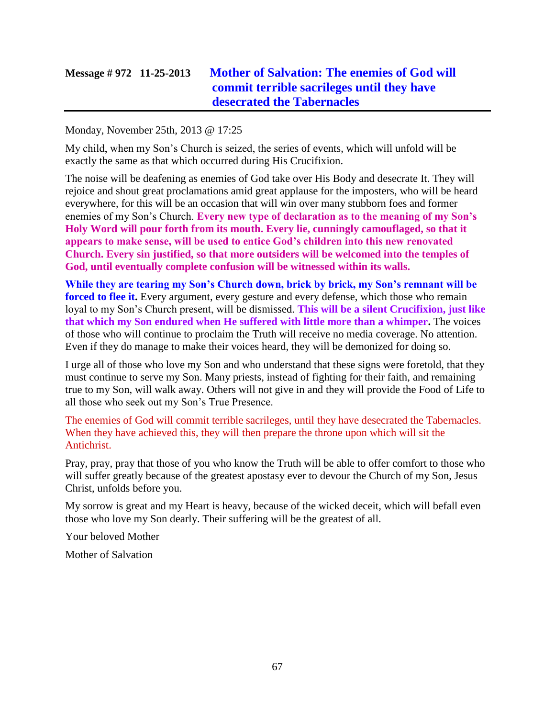# **Message # 972 11-25-2013 [Mother of Salvation: The enemies of God will](http://www.thewarningsecondcoming.com/mother-of-salvation-the-enemies-of-god-will-commit-terrible-sacrileges-until-they-have-desecrated-the-tabernacles-2/)  [commit terrible sacrileges until they have](http://www.thewarningsecondcoming.com/mother-of-salvation-the-enemies-of-god-will-commit-terrible-sacrileges-until-they-have-desecrated-the-tabernacles-2/)  [desecrated the Tabernacles](http://www.thewarningsecondcoming.com/mother-of-salvation-the-enemies-of-god-will-commit-terrible-sacrileges-until-they-have-desecrated-the-tabernacles-2/)**

#### Monday, November 25th, 2013 @ 17:25

My child, when my Son's Church is seized, the series of events, which will unfold will be exactly the same as that which occurred during His Crucifixion.

The noise will be deafening as enemies of God take over His Body and desecrate It. They will rejoice and shout great proclamations amid great applause for the imposters, who will be heard everywhere, for this will be an occasion that will win over many stubborn foes and former enemies of my Son's Church. **Every new type of declaration as to the meaning of my Son's Holy Word will pour forth from its mouth. Every lie, cunningly camouflaged, so that it appears to make sense, will be used to entice God's children into this new renovated Church. Every sin justified, so that more outsiders will be welcomed into the temples of God, until eventually complete confusion will be witnessed within its walls.**

**While they are tearing my Son's Church down, brick by brick, my Son's remnant will be forced to flee it.** Every argument, every gesture and every defense, which those who remain loyal to my Son's Church present, will be dismissed. **This will be a silent Crucifixion, just like that which my Son endured when He suffered with little more than a whimper.** The voices of those who will continue to proclaim the Truth will receive no media coverage. No attention. Even if they do manage to make their voices heard, they will be demonized for doing so.

I urge all of those who love my Son and who understand that these signs were foretold, that they must continue to serve my Son. Many priests, instead of fighting for their faith, and remaining true to my Son, will walk away. Others will not give in and they will provide the Food of Life to all those who seek out my Son's True Presence.

The enemies of God will commit terrible sacrileges, until they have desecrated the Tabernacles. When they have achieved this, they will then prepare the throne upon which will sit the Antichrist.

Pray, pray, pray that those of you who know the Truth will be able to offer comfort to those who will suffer greatly because of the greatest apostasy ever to devour the Church of my Son, Jesus Christ, unfolds before you.

My sorrow is great and my Heart is heavy, because of the wicked deceit, which will befall even those who love my Son dearly. Their suffering will be the greatest of all.

Your beloved Mother

Mother of Salvation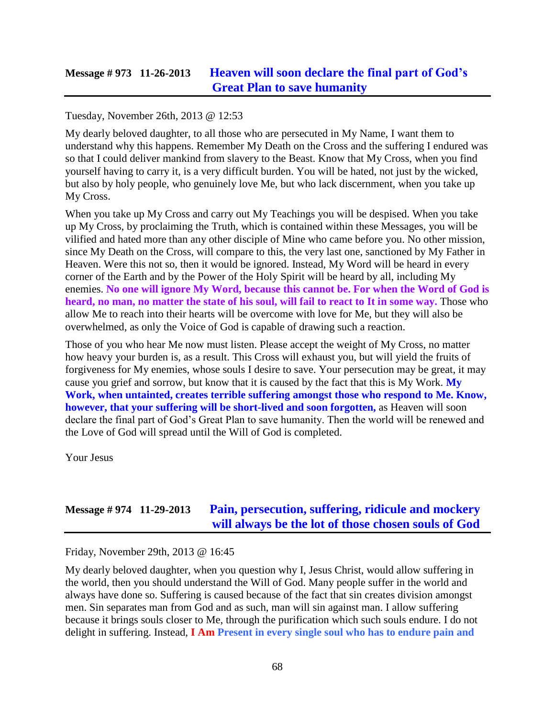### **Message # 973 11-26-2013 [Heaven will soon declare the final part of God's](http://www.thewarningsecondcoming.com/heaven-will-soon-declare-the-final-part-of-gods-great-plan-to-save-humanity/)  [Great Plan to save humanity](http://www.thewarningsecondcoming.com/heaven-will-soon-declare-the-final-part-of-gods-great-plan-to-save-humanity/)**

Tuesday, November 26th, 2013 @ 12:53

My dearly beloved daughter, to all those who are persecuted in My Name, I want them to understand why this happens. Remember My Death on the Cross and the suffering I endured was so that I could deliver mankind from slavery to the Beast. Know that My Cross, when you find yourself having to carry it, is a very difficult burden. You will be hated, not just by the wicked, but also by holy people, who genuinely love Me, but who lack discernment, when you take up My Cross.

When you take up My Cross and carry out My Teachings you will be despised. When you take up My Cross, by proclaiming the Truth, which is contained within these Messages, you will be vilified and hated more than any other disciple of Mine who came before you. No other mission, since My Death on the Cross, will compare to this, the very last one, sanctioned by My Father in Heaven. Were this not so, then it would be ignored. Instead, My Word will be heard in every corner of the Earth and by the Power of the Holy Spirit will be heard by all, including My enemies. **No one will ignore My Word, because this cannot be. For when the Word of God is heard, no man, no matter the state of his soul, will fail to react to It in some way.** Those who allow Me to reach into their hearts will be overcome with love for Me, but they will also be overwhelmed, as only the Voice of God is capable of drawing such a reaction.

Those of you who hear Me now must listen. Please accept the weight of My Cross, no matter how heavy your burden is, as a result. This Cross will exhaust you, but will yield the fruits of forgiveness for My enemies, whose souls I desire to save. Your persecution may be great, it may cause you grief and sorrow, but know that it is caused by the fact that this is My Work. **My Work, when untainted, creates terrible suffering amongst those who respond to Me. Know, however, that your suffering will be short-lived and soon forgotten,** as Heaven will soon declare the final part of God's Great Plan to save humanity. Then the world will be renewed and the Love of God will spread until the Will of God is completed.

Your Jesus

### **Message # 974 11-29-2013 [Pain, persecution, suffering, ridicule and mockery](http://www.thewarningsecondcoming.com/pain-persecution-suffering-ridicule-and-mockery-will-always-be-the-lot-of-those-chosen-souls-of-god/)  [will always be the lot of those chosen souls of God](http://www.thewarningsecondcoming.com/pain-persecution-suffering-ridicule-and-mockery-will-always-be-the-lot-of-those-chosen-souls-of-god/)**

Friday, November 29th, 2013 @ 16:45

My dearly beloved daughter, when you question why I, Jesus Christ, would allow suffering in the world, then you should understand the Will of God. Many people suffer in the world and always have done so. Suffering is caused because of the fact that sin creates division amongst men. Sin separates man from God and as such, man will sin against man. I allow suffering because it brings souls closer to Me, through the purification which such souls endure. I do not delight in suffering. Instead, **I Am Present in every single soul who has to endure pain and**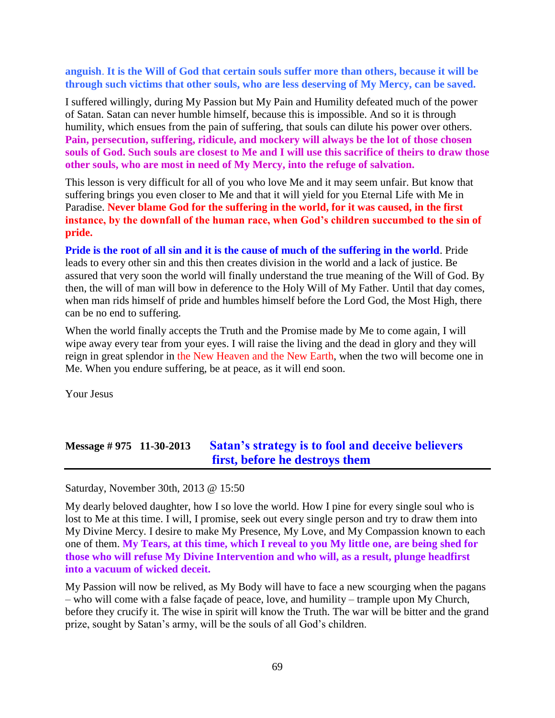#### **anguish**. **It is the Will of God that certain souls suffer more than others, because it will be through such victims that other souls, who are less deserving of My Mercy, can be saved.**

I suffered willingly, during My Passion but My Pain and Humility defeated much of the power of Satan. Satan can never humble himself, because this is impossible. And so it is through humility, which ensues from the pain of suffering, that souls can dilute his power over others. **Pain, persecution, suffering, ridicule, and mockery will always be the lot of those chosen souls of God. Such souls are closest to Me and I will use this sacrifice of theirs to draw those other souls, who are most in need of My Mercy, into the refuge of salvation.**

This lesson is very difficult for all of you who love Me and it may seem unfair. But know that suffering brings you even closer to Me and that it will yield for you Eternal Life with Me in Paradise. **Never blame God for the suffering in the world, for it was caused, in the first instance, by the downfall of the human race, when God's children succumbed to the sin of pride.**

**Pride is the root of all sin and it is the cause of much of the suffering in the world**. Pride leads to every other sin and this then creates division in the world and a lack of justice. Be assured that very soon the world will finally understand the true meaning of the Will of God. By then, the will of man will bow in deference to the Holy Will of My Father. Until that day comes, when man rids himself of pride and humbles himself before the Lord God, the Most High, there can be no end to suffering.

When the world finally accepts the Truth and the Promise made by Me to come again, I will wipe away every tear from your eyes. I will raise the living and the dead in glory and they will reign in great splendor in the New Heaven and the New Earth, when the two will become one in Me. When you endure suffering, be at peace, as it will end soon.

Your Jesus

# **Message # 975 11-30-2013 [Satan's strategy is to fool and deceive believers](http://www.thewarningsecondcoming.com/satans-strategy-is-to-fool-and-deceive-believers-first-before-he-destroys-them/)  [first, before he destroys them](http://www.thewarningsecondcoming.com/satans-strategy-is-to-fool-and-deceive-believers-first-before-he-destroys-them/)**

Saturday, November 30th, 2013 @ 15:50

My dearly beloved daughter, how I so love the world. How I pine for every single soul who is lost to Me at this time. I will, I promise, seek out every single person and try to draw them into My Divine Mercy. I desire to make My Presence, My Love, and My Compassion known to each one of them. **My Tears, at this time, which I reveal to you My little one, are being shed for those who will refuse My Divine Intervention and who will, as a result, plunge headfirst into a vacuum of wicked deceit.**

My Passion will now be relived, as My Body will have to face a new scourging when the pagans – who will come with a false façade of peace, love, and humility – trample upon My Church, before they crucify it. The wise in spirit will know the Truth. The war will be bitter and the grand prize, sought by Satan's army, will be the souls of all God's children.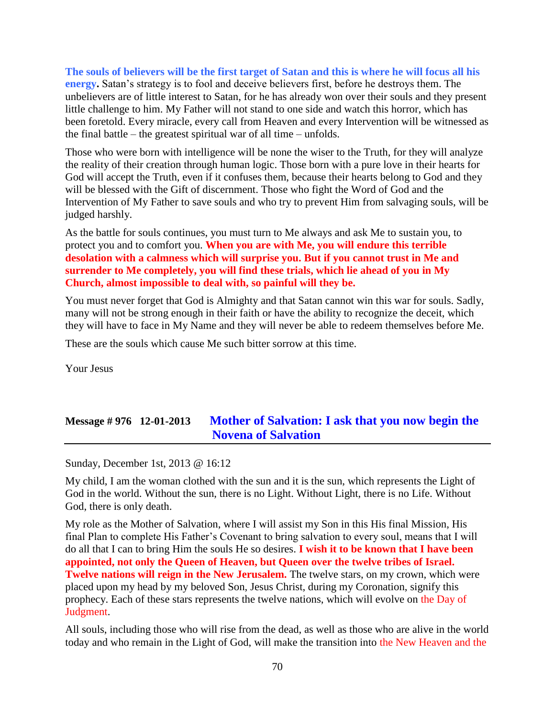**The souls of believers will be the first target of Satan and this is where he will focus all his energy.** Satan's strategy is to fool and deceive believers first, before he destroys them. The unbelievers are of little interest to Satan, for he has already won over their souls and they present little challenge to him. My Father will not stand to one side and watch this horror, which has been foretold. Every miracle, every call from Heaven and every Intervention will be witnessed as the final battle – the greatest spiritual war of all time – unfolds.

Those who were born with intelligence will be none the wiser to the Truth, for they will analyze the reality of their creation through human logic. Those born with a pure love in their hearts for God will accept the Truth, even if it confuses them, because their hearts belong to God and they will be blessed with the Gift of discernment. Those who fight the Word of God and the Intervention of My Father to save souls and who try to prevent Him from salvaging souls, will be judged harshly.

As the battle for souls continues, you must turn to Me always and ask Me to sustain you, to protect you and to comfort you. **When you are with Me, you will endure this terrible desolation with a calmness which will surprise you. But if you cannot trust in Me and surrender to Me completely, you will find these trials, which lie ahead of you in My Church, almost impossible to deal with, so painful will they be.**

You must never forget that God is Almighty and that Satan cannot win this war for souls. Sadly, many will not be strong enough in their faith or have the ability to recognize the deceit, which they will have to face in My Name and they will never be able to redeem themselves before Me.

These are the souls which cause Me such bitter sorrow at this time.

Your Jesus

## **Message # 976 12-01-2013 [Mother of Salvation: I ask that you now begin the](http://www.thewarningsecondcoming.com/mother-of-salvation-i-ask-that-you-now-begin-the-novena-of-salvation/)  [Novena of Salvation](http://www.thewarningsecondcoming.com/mother-of-salvation-i-ask-that-you-now-begin-the-novena-of-salvation/)**

Sunday, December 1st, 2013 @ 16:12

My child, I am the woman clothed with the sun and it is the sun, which represents the Light of God in the world. Without the sun, there is no Light. Without Light, there is no Life. Without God, there is only death.

My role as the Mother of Salvation, where I will assist my Son in this His final Mission, His final Plan to complete His Father's Covenant to bring salvation to every soul, means that I will do all that I can to bring Him the souls He so desires. **I wish it to be known that I have been appointed, not only the Queen of Heaven, but Queen over the twelve tribes of Israel. Twelve nations will reign in the New Jerusalem.** The twelve stars, on my crown, which were placed upon my head by my beloved Son, Jesus Christ, during my Coronation, signify this prophecy. Each of these stars represents the twelve nations, which will evolve on the Day of Judgment.

All souls, including those who will rise from the dead, as well as those who are alive in the world today and who remain in the Light of God, will make the transition into the New Heaven and the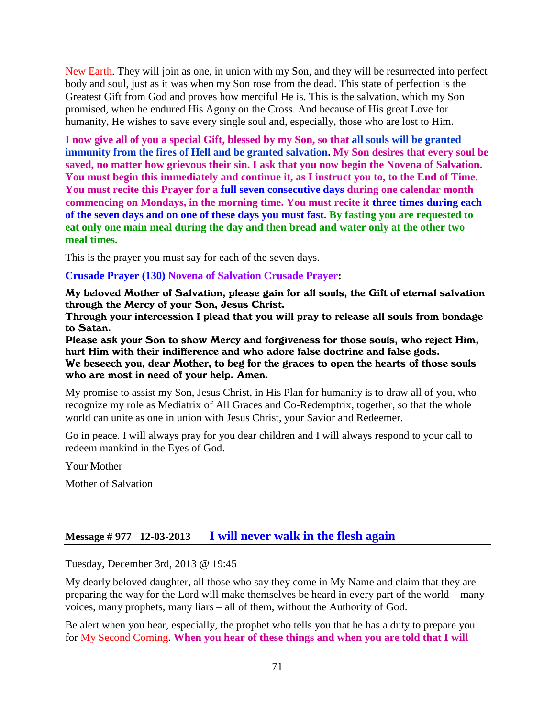New Earth. They will join as one, in union with my Son, and they will be resurrected into perfect body and soul, just as it was when my Son rose from the dead. This state of perfection is the Greatest Gift from God and proves how merciful He is. This is the salvation, which my Son promised, when he endured His Agony on the Cross. And because of His great Love for humanity, He wishes to save every single soul and, especially, those who are lost to Him.

**I now give all of you a special Gift, blessed by my Son, so that all souls will be granted immunity from the fires of Hell and be granted salvation. My Son desires that every soul be saved, no matter how grievous their sin. I ask that you now begin the Novena of Salvation. You must begin this immediately and continue it, as I instruct you to, to the End of Time. You must recite this Prayer for a full seven consecutive days during one calendar month commencing on Mondays, in the morning time. You must recite it three times during each of the seven days and on one of these days you must fast. By fasting you are requested to eat only one main meal during the day and then bread and water only at the other two meal times.**

This is the prayer you must say for each of the seven days.

#### **Crusade Prayer (130) Novena of Salvation Crusade Prayer:**

My beloved Mother of Salvation, please gain for all souls, the Gift of eternal salvation through the Mercy of your Son, Jesus Christ.

Through your intercession I plead that you will pray to release all souls from bondage to Satan.

Please ask your Son to show Mercy and forgiveness for those souls, who reject Him, hurt Him with their indifference and who adore false doctrine and false gods.

We beseech you, dear Mother, to beg for the graces to open the hearts of those souls who are most in need of your help. Amen.

My promise to assist my Son, Jesus Christ, in His Plan for humanity is to draw all of you, who recognize my role as Mediatrix of All Graces and Co-Redemptrix, together, so that the whole world can unite as one in union with Jesus Christ, your Savior and Redeemer.

Go in peace. I will always pray for you dear children and I will always respond to your call to redeem mankind in the Eyes of God.

Your Mother

Mother of Salvation

### **Message # 977 12-03-2013 [I will never walk in the flesh again](http://www.thewarningsecondcoming.com/i-will-never-walk-in-the-flesh-again/)**

Tuesday, December 3rd, 2013 @ 19:45

My dearly beloved daughter, all those who say they come in My Name and claim that they are preparing the way for the Lord will make themselves be heard in every part of the world – many voices, many prophets, many liars – all of them, without the Authority of God.

Be alert when you hear, especially, the prophet who tells you that he has a duty to prepare you for My Second Coming. **When you hear of these things and when you are told that I will**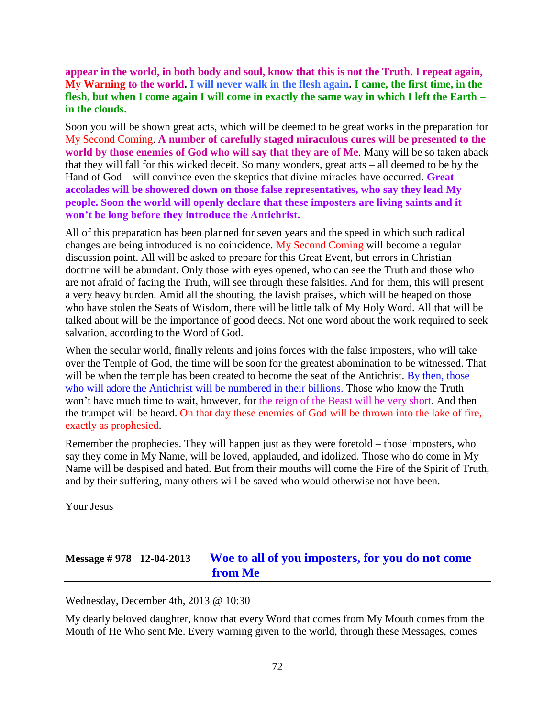### **appear in the world, in both body and soul, know that this is not the Truth. I repeat again, My Warning to the world. I will never walk in the flesh again. I came, the first time, in the flesh, but when I come again I will come in exactly the same way in which I left the Earth – in the clouds.**

Soon you will be shown great acts, which will be deemed to be great works in the preparation for My Second Coming. **A number of carefully staged miraculous cures will be presented to the world by those enemies of God who will say that they are of Me**. Many will be so taken aback that they will fall for this wicked deceit. So many wonders, great acts – all deemed to be by the Hand of God – will convince even the skeptics that divine miracles have occurred. **Great accolades will be showered down on those false representatives, who say they lead My people. Soon the world will openly declare that these imposters are living saints and it won't be long before they introduce the Antichrist.**

All of this preparation has been planned for seven years and the speed in which such radical changes are being introduced is no coincidence. My Second Coming will become a regular discussion point. All will be asked to prepare for this Great Event, but errors in Christian doctrine will be abundant. Only those with eyes opened, who can see the Truth and those who are not afraid of facing the Truth, will see through these falsities. And for them, this will present a very heavy burden. Amid all the shouting, the lavish praises, which will be heaped on those who have stolen the Seats of Wisdom, there will be little talk of My Holy Word. All that will be talked about will be the importance of good deeds. Not one word about the work required to seek salvation, according to the Word of God.

When the secular world, finally relents and joins forces with the false imposters, who will take over the Temple of God, the time will be soon for the greatest abomination to be witnessed. That will be when the temple has been created to become the seat of the Antichrist. By then, those who will adore the Antichrist will be numbered in their billions. Those who know the Truth won't have much time to wait, however, for the reign of the Beast will be very short. And then the trumpet will be heard. On that day these enemies of God will be thrown into the lake of fire, exactly as prophesied.

Remember the prophecies. They will happen just as they were foretold – those imposters, who say they come in My Name, will be loved, applauded, and idolized. Those who do come in My Name will be despised and hated. But from their mouths will come the Fire of the Spirit of Truth, and by their suffering, many others will be saved who would otherwise not have been.

Your Jesus

### **Message # 978 12-04-2013 [Woe to all of you imposters, for you do not come](http://www.thewarningsecondcoming.com/woe-to-all-of-you-imposters-for-you-do-not-come-from-me/)  [from Me](http://www.thewarningsecondcoming.com/woe-to-all-of-you-imposters-for-you-do-not-come-from-me/)**

Wednesday, December 4th, 2013 @ 10:30

My dearly beloved daughter, know that every Word that comes from My Mouth comes from the Mouth of He Who sent Me. Every warning given to the world, through these Messages, comes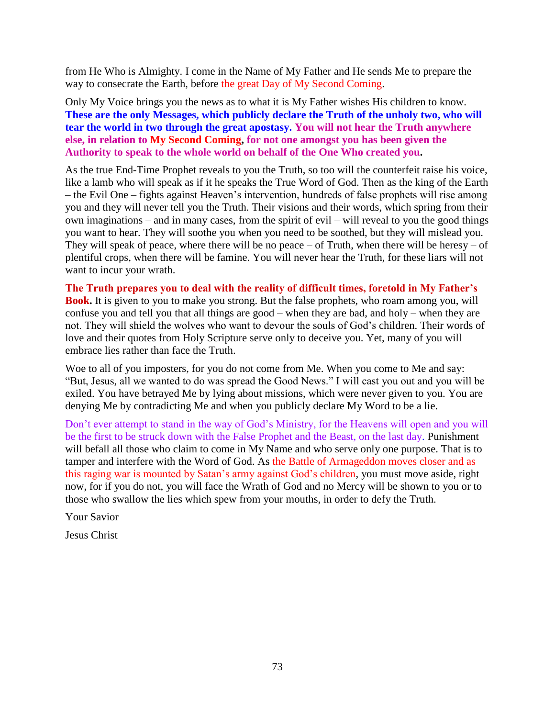from He Who is Almighty. I come in the Name of My Father and He sends Me to prepare the way to consecrate the Earth, before the great Day of My Second Coming.

Only My Voice brings you the news as to what it is My Father wishes His children to know. **These are the only Messages, which publicly declare the Truth of the unholy two, who will tear the world in two through the great apostasy. You will not hear the Truth anywhere else, in relation to My Second Coming, for not one amongst you has been given the Authority to speak to the whole world on behalf of the One Who created you.**

As the true End-Time Prophet reveals to you the Truth, so too will the counterfeit raise his voice, like a lamb who will speak as if it he speaks the True Word of God. Then as the king of the Earth – the Evil One – fights against Heaven's intervention, hundreds of false prophets will rise among you and they will never tell you the Truth. Their visions and their words, which spring from their own imaginations – and in many cases, from the spirit of evil – will reveal to you the good things you want to hear. They will soothe you when you need to be soothed, but they will mislead you. They will speak of peace, where there will be no peace – of Truth, when there will be heresy – of plentiful crops, when there will be famine. You will never hear the Truth, for these liars will not want to incur your wrath.

**The Truth prepares you to deal with the reality of difficult times, foretold in My Father's Book.** It is given to you to make you strong. But the false prophets, who roam among you, will confuse you and tell you that all things are good – when they are bad, and holy – when they are not. They will shield the wolves who want to devour the souls of God's children. Their words of love and their quotes from Holy Scripture serve only to deceive you. Yet, many of you will embrace lies rather than face the Truth.

Woe to all of you imposters, for you do not come from Me. When you come to Me and say: "But, Jesus, all we wanted to do was spread the Good News." I will cast you out and you will be exiled. You have betrayed Me by lying about missions, which were never given to you. You are denying Me by contradicting Me and when you publicly declare My Word to be a lie.

Don't ever attempt to stand in the way of God's Ministry, for the Heavens will open and you will be the first to be struck down with the False Prophet and the Beast, on the last day. Punishment will befall all those who claim to come in My Name and who serve only one purpose. That is to tamper and interfere with the Word of God. As the Battle of Armageddon moves closer and as this raging war is mounted by Satan's army against God's children, you must move aside, right now, for if you do not, you will face the Wrath of God and no Mercy will be shown to you or to those who swallow the lies which spew from your mouths, in order to defy the Truth.

Your Savior

Jesus Christ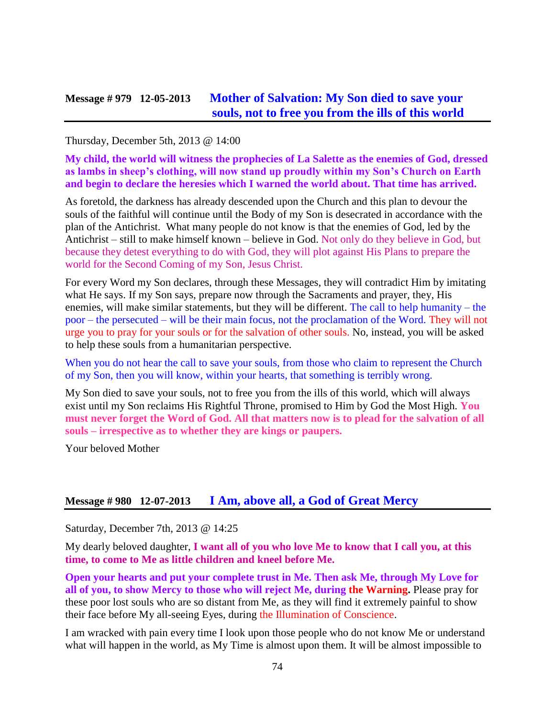### **Message # 979 12-05-2013 [Mother of Salvation: My Son died to save](http://www.thewarningsecondcoming.com/mother-of-salvation-my-son-died-to-save-your-souls-not-to-free-you-from-the-ills-of-this-world/) your [souls, not to free you from the ills of this world](http://www.thewarningsecondcoming.com/mother-of-salvation-my-son-died-to-save-your-souls-not-to-free-you-from-the-ills-of-this-world/)**

Thursday, December 5th, 2013 @ 14:00

**My child, the world will witness the prophecies of La Salette as the enemies of God, dressed as lambs in sheep's clothing, will now stand up proudly within my Son's Church on Earth and begin to declare the heresies which I warned the world about. That time has arrived.**

As foretold, the darkness has already descended upon the Church and this plan to devour the souls of the faithful will continue until the Body of my Son is desecrated in accordance with the plan of the Antichrist. What many people do not know is that the enemies of God, led by the Antichrist – still to make himself known – believe in God. Not only do they believe in God, but because they detest everything to do with God, they will plot against His Plans to prepare the world for the Second Coming of my Son, Jesus Christ.

For every Word my Son declares, through these Messages, they will contradict Him by imitating what He says. If my Son says, prepare now through the Sacraments and prayer, they, His enemies, will make similar statements, but they will be different. The call to help humanity – the poor – the persecuted – will be their main focus, not the proclamation of the Word. They will not urge you to pray for your souls or for the salvation of other souls. No, instead, you will be asked to help these souls from a humanitarian perspective.

When you do not hear the call to save your souls, from those who claim to represent the Church of my Son, then you will know, within your hearts, that something is terribly wrong.

My Son died to save your souls, not to free you from the ills of this world, which will always exist until my Son reclaims His Rightful Throne, promised to Him by God the Most High. **You must never forget the Word of God. All that matters now is to plead for the salvation of all souls – irrespective as to whether they are kings or paupers.**

Your beloved Mother

### **Message # 980 12-07-2013 [I Am, above all, a God of Great Mercy](http://www.thewarningsecondcoming.com/i-am-above-all-a-god-of-great-mercy/)**

Saturday, December 7th, 2013 @ 14:25

My dearly beloved daughter, **I want all of you who love Me to know that I call you, at this time, to come to Me as little children and kneel before Me.** 

**Open your hearts and put your complete trust in Me. Then ask Me, through My Love for all of you, to show Mercy to those who will reject Me, during the Warning.** Please pray for these poor lost souls who are so distant from Me, as they will find it extremely painful to show their face before My all-seeing Eyes, during the Illumination of Conscience.

I am wracked with pain every time I look upon those people who do not know Me or understand what will happen in the world, as My Time is almost upon them. It will be almost impossible to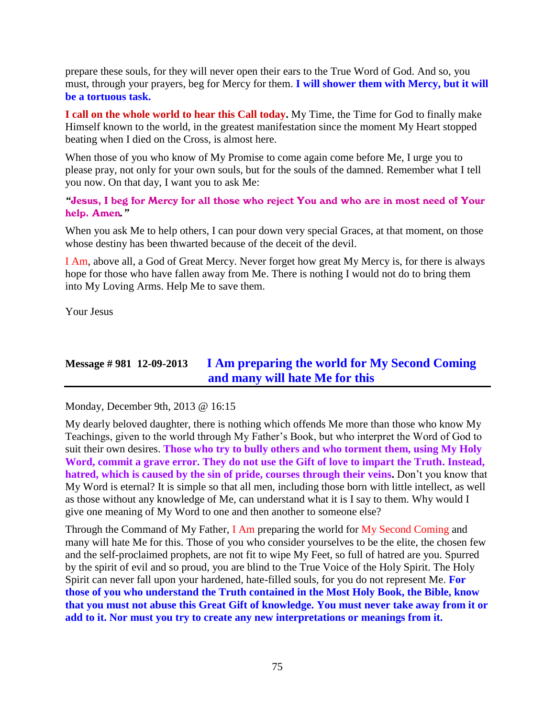prepare these souls, for they will never open their ears to the True Word of God. And so, you must, through your prayers, beg for Mercy for them. **I will shower them with Mercy, but it will be a tortuous task.**

**I call on the whole world to hear this Call today.** My Time, the Time for God to finally make Himself known to the world, in the greatest manifestation since the moment My Heart stopped beating when I died on the Cross, is almost here.

When those of you who know of My Promise to come again come before Me, I urge you to please pray, not only for your own souls, but for the souls of the damned. Remember what I tell you now. On that day, I want you to ask Me:

*"*Jesus, I beg for Mercy for all those who reject You and who are in most need of Your help. Amen*."*

When you ask Me to help others, I can pour down very special Graces, at that moment, on those whose destiny has been thwarted because of the deceit of the devil.

I Am, above all, a God of Great Mercy. Never forget how great My Mercy is, for there is always hope for those who have fallen away from Me. There is nothing I would not do to bring them into My Loving Arms. Help Me to save them.

Your Jesus

### **Message # 981 12-09-2013 [I Am preparing the world for My Second Coming](http://www.thewarningsecondcoming.com/i-am-preparing-the-world-for-my-second-coming-and-many-will-hate-me-for-this/)  [and many will hate Me for this](http://www.thewarningsecondcoming.com/i-am-preparing-the-world-for-my-second-coming-and-many-will-hate-me-for-this/)**

Monday, December 9th, 2013 @ 16:15

My dearly beloved daughter, there is nothing which offends Me more than those who know My Teachings, given to the world through My Father's Book, but who interpret the Word of God to suit their own desires. **Those who try to bully others and who torment them, using My Holy Word, commit a grave error. They do not use the Gift of love to impart the Truth. Instead, hatred, which is caused by the sin of pride, courses through their veins.** Don't you know that My Word is eternal? It is simple so that all men, including those born with little intellect, as well as those without any knowledge of Me, can understand what it is I say to them. Why would I give one meaning of My Word to one and then another to someone else?

Through the Command of My Father, I Am preparing the world for My Second Coming and many will hate Me for this. Those of you who consider yourselves to be the elite, the chosen few and the self-proclaimed prophets, are not fit to wipe My Feet, so full of hatred are you. Spurred by the spirit of evil and so proud, you are blind to the True Voice of the Holy Spirit. The Holy Spirit can never fall upon your hardened, hate-filled souls, for you do not represent Me. **For those of you who understand the Truth contained in the Most Holy Book, the Bible, know that you must not abuse this Great Gift of knowledge. You must never take away from it or add to it. Nor must you try to create any new interpretations or meanings from it.**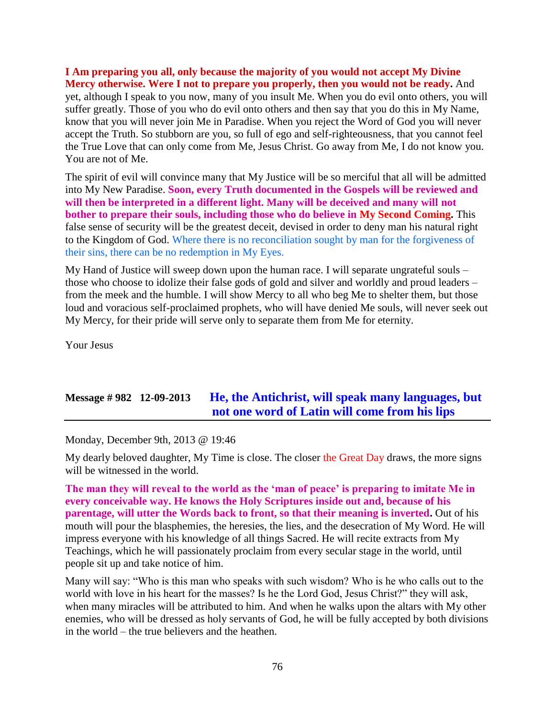**I Am preparing you all, only because the majority of you would not accept My Divine Mercy otherwise. Were I not to prepare you properly, then you would not be ready.** And yet, although I speak to you now, many of you insult Me. When you do evil onto others, you will suffer greatly. Those of you who do evil onto others and then say that you do this in My Name, know that you will never join Me in Paradise. When you reject the Word of God you will never accept the Truth. So stubborn are you, so full of ego and self-righteousness, that you cannot feel the True Love that can only come from Me, Jesus Christ. Go away from Me, I do not know you. You are not of Me.

The spirit of evil will convince many that My Justice will be so merciful that all will be admitted into My New Paradise. **Soon, every Truth documented in the Gospels will be reviewed and will then be interpreted in a different light. Many will be deceived and many will not bother to prepare their souls, including those who do believe in My Second Coming.** This false sense of security will be the greatest deceit, devised in order to deny man his natural right to the Kingdom of God. Where there is no reconciliation sought by man for the forgiveness of their sins, there can be no redemption in My Eyes.

My Hand of Justice will sweep down upon the human race. I will separate ungrateful souls – those who choose to idolize their false gods of gold and silver and worldly and proud leaders – from the meek and the humble. I will show Mercy to all who beg Me to shelter them, but those loud and voracious self-proclaimed prophets, who will have denied Me souls, will never seek out My Mercy, for their pride will serve only to separate them from Me for eternity.

Your Jesus

### **Message # 982 12-09-2013 [He, the Antichrist, will speak many languages, but](http://www.thewarningsecondcoming.com/he-the-antichrist-will-speak-many-languages-but-not-one-word-of-latin-will-come-from-his-lips/)  [not one word of Latin will come from his lips](http://www.thewarningsecondcoming.com/he-the-antichrist-will-speak-many-languages-but-not-one-word-of-latin-will-come-from-his-lips/)**

Monday, December 9th, 2013 @ 19:46

My dearly beloved daughter, My Time is close. The closer the Great Day draws, the more signs will be witnessed in the world.

**The man they will reveal to the world as the 'man of peace' is preparing to imitate Me in every conceivable way. He knows the Holy Scriptures inside out and, because of his parentage, will utter the Words back to front, so that their meaning is inverted.** Out of his mouth will pour the blasphemies, the heresies, the lies, and the desecration of My Word. He will impress everyone with his knowledge of all things Sacred. He will recite extracts from My Teachings, which he will passionately proclaim from every secular stage in the world, until people sit up and take notice of him.

Many will say: "Who is this man who speaks with such wisdom? Who is he who calls out to the world with love in his heart for the masses? Is he the Lord God, Jesus Christ?" they will ask, when many miracles will be attributed to him. And when he walks upon the altars with My other enemies, who will be dressed as holy servants of God, he will be fully accepted by both divisions in the world – the true believers and the heathen.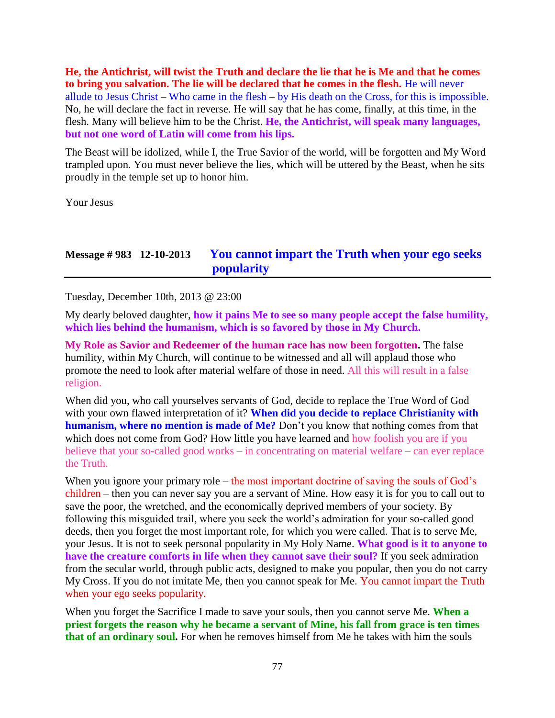**He, the Antichrist, will twist the Truth and declare the lie that he is Me and that he comes to bring you salvation. The lie will be declared that he comes in the flesh.** He will never allude to Jesus Christ – Who came in the flesh – by His death on the Cross, for this is impossible. No, he will declare the fact in reverse. He will say that he has come, finally, at this time, in the flesh. Many will believe him to be the Christ. **He, the Antichrist, will speak many languages, but not one word of Latin will come from his lips.**

The Beast will be idolized, while I, the True Savior of the world, will be forgotten and My Word trampled upon. You must never believe the lies, which will be uttered by the Beast, when he sits proudly in the temple set up to honor him.

Your Jesus

### **Message # 983 12-10-2013 [You cannot impart the Truth when your ego seeks](http://www.thewarningsecondcoming.com/you-cannot-impart-the-truth-when-your-ego-seeks-popularity/)  [popularity](http://www.thewarningsecondcoming.com/you-cannot-impart-the-truth-when-your-ego-seeks-popularity/)**

Tuesday, December 10th, 2013 @ 23:00

My dearly beloved daughter, **how it pains Me to see so many people accept the false humility, which lies behind the humanism, which is so favored by those in My Church.**

**My Role as Savior and Redeemer of the human race has now been forgotten.** The false humility, within My Church, will continue to be witnessed and all will applaud those who promote the need to look after material welfare of those in need. All this will result in a false religion.

When did you, who call yourselves servants of God, decide to replace the True Word of God with your own flawed interpretation of it? **When did you decide to replace Christianity with humanism, where no mention is made of Me?** Don't you know that nothing comes from that which does not come from God? How little you have learned and how foolish you are if you believe that your so-called good works – in concentrating on material welfare – can ever replace the Truth.

When you ignore your primary role – the most important doctrine of saving the souls of God's children – then you can never say you are a servant of Mine. How easy it is for you to call out to save the poor, the wretched, and the economically deprived members of your society. By following this misguided trail, where you seek the world's admiration for your so-called good deeds, then you forget the most important role, for which you were called. That is to serve Me, your Jesus. It is not to seek personal popularity in My Holy Name. **What good is it to anyone to have the creature comforts in life when they cannot save their soul?** If you seek admiration from the secular world, through public acts, designed to make you popular, then you do not carry My Cross. If you do not imitate Me, then you cannot speak for Me. You cannot impart the Truth when your ego seeks popularity.

When you forget the Sacrifice I made to save your souls, then you cannot serve Me. **When a priest forgets the reason why he became a servant of Mine, his fall from grace is ten times that of an ordinary soul.** For when he removes himself from Me he takes with him the souls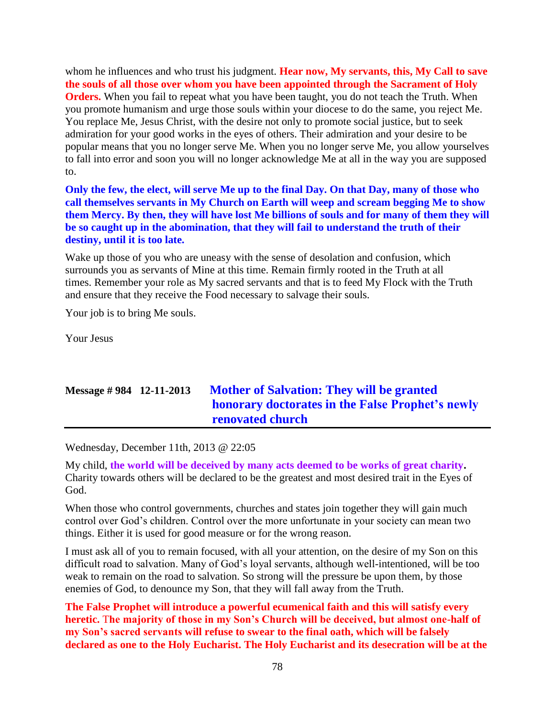whom he influences and who trust his judgment. **Hear now, My servants, this, My Call to save the souls of all those over whom you have been appointed through the Sacrament of Holy Orders.** When you fail to repeat what you have been taught, you do not teach the Truth. When you promote humanism and urge those souls within your diocese to do the same, you reject Me. You replace Me, Jesus Christ, with the desire not only to promote social justice, but to seek admiration for your good works in the eyes of others. Their admiration and your desire to be popular means that you no longer serve Me. When you no longer serve Me, you allow yourselves to fall into error and soon you will no longer acknowledge Me at all in the way you are supposed to.

**Only the few, the elect, will serve Me up to the final Day. On that Day, many of those who call themselves servants in My Church on Earth will weep and scream begging Me to show them Mercy. By then, they will have lost Me billions of souls and for many of them they will be so caught up in the abomination, that they will fail to understand the truth of their destiny, until it is too late.**

Wake up those of you who are uneasy with the sense of desolation and confusion, which surrounds you as servants of Mine at this time. Remain firmly rooted in the Truth at all times. Remember your role as My sacred servants and that is to feed My Flock with the Truth and ensure that they receive the Food necessary to salvage their souls.

Your job is to bring Me souls.

Your Jesus

# **Message # 984 12-11-2013 [Mother of Salvation: They will be granted](http://www.thewarningsecondcoming.com/mother-of-salvation-they-will-be-granted-honorary-doctorates-in-the-false-prophets-newly-renovated-church/)  [honorary doctorates in the False Prophet's newly](http://www.thewarningsecondcoming.com/mother-of-salvation-they-will-be-granted-honorary-doctorates-in-the-false-prophets-newly-renovated-church/)  [renovated church](http://www.thewarningsecondcoming.com/mother-of-salvation-they-will-be-granted-honorary-doctorates-in-the-false-prophets-newly-renovated-church/)**

Wednesday, December 11th, 2013 @ 22:05

My child, **the world will be deceived by many acts deemed to be works of great charity.** Charity towards others will be declared to be the greatest and most desired trait in the Eyes of God.

When those who control governments, churches and states join together they will gain much control over God's children. Control over the more unfortunate in your society can mean two things. Either it is used for good measure or for the wrong reason.

I must ask all of you to remain focused, with all your attention, on the desire of my Son on this difficult road to salvation. Many of God's loyal servants, although well-intentioned, will be too weak to remain on the road to salvation. So strong will the pressure be upon them, by those enemies of God, to denounce my Son, that they will fall away from the Truth.

**The False Prophet will introduce a powerful ecumenical faith and this will satisfy every heretic.** T**he majority of those in my Son's Church will be deceived, but almost one-half of my Son's sacred servants will refuse to swear to the final oath, which will be falsely declared as one to the Holy Eucharist. The Holy Eucharist and its desecration will be at the**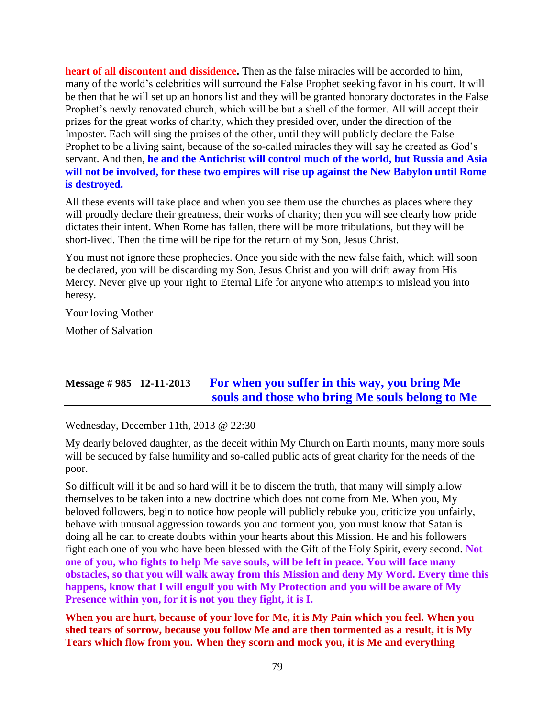**heart of all discontent and dissidence.** Then as the false miracles will be accorded to him, many of the world's celebrities will surround the False Prophet seeking favor in his court. It will be then that he will set up an honors list and they will be granted honorary doctorates in the False Prophet's newly renovated church, which will be but a shell of the former. All will accept their prizes for the great works of charity, which they presided over, under the direction of the Imposter. Each will sing the praises of the other, until they will publicly declare the False Prophet to be a living saint, because of the so-called miracles they will say he created as God's servant. And then, **he and the Antichrist will control much of the world, but Russia and Asia will not be involved, for these two empires will rise up against the New Babylon until Rome is destroyed.**

All these events will take place and when you see them use the churches as places where they will proudly declare their greatness, their works of charity; then you will see clearly how pride dictates their intent. When Rome has fallen, there will be more tribulations, but they will be short-lived. Then the time will be ripe for the return of my Son, Jesus Christ.

You must not ignore these prophecies. Once you side with the new false faith, which will soon be declared, you will be discarding my Son, Jesus Christ and you will drift away from His Mercy. Never give up your right to Eternal Life for anyone who attempts to mislead you into heresy.

Your loving Mother

Mother of Salvation

## **Message # 985 12-11-2013 [For when you suffer in this way, you bring Me](http://www.thewarningsecondcoming.com/for-when-you-suffer-in-this-way-you-bring-me-souls-and-those-who-bring-me-souls-belong-to-me/)  [souls and those who bring Me souls belong to Me](http://www.thewarningsecondcoming.com/for-when-you-suffer-in-this-way-you-bring-me-souls-and-those-who-bring-me-souls-belong-to-me/)**

Wednesday, December 11th, 2013 @ 22:30

My dearly beloved daughter, as the deceit within My Church on Earth mounts, many more souls will be seduced by false humility and so-called public acts of great charity for the needs of the poor.

So difficult will it be and so hard will it be to discern the truth, that many will simply allow themselves to be taken into a new doctrine which does not come from Me. When you, My beloved followers, begin to notice how people will publicly rebuke you, criticize you unfairly, behave with unusual aggression towards you and torment you, you must know that Satan is doing all he can to create doubts within your hearts about this Mission. He and his followers fight each one of you who have been blessed with the Gift of the Holy Spirit, every second. **Not one of you, who fights to help Me save souls, will be left in peace. You will face many obstacles, so that you will walk away from this Mission and deny My Word. Every time this happens, know that I will engulf you with My Protection and you will be aware of My Presence within you, for it is not you they fight, it is I.**

**When you are hurt, because of your love for Me, it is My Pain which you feel. When you shed tears of sorrow, because you follow Me and are then tormented as a result, it is My Tears which flow from you. When they scorn and mock you, it is Me and everything**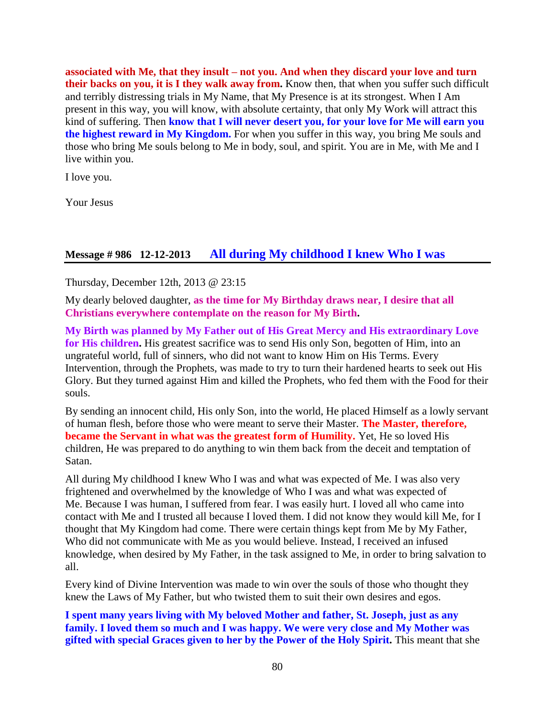**associated with Me, that they insult – not you. And when they discard your love and turn their backs on you, it is I they walk away from.** Know then, that when you suffer such difficult and terribly distressing trials in My Name, that My Presence is at its strongest. When I Am present in this way, you will know, with absolute certainty, that only My Work will attract this kind of suffering. Then **know that I will never desert you, for your love for Me will earn you the highest reward in My Kingdom.** For when you suffer in this way, you bring Me souls and those who bring Me souls belong to Me in body, soul, and spirit. You are in Me, with Me and I live within you.

I love you.

Your Jesus

### **Message # 986 12-12-2013 [All during My childhood I knew Who I was](http://www.thewarningsecondcoming.com/all-during-my-childhood-i-knew-who-i-was/)**

Thursday, December 12th, 2013 @ 23:15

My dearly beloved daughter, **as the time for My Birthday draws near, I desire that all Christians everywhere contemplate on the reason for My Birth.**

**My Birth was planned by My Father out of His Great Mercy and His extraordinary Love for His children.** His greatest sacrifice was to send His only Son, begotten of Him, into an ungrateful world, full of sinners, who did not want to know Him on His Terms. Every Intervention, through the Prophets, was made to try to turn their hardened hearts to seek out His Glory. But they turned against Him and killed the Prophets, who fed them with the Food for their souls.

By sending an innocent child, His only Son, into the world, He placed Himself as a lowly servant of human flesh, before those who were meant to serve their Master. **The Master, therefore, became the Servant in what was the greatest form of Humility.** Yet, He so loved His children, He was prepared to do anything to win them back from the deceit and temptation of Satan.

All during My childhood I knew Who I was and what was expected of Me. I was also very frightened and overwhelmed by the knowledge of Who I was and what was expected of Me. Because I was human, I suffered from fear. I was easily hurt. I loved all who came into contact with Me and I trusted all because I loved them. I did not know they would kill Me, for I thought that My Kingdom had come. There were certain things kept from Me by My Father, Who did not communicate with Me as you would believe. Instead, I received an infused knowledge, when desired by My Father, in the task assigned to Me, in order to bring salvation to all.

Every kind of Divine Intervention was made to win over the souls of those who thought they knew the Laws of My Father, but who twisted them to suit their own desires and egos.

**I spent many years living with My beloved Mother and father, St. Joseph, just as any family. I loved them so much and I was happy. We were very close and My Mother was gifted with special Graces given to her by the Power of the Holy Spirit.** This meant that she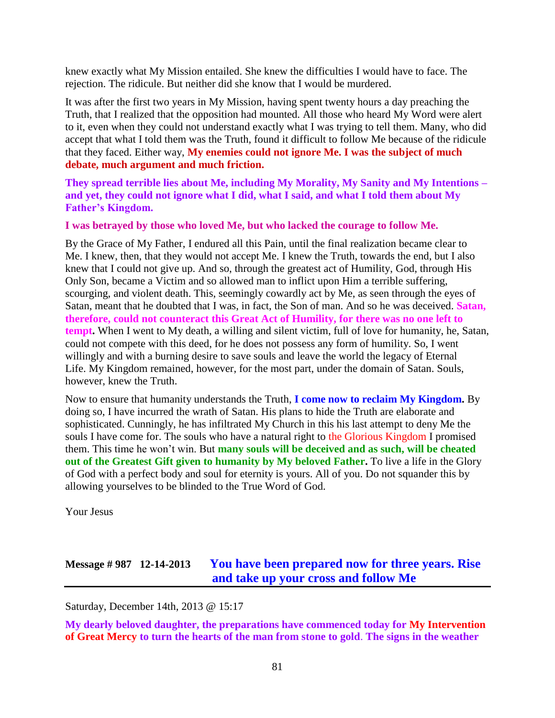knew exactly what My Mission entailed. She knew the difficulties I would have to face. The rejection. The ridicule. But neither did she know that I would be murdered.

It was after the first two years in My Mission, having spent twenty hours a day preaching the Truth, that I realized that the opposition had mounted. All those who heard My Word were alert to it, even when they could not understand exactly what I was trying to tell them. Many, who did accept that what I told them was the Truth, found it difficult to follow Me because of the ridicule that they faced. Either way, **My enemies could not ignore Me. I was the subject of much debate, much argument and much friction.**

**They spread terrible lies about Me, including My Morality, My Sanity and My Intentions – and yet, they could not ignore what I did, what I said, and what I told them about My Father's Kingdom.**

**I was betrayed by those who loved Me, but who lacked the courage to follow Me.**

By the Grace of My Father, I endured all this Pain, until the final realization became clear to Me. I knew, then, that they would not accept Me. I knew the Truth, towards the end, but I also knew that I could not give up. And so, through the greatest act of Humility, God, through His Only Son, became a Victim and so allowed man to inflict upon Him a terrible suffering, scourging, and violent death. This, seemingly cowardly act by Me, as seen through the eyes of Satan, meant that he doubted that I was, in fact, the Son of man. And so he was deceived. **Satan, therefore, could not counteract this Great Act of Humility, for there was no one left to tempt.** When I went to My death, a willing and silent victim, full of love for humanity, he, Satan, could not compete with this deed, for he does not possess any form of humility. So, I went willingly and with a burning desire to save souls and leave the world the legacy of Eternal Life. My Kingdom remained, however, for the most part, under the domain of Satan. Souls, however, knew the Truth.

Now to ensure that humanity understands the Truth, **I come now to reclaim My Kingdom.** By doing so, I have incurred the wrath of Satan. His plans to hide the Truth are elaborate and sophisticated. Cunningly, he has infiltrated My Church in this his last attempt to deny Me the souls I have come for. The souls who have a natural right to the Glorious Kingdom I promised them. This time he won't win. But **many souls will be deceived and as such, will be cheated out of the Greatest Gift given to humanity by My beloved Father.** To live a life in the Glory of God with a perfect body and soul for eternity is yours. All of you. Do not squander this by allowing yourselves to be blinded to the True Word of God.

Your Jesus

## **Message # 987 12-14-2013 [You have been prepared now for three years. Rise](http://www.thewarningsecondcoming.com/you-have-been-prepared-now-for-three-years-rise-and-take-up-your-cross-and-follow-me/)  [and take up your cross and follow Me](http://www.thewarningsecondcoming.com/you-have-been-prepared-now-for-three-years-rise-and-take-up-your-cross-and-follow-me/)**

Saturday, December 14th, 2013 @ 15:17

**My dearly beloved daughter, the preparations have commenced today for My Intervention of Great Mercy to turn the hearts of the man from stone to gold**. **The signs in the weather**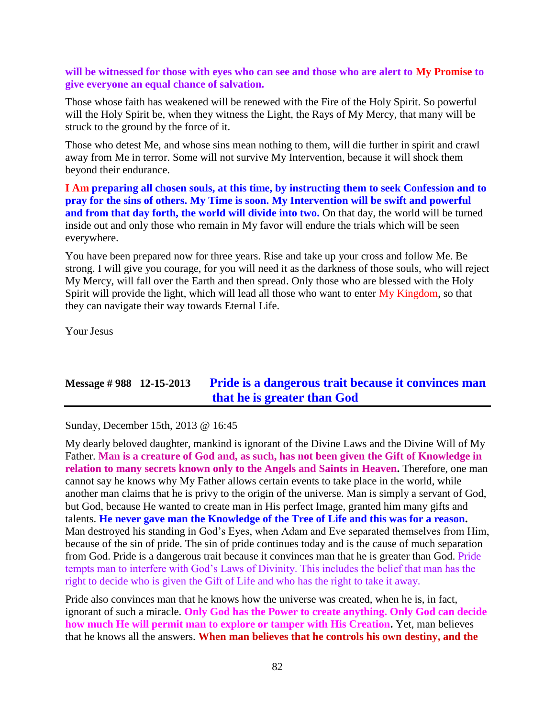### **will be witnessed for those with eyes who can see and those who are alert to My Promise to give everyone an equal chance of salvation.**

Those whose faith has weakened will be renewed with the Fire of the Holy Spirit. So powerful will the Holy Spirit be, when they witness the Light, the Rays of My Mercy, that many will be struck to the ground by the force of it.

Those who detest Me, and whose sins mean nothing to them, will die further in spirit and crawl away from Me in terror. Some will not survive My Intervention, because it will shock them beyond their endurance.

**I Am preparing all chosen souls, at this time, by instructing them to seek Confession and to pray for the sins of others. My Time is soon. My Intervention will be swift and powerful and from that day forth, the world will divide into two.** On that day, the world will be turned inside out and only those who remain in My favor will endure the trials which will be seen everywhere.

You have been prepared now for three years. Rise and take up your cross and follow Me. Be strong. I will give you courage, for you will need it as the darkness of those souls, who will reject My Mercy, will fall over the Earth and then spread. Only those who are blessed with the Holy Spirit will provide the light, which will lead all those who want to enter My Kingdom, so that they can navigate their way towards Eternal Life.

Your Jesus

# **Message # 988 12-15-2013 Pride is a dangerous [trait because it convinces man](http://www.thewarningsecondcoming.com/pride-is-a-dangerous-trait-because-it-convinces-man-that-he-is-greater-than-god/)  [that he is greater than God](http://www.thewarningsecondcoming.com/pride-is-a-dangerous-trait-because-it-convinces-man-that-he-is-greater-than-god/)**

Sunday, December 15th, 2013 @ 16:45

My dearly beloved daughter, mankind is ignorant of the Divine Laws and the Divine Will of My Father. **Man is a creature of God and, as such, has not been given the Gift of Knowledge in relation to many secrets known only to the Angels and Saints in Heaven.** Therefore, one man cannot say he knows why My Father allows certain events to take place in the world, while another man claims that he is privy to the origin of the universe. Man is simply a servant of God, but God, because He wanted to create man in His perfect Image, granted him many gifts and talents. **He never gave man the Knowledge of the Tree of Life and this was for a reason.** Man destroyed his standing in God's Eyes, when Adam and Eve separated themselves from Him, because of the sin of pride. The sin of pride continues today and is the cause of much separation from God. Pride is a dangerous trait because it convinces man that he is greater than God. Pride tempts man to interfere with God's Laws of Divinity. This includes the belief that man has the right to decide who is given the Gift of Life and who has the right to take it away.

Pride also convinces man that he knows how the universe was created, when he is, in fact, ignorant of such a miracle. **Only God has the Power to create anything. Only God can decide how much He will permit man to explore or tamper with His Creation.** Yet, man believes that he knows all the answers. **When man believes that he controls his own destiny, and the**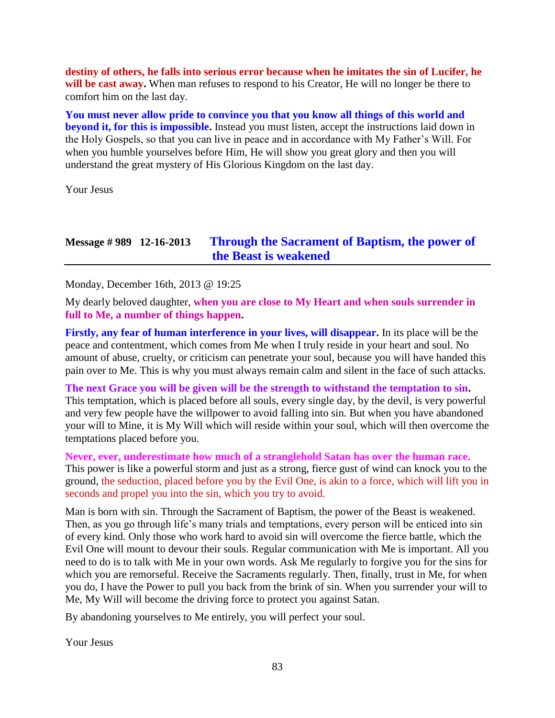**destiny of others, he falls into serious error because when he imitates the sin of Lucifer, he**  will be cast away. When man refuses to respond to his Creator, He will no longer be there to comfort him on the last day.

**You must never allow pride to convince you that you know all things of this world and beyond it, for this is impossible.** Instead you must listen, accept the instructions laid down in the Holy Gospels, so that you can live in peace and in accordance with My Father's Will. For when you humble yourselves before Him, He will show you great glory and then you will understand the great mystery of His Glorious Kingdom on the last day.

Your Jesus

### **Message # 989 12-16-2013 [Through the Sacrament of Baptism, the power of](http://www.thewarningsecondcoming.com/through-the-sacrament-of-baptism-the-power-of-the-beast-is-weakened/)  [the Beast is weakened](http://www.thewarningsecondcoming.com/through-the-sacrament-of-baptism-the-power-of-the-beast-is-weakened/)**

Monday, December 16th, 2013 @ 19:25

My dearly beloved daughter, **when you are close to My Heart and when souls surrender in full to Me, a number of things happen.**

**Firstly, any fear of human interference in your lives, will disappear.** In its place will be the peace and contentment, which comes from Me when I truly reside in your heart and soul. No amount of abuse, cruelty, or criticism can penetrate your soul, because you will have handed this pain over to Me. This is why you must always remain calm and silent in the face of such attacks.

**The next Grace you will be given will be the strength to withstand the temptation to sin.** This temptation, which is placed before all souls, every single day, by the devil, is very powerful and very few people have the willpower to avoid falling into sin. But when you have abandoned your will to Mine, it is My Will which will reside within your soul, which will then overcome the temptations placed before you.

**Never, ever, underestimate how much of a stranglehold Satan has over the human race.** This power is like a powerful storm and just as a strong, fierce gust of wind can knock you to the ground, the seduction, placed before you by the Evil One, is akin to a force, which will lift you in seconds and propel you into the sin, which you try to avoid.

Man is born with sin. Through the Sacrament of Baptism, the power of the Beast is weakened. Then, as you go through life's many trials and temptations, every person will be enticed into sin of every kind. Only those who work hard to avoid sin will overcome the fierce battle, which the Evil One will mount to devour their souls. Regular communication with Me is important. All you need to do is to talk with Me in your own words. Ask Me regularly to forgive you for the sins for which you are remorseful. Receive the Sacraments regularly. Then, finally, trust in Me, for when you do, I have the Power to pull you back from the brink of sin. When you surrender your will to Me, My Will will become the driving force to protect you against Satan.

By abandoning yourselves to Me entirely, you will perfect your soul.

Your Jesus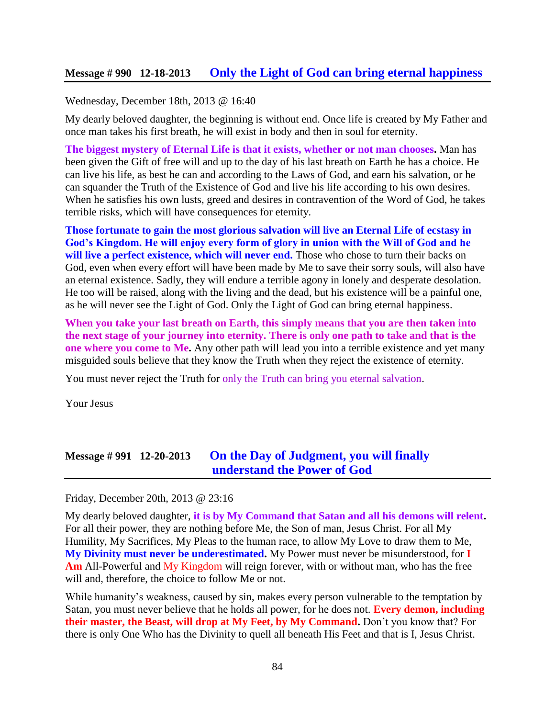### **Message # 990 12-18-2013 [Only the Light of God can bring eternal happiness](http://www.thewarningsecondcoming.com/only-the-light-of-god-can-bring-eternal-happiness/)**

#### Wednesday, December 18th, 2013 @ 16:40

My dearly beloved daughter, the beginning is without end. Once life is created by My Father and once man takes his first breath, he will exist in body and then in soul for eternity.

**The biggest mystery of Eternal Life is that it exists, whether or not man chooses.** Man has been given the Gift of free will and up to the day of his last breath on Earth he has a choice. He can live his life, as best he can and according to the Laws of God, and earn his salvation, or he can squander the Truth of the Existence of God and live his life according to his own desires. When he satisfies his own lusts, greed and desires in contravention of the Word of God, he takes terrible risks, which will have consequences for eternity.

**Those fortunate to gain the most glorious salvation will live an Eternal Life of ecstasy in God's Kingdom. He will enjoy every form of glory in union with the Will of God and he**  will live a perfect existence, which will never end. Those who chose to turn their backs on God, even when every effort will have been made by Me to save their sorry souls, will also have an eternal existence. Sadly, they will endure a terrible agony in lonely and desperate desolation. He too will be raised, along with the living and the dead, but his existence will be a painful one, as he will never see the Light of God. Only the Light of God can bring eternal happiness.

**When you take your last breath on Earth, this simply means that you are then taken into the next stage of your journey into eternity. There is only one path to take and that is the one where you come to Me.** Any other path will lead you into a terrible existence and yet many misguided souls believe that they know the Truth when they reject the existence of eternity.

You must never reject the Truth for only the Truth can bring you eternal salvation.

Your Jesus

## **Message # 991 12-20-2013 [On the Day of Judgment, you will finally](http://www.thewarningsecondcoming.com/on-the-day-of-judgement-you-will-finally-understand-the-power-of-god/)  [understand the Power of God](http://www.thewarningsecondcoming.com/on-the-day-of-judgement-you-will-finally-understand-the-power-of-god/)**

Friday, December 20th, 2013 @ 23:16

My dearly beloved daughter, **it is by My Command that Satan and all his demons will relent.**  For all their power, they are nothing before Me, the Son of man, Jesus Christ. For all My Humility, My Sacrifices, My Pleas to the human race, to allow My Love to draw them to Me, **My Divinity must never be underestimated.** My Power must never be misunderstood, for **I Am** All-Powerful and My Kingdom will reign forever, with or without man, who has the free will and, therefore, the choice to follow Me or not.

While humanity's weakness, caused by sin, makes every person vulnerable to the temptation by Satan, you must never believe that he holds all power, for he does not. **Every demon, including their master, the Beast, will drop at My Feet, by My Command.** Don't you know that? For there is only One Who has the Divinity to quell all beneath His Feet and that is I, Jesus Christ.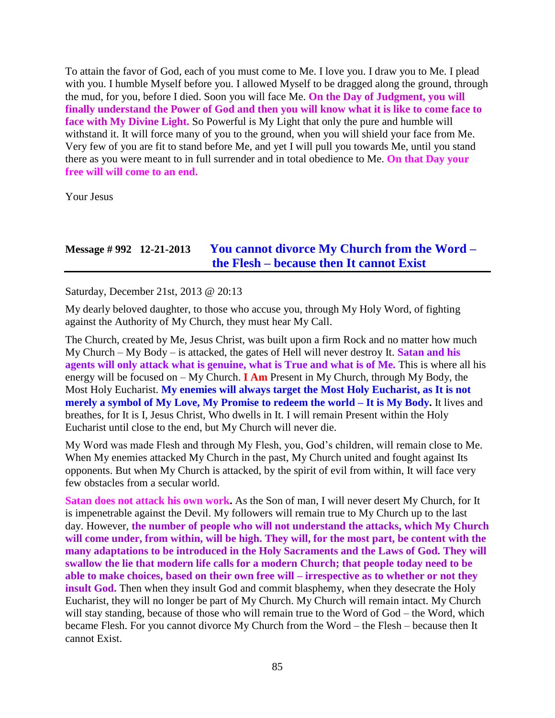To attain the favor of God, each of you must come to Me. I love you. I draw you to Me. I plead with you. I humble Myself before you. I allowed Myself to be dragged along the ground, through the mud, for you, before I died. Soon you will face Me. **On the Day of Judgment, you will finally understand the Power of God and then you will know what it is like to come face to face with My Divine Light.** So Powerful is My Light that only the pure and humble will withstand it. It will force many of you to the ground, when you will shield your face from Me. Very few of you are fit to stand before Me, and yet I will pull you towards Me, until you stand there as you were meant to in full surrender and in total obedience to Me. **On that Day your free will will come to an end.**

Your Jesus

### **Message # 992 12-21-2013 [You cannot divorce My Church from the Word –](http://www.thewarningsecondcoming.com/you-cannot-divorce-my-church-from-the-word-the-flesh-because-then-it-cannot-exist/) the Flesh – [because then It cannot Exist](http://www.thewarningsecondcoming.com/you-cannot-divorce-my-church-from-the-word-the-flesh-because-then-it-cannot-exist/)**

Saturday, December 21st, 2013 @ 20:13

My dearly beloved daughter, to those who accuse you, through My Holy Word, of fighting against the Authority of My Church, they must hear My Call.

The Church, created by Me, Jesus Christ, was built upon a firm Rock and no matter how much My Church – My Body – is attacked, the gates of Hell will never destroy It. **Satan and his agents will only attack what is genuine, what is True and what is of Me.** This is where all his energy will be focused on – My Church. **I Am** Present in My Church, through My Body, the Most Holy Eucharist. **My enemies will always target the Most Holy Eucharist, as It is not merely a symbol of My Love, My Promise to redeem the world – It is My Body.** It lives and breathes, for It is I, Jesus Christ, Who dwells in It. I will remain Present within the Holy Eucharist until close to the end, but My Church will never die.

My Word was made Flesh and through My Flesh, you, God's children, will remain close to Me. When My enemies attacked My Church in the past, My Church united and fought against Its opponents. But when My Church is attacked, by the spirit of evil from within, It will face very few obstacles from a secular world.

**Satan does not attack his own work.** As the Son of man, I will never desert My Church, for It is impenetrable against the Devil. My followers will remain true to My Church up to the last day. However, **the number of people who will not understand the attacks, which My Church will come under, from within, will be high. They will, for the most part, be content with the many adaptations to be introduced in the Holy Sacraments and the Laws of God. They will swallow the lie that modern life calls for a modern Church; that people today need to be able to make choices, based on their own free will – irrespective as to whether or not they insult God.** Then when they insult God and commit blasphemy, when they desecrate the Holy Eucharist, they will no longer be part of My Church. My Church will remain intact. My Church will stay standing, because of those who will remain true to the Word of God – the Word, which became Flesh. For you cannot divorce My Church from the Word – the Flesh – because then It cannot Exist.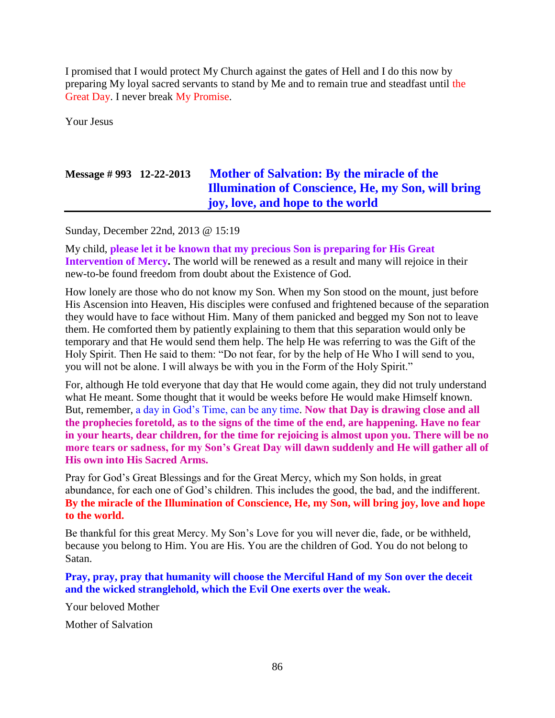I promised that I would protect My Church against the gates of Hell and I do this now by preparing My loyal sacred servants to stand by Me and to remain true and steadfast until the Great Day. I never break My Promise.

Your Jesus

# **Message # 993 12-22-2013 [Mother of Salvation: By the miracle of the](http://www.thewarningsecondcoming.com/mother-of-salvation-by-the-miracle-of-the-illumination-of-conscience-he-my-son-will-bring-joy-love-and-hope-to-the-world/)  [Illumination of Conscience, He, my Son, will bring](http://www.thewarningsecondcoming.com/mother-of-salvation-by-the-miracle-of-the-illumination-of-conscience-he-my-son-will-bring-joy-love-and-hope-to-the-world/)  joy, love, [and hope to the world](http://www.thewarningsecondcoming.com/mother-of-salvation-by-the-miracle-of-the-illumination-of-conscience-he-my-son-will-bring-joy-love-and-hope-to-the-world/)**

Sunday, December 22nd, 2013 @ 15:19

My child, **please let it be known that my precious Son is preparing for His Great Intervention of Mercy.** The world will be renewed as a result and many will rejoice in their new-to-be found freedom from doubt about the Existence of God.

How lonely are those who do not know my Son. When my Son stood on the mount, just before His Ascension into Heaven, His disciples were confused and frightened because of the separation they would have to face without Him. Many of them panicked and begged my Son not to leave them. He comforted them by patiently explaining to them that this separation would only be temporary and that He would send them help. The help He was referring to was the Gift of the Holy Spirit. Then He said to them: "Do not fear, for by the help of He Who I will send to you, you will not be alone. I will always be with you in the Form of the Holy Spirit."

For, although He told everyone that day that He would come again, they did not truly understand what He meant. Some thought that it would be weeks before He would make Himself known. But, remember, a day in God's Time, can be any time. **Now that Day is drawing close and all the prophecies foretold, as to the signs of the time of the end, are happening. Have no fear in your hearts, dear children, for the time for rejoicing is almost upon you. There will be no more tears or sadness, for my Son's Great Day will dawn suddenly and He will gather all of His own into His Sacred Arms.**

Pray for God's Great Blessings and for the Great Mercy, which my Son holds, in great abundance, for each one of God's children. This includes the good, the bad, and the indifferent. **By the miracle of the Illumination of Conscience, He, my Son, will bring joy, love and hope to the world.**

Be thankful for this great Mercy. My Son's Love for you will never die, fade, or be withheld, because you belong to Him. You are His. You are the children of God. You do not belong to Satan.

**Pray, pray, pray that humanity will choose the Merciful Hand of my Son over the deceit and the wicked stranglehold, which the Evil One exerts over the weak.**

Your beloved Mother

Mother of Salvation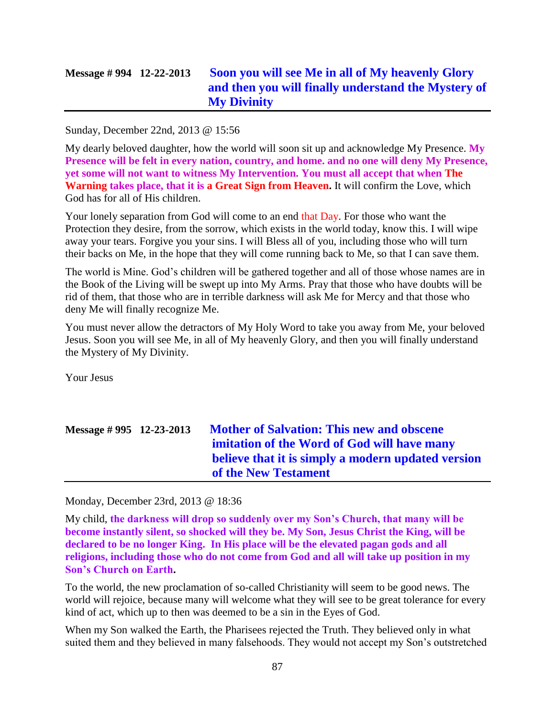# **Message # 994 12-22-2013 [Soon you will see Me in all of My heavenly Glory](http://www.thewarningsecondcoming.com/soon-you-will-see-me-in-all-of-my-heavenly-glory-and-then-you-will-finally-understand-the-mystery-of-my-divinity/)  [and then you will finally understand the Mystery of](http://www.thewarningsecondcoming.com/soon-you-will-see-me-in-all-of-my-heavenly-glory-and-then-you-will-finally-understand-the-mystery-of-my-divinity/)  [My Divinity](http://www.thewarningsecondcoming.com/soon-you-will-see-me-in-all-of-my-heavenly-glory-and-then-you-will-finally-understand-the-mystery-of-my-divinity/)**

### Sunday, December 22nd, 2013 @ 15:56

My dearly beloved daughter, how the world will soon sit up and acknowledge My Presence. **My Presence will be felt in every nation, country, and home. and no one will deny My Presence, yet some will not want to witness My Intervention. You must all accept that when The Warning takes place, that it is a Great Sign from Heaven.** It will confirm the Love, which God has for all of His children.

Your lonely separation from God will come to an end that Day. For those who want the Protection they desire, from the sorrow, which exists in the world today, know this. I will wipe away your tears. Forgive you your sins. I will Bless all of you, including those who will turn their backs on Me, in the hope that they will come running back to Me, so that I can save them.

The world is Mine. God's children will be gathered together and all of those whose names are in the Book of the Living will be swept up into My Arms. Pray that those who have doubts will be rid of them, that those who are in terrible darkness will ask Me for Mercy and that those who deny Me will finally recognize Me.

You must never allow the detractors of My Holy Word to take you away from Me, your beloved Jesus. Soon you will see Me, in all of My heavenly Glory, and then you will finally understand the Mystery of My Divinity.

Your Jesus

| Message $\#$ 995 12-23-2013 | <b>Mother of Salvation: This new and obscene</b><br>imitation of the Word of God will have many |
|-----------------------------|-------------------------------------------------------------------------------------------------|
|                             | believe that it is simply a modern updated version<br>of the New Testament                      |

Monday, December 23rd, 2013 @ 18:36

My child, **the darkness will drop so suddenly over my Son's Church, that many will be become instantly silent, so shocked will they be. My Son, Jesus Christ the King, will be declared to be no longer King. In His place will be the elevated pagan gods and all religions, including those who do not come from God and all will take up position in my Son's Church on Earth.**

To the world, the new proclamation of so-called Christianity will seem to be good news. The world will rejoice, because many will welcome what they will see to be great tolerance for every kind of act, which up to then was deemed to be a sin in the Eyes of God.

When my Son walked the Earth, the Pharisees rejected the Truth. They believed only in what suited them and they believed in many falsehoods. They would not accept my Son's outstretched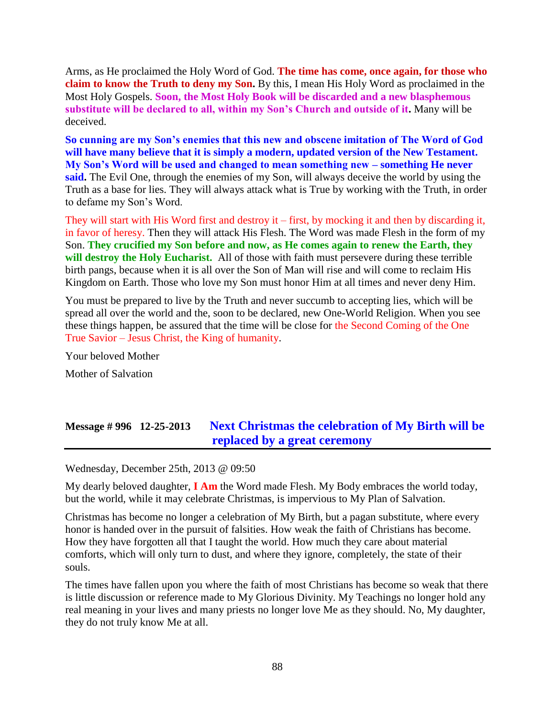Arms, as He proclaimed the Holy Word of God. **The time has come, once again, for those who claim to know the Truth to deny my Son.** By this, I mean His Holy Word as proclaimed in the Most Holy Gospels. **Soon, the Most Holy Book will be discarded and a new blasphemous substitute will be declared to all, within my Son's Church and outside of it.** Many will be deceived.

**So cunning are my Son's enemies that this new and obscene imitation of The Word of God will have many believe that it is simply a modern, updated version of the New Testament. My Son's Word will be used and changed to mean something new – something He never said.** The Evil One, through the enemies of my Son, will always deceive the world by using the Truth as a base for lies. They will always attack what is True by working with the Truth, in order to defame my Son's Word.

They will start with His Word first and destroy it – first, by mocking it and then by discarding it, in favor of heresy. Then they will attack His Flesh. The Word was made Flesh in the form of my Son. **They crucified my Son before and now, as He comes again to renew the Earth, they will destroy the Holy Eucharist.** All of those with faith must persevere during these terrible birth pangs, because when it is all over the Son of Man will rise and will come to reclaim His Kingdom on Earth. Those who love my Son must honor Him at all times and never deny Him.

You must be prepared to live by the Truth and never succumb to accepting lies, which will be spread all over the world and the, soon to be declared, new One-World Religion. When you see these things happen, be assured that the time will be close for the Second Coming of the One True Savior – Jesus Christ, the King of humanity.

Your beloved Mother Mother of Salvation

# **Message # 996 12-25-2013 [Next Christmas the celebration of My Birth will be](http://www.thewarningsecondcoming.com/next-christmas-the-celebration-of-my-birth-will-be-replaced-by-a-great-ceremony/)  [replaced by a great ceremony](http://www.thewarningsecondcoming.com/next-christmas-the-celebration-of-my-birth-will-be-replaced-by-a-great-ceremony/)**

Wednesday, December 25th, 2013 @ 09:50

My dearly beloved daughter, **I Am** the Word made Flesh. My Body embraces the world today, but the world, while it may celebrate Christmas, is impervious to My Plan of Salvation.

Christmas has become no longer a celebration of My Birth, but a pagan substitute, where every honor is handed over in the pursuit of falsities. How weak the faith of Christians has become. How they have forgotten all that I taught the world. How much they care about material comforts, which will only turn to dust, and where they ignore, completely, the state of their souls.

The times have fallen upon you where the faith of most Christians has become so weak that there is little discussion or reference made to My Glorious Divinity. My Teachings no longer hold any real meaning in your lives and many priests no longer love Me as they should. No, My daughter, they do not truly know Me at all.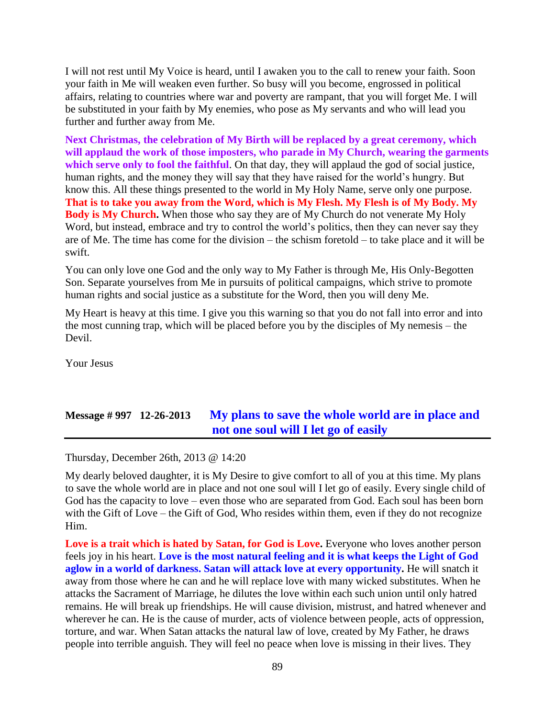I will not rest until My Voice is heard, until I awaken you to the call to renew your faith. Soon your faith in Me will weaken even further. So busy will you become, engrossed in political affairs, relating to countries where war and poverty are rampant, that you will forget Me. I will be substituted in your faith by My enemies, who pose as My servants and who will lead you further and further away from Me.

**Next Christmas, the celebration of My Birth will be replaced by a great ceremony, which will applaud the work of those imposters, who parade in My Church, wearing the garments**  which serve only to fool the faithful. On that day, they will applaud the god of social justice, human rights, and the money they will say that they have raised for the world's hungry. But know this. All these things presented to the world in My Holy Name, serve only one purpose. **That is to take you away from the Word, which is My Flesh. My Flesh is of My Body. My Body is My Church.** When those who say they are of My Church do not venerate My Holy Word, but instead, embrace and try to control the world's politics, then they can never say they are of Me. The time has come for the division – the schism foretold – to take place and it will be swift.

You can only love one God and the only way to My Father is through Me, His Only-Begotten Son. Separate yourselves from Me in pursuits of political campaigns, which strive to promote human rights and social justice as a substitute for the Word, then you will deny Me.

My Heart is heavy at this time. I give you this warning so that you do not fall into error and into the most cunning trap, which will be placed before you by the disciples of My nemesis – the Devil.

Your Jesus

# **Message # 997 12-26-2013 [My plans to save the whole world are in place and](http://www.thewarningsecondcoming.com/my-plans-to-save-the-whole-world-are-in-place-and-not-one-soul-will-i-let-go-of-easily/)  [not one soul will I let go of easily](http://www.thewarningsecondcoming.com/my-plans-to-save-the-whole-world-are-in-place-and-not-one-soul-will-i-let-go-of-easily/)**

Thursday, December 26th, 2013 @ 14:20

My dearly beloved daughter, it is My Desire to give comfort to all of you at this time. My plans to save the whole world are in place and not one soul will I let go of easily. Every single child of God has the capacity to love – even those who are separated from God. Each soul has been born with the Gift of Love – the Gift of God, Who resides within them, even if they do not recognize Him.

**Love is a trait which is hated by Satan, for God is Love.** Everyone who loves another person feels joy in his heart. **Love is the most natural feeling and it is what keeps the Light of God aglow in a world of darkness. Satan will attack love at every opportunity.** He will snatch it away from those where he can and he will replace love with many wicked substitutes. When he attacks the Sacrament of Marriage, he dilutes the love within each such union until only hatred remains. He will break up friendships. He will cause division, mistrust, and hatred whenever and wherever he can. He is the cause of murder, acts of violence between people, acts of oppression, torture, and war. When Satan attacks the natural law of love, created by My Father, he draws people into terrible anguish. They will feel no peace when love is missing in their lives. They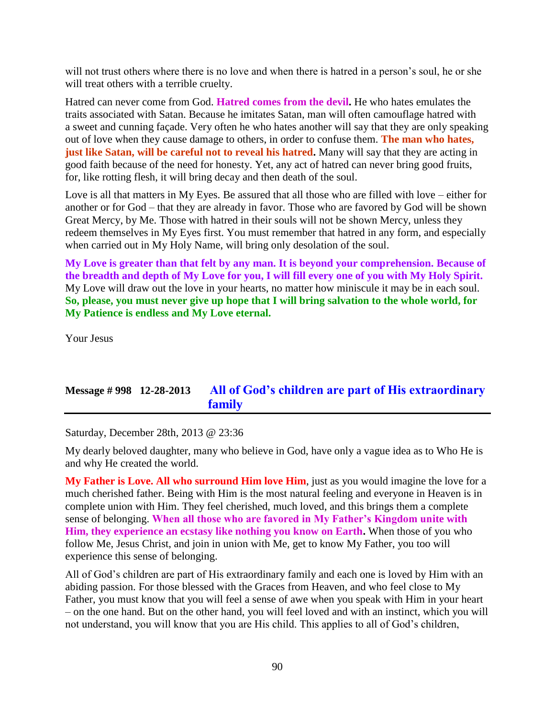will not trust others where there is no love and when there is hatred in a person's soul, he or she will treat others with a terrible cruelty.

Hatred can never come from God. **Hatred comes from the devil.** He who hates emulates the traits associated with Satan. Because he imitates Satan, man will often camouflage hatred with a sweet and cunning façade. Very often he who hates another will say that they are only speaking out of love when they cause damage to others, in order to confuse them. **The man who hates, just like Satan, will be careful not to reveal his hatred.** Many will say that they are acting in good faith because of the need for honesty. Yet, any act of hatred can never bring good fruits, for, like rotting flesh, it will bring decay and then death of the soul.

Love is all that matters in My Eyes. Be assured that all those who are filled with love – either for another or for God – that they are already in favor. Those who are favored by God will be shown Great Mercy, by Me. Those with hatred in their souls will not be shown Mercy, unless they redeem themselves in My Eyes first. You must remember that hatred in any form, and especially when carried out in My Holy Name, will bring only desolation of the soul.

**My Love is greater than that felt by any man. It is beyond your comprehension. Because of the breadth and depth of My Love for you, I will fill every one of you with My Holy Spirit.** My Love will draw out the love in your hearts, no matter how miniscule it may be in each soul. **So, please, you must never give up hope that I will bring salvation to the whole world, for My Patience is endless and My Love eternal.**

Your Jesus

### **Message # 998 12-28-2013 [All of God's children are part of His extraordinary](http://www.thewarningsecondcoming.com/all-of-gods-children-are-part-of-his-extraordinary-family/)  [family](http://www.thewarningsecondcoming.com/all-of-gods-children-are-part-of-his-extraordinary-family/)**

Saturday, December 28th, 2013 @ 23:36

My dearly beloved daughter, many who believe in God, have only a vague idea as to Who He is and why He created the world.

**My Father is Love. All who surround Him love Him**, just as you would imagine the love for a much cherished father. Being with Him is the most natural feeling and everyone in Heaven is in complete union with Him. They feel cherished, much loved, and this brings them a complete sense of belonging. **When all those who are favored in My Father's Kingdom unite with Him, they experience an ecstasy like nothing you know on Earth.** When those of you who follow Me, Jesus Christ, and join in union with Me, get to know My Father, you too will experience this sense of belonging.

All of God's children are part of His extraordinary family and each one is loved by Him with an abiding passion. For those blessed with the Graces from Heaven, and who feel close to My Father, you must know that you will feel a sense of awe when you speak with Him in your heart – on the one hand. But on the other hand, you will feel loved and with an instinct, which you will not understand, you will know that you are His child. This applies to all of God's children,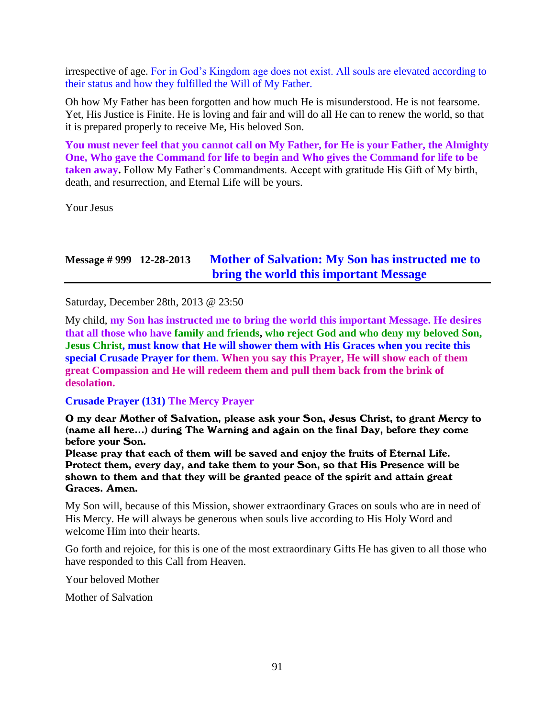irrespective of age. For in God's Kingdom age does not exist. All souls are elevated according to their status and how they fulfilled the Will of My Father.

Oh how My Father has been forgotten and how much He is misunderstood. He is not fearsome. Yet, His Justice is Finite. He is loving and fair and will do all He can to renew the world, so that it is prepared properly to receive Me, His beloved Son.

**You must never feel that you cannot call on My Father, for He is your Father, the Almighty One, Who gave the Command for life to begin and Who gives the Command for life to be taken away.** Follow My Father's Commandments. Accept with gratitude His Gift of My birth, death, and resurrection, and Eternal Life will be yours.

Your Jesus

## **Message # 999 12-28-2013 [Mother of Salvation: My Son has instructed me to](http://www.thewarningsecondcoming.com/mother-of-salvation-my-son-has-instructed-me-to-bring-the-world-this-important-message/)  [bring the world this important Message](http://www.thewarningsecondcoming.com/mother-of-salvation-my-son-has-instructed-me-to-bring-the-world-this-important-message/)**

Saturday, December 28th, 2013 @ 23:50

My child, **my Son has instructed me to bring the world this important Message. He desires that all those who have family and friends, who reject God and who deny my beloved Son, Jesus Christ, must know that He will shower them with His Graces when you recite this special Crusade Prayer for them. When you say this Prayer, He will show each of them great Compassion and He will redeem them and pull them back from the brink of desolation.**

### **Crusade Prayer (131) The Mercy Prayer**

O my dear Mother of Salvation, please ask your Son, Jesus Christ, to grant Mercy to (name all here…) during The Warning and again on the final Day, before they come before your Son.

Please pray that each of them will be saved and enjoy the fruits of Eternal Life. Protect them, every day, and take them to your Son, so that His Presence will be shown to them and that they will be granted peace of the spirit and attain great Graces. Amen.

My Son will, because of this Mission, shower extraordinary Graces on souls who are in need of His Mercy. He will always be generous when souls live according to His Holy Word and welcome Him into their hearts.

Go forth and rejoice, for this is one of the most extraordinary Gifts He has given to all those who have responded to this Call from Heaven.

Your beloved Mother

Mother of Salvation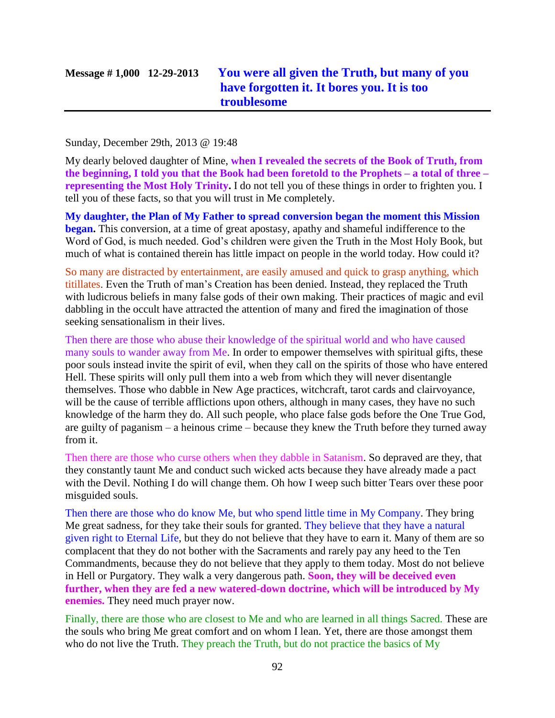### Sunday, December 29th, 2013 @ 19:48

My dearly beloved daughter of Mine, **when I revealed the secrets of the Book of Truth, from the beginning, I told you that the Book had been foretold to the Prophets – a total of three – representing the Most Holy Trinity.** I do not tell you of these things in order to frighten you. I tell you of these facts, so that you will trust in Me completely.

**My daughter, the Plan of My Father to spread conversion began the moment this Mission began.** This conversion, at a time of great apostasy, apathy and shameful indifference to the Word of God, is much needed. God's children were given the Truth in the Most Holy Book, but much of what is contained therein has little impact on people in the world today. How could it?

So many are distracted by entertainment, are easily amused and quick to grasp anything, which titillates. Even the Truth of man's Creation has been denied. Instead, they replaced the Truth with ludicrous beliefs in many false gods of their own making. Their practices of magic and evil dabbling in the occult have attracted the attention of many and fired the imagination of those seeking sensationalism in their lives.

Then there are those who abuse their knowledge of the spiritual world and who have caused many souls to wander away from Me. In order to empower themselves with spiritual gifts, these poor souls instead invite the spirit of evil, when they call on the spirits of those who have entered Hell. These spirits will only pull them into a web from which they will never disentangle themselves. Those who dabble in New Age practices, witchcraft, tarot cards and clairvoyance, will be the cause of terrible afflictions upon others, although in many cases, they have no such knowledge of the harm they do. All such people, who place false gods before the One True God, are guilty of paganism – a heinous crime – because they knew the Truth before they turned away from it.

Then there are those who curse others when they dabble in Satanism. So depraved are they, that they constantly taunt Me and conduct such wicked acts because they have already made a pact with the Devil. Nothing I do will change them. Oh how I weep such bitter Tears over these poor misguided souls.

Then there are those who do know Me, but who spend little time in My Company. They bring Me great sadness, for they take their souls for granted. They believe that they have a natural given right to Eternal Life, but they do not believe that they have to earn it. Many of them are so complacent that they do not bother with the Sacraments and rarely pay any heed to the Ten Commandments, because they do not believe that they apply to them today. Most do not believe in Hell or Purgatory. They walk a very dangerous path. **Soon, they will be deceived even further, when they are fed a new watered-down doctrine, which will be introduced by My enemies.** They need much prayer now.

Finally, there are those who are closest to Me and who are learned in all things Sacred. These are the souls who bring Me great comfort and on whom I lean. Yet, there are those amongst them who do not live the Truth. They preach the Truth, but do not practice the basics of My